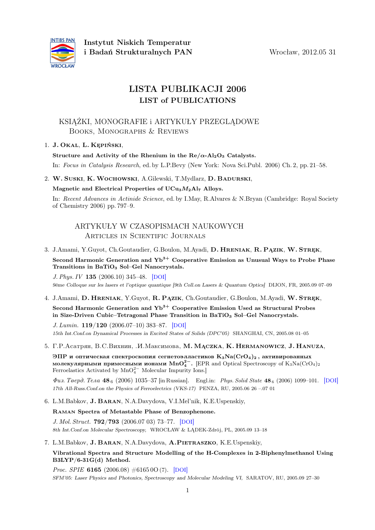

# LISTA PUBLIKACJI 2006 LIST of PUBLICATIONS

# KSIĄŻKI, MONOGRAFIE i ARTYKUŁY PRZEGLĄDOWE Books, Monographs & Reviews

# 1. J. Okal, L. Kępiński,

Structure and Activity of the Rhenium in the  $Re/\alpha$ -Al<sub>2</sub>O<sub>3</sub> Catalysts.

In: Focus in Catalysis Research, ed. by L.P.Bevy (New York: Nova Sci.Publ. 2006) Ch. 2, pp. 21–58.

2. W. Suski, K.Wochowski, A.Gilewski, T.Mydlarz, D. Badurski,

Magnetic and Electrical Properties of  $UCu<sub>3</sub>M<sub>2</sub>Al<sub>7</sub>$  Alloys.

In: Recent Advances in Actinide Science, ed. by I.May, R.Alvares & N.Bryan (Cambridge: Royal Society of Chemistry 2006) pp. 797–9.

# ARTYKUŁY W CZASOPISMACH NAUKOWYCH Articles in Scientific Journals

3. J.Amami, Y.Guyot, Ch.Goutaudier, G.Boulon, M.Ayadi, D. HRENIAK, R. PAZIK, W. STREK,

Second Harmonic Generation and  $Yb^{3+}$  Cooperative Emission as Unusual Ways to Probe Phase Transitions in BaTiO<sub>3</sub> Sol-Gel Nanocrystals.

J. Phys. IV 135 (2006.10) 345–48. [[DOI](http://dx.doi.org/10.1051/jp4:2006135114)] 9ème Colloque sur les lasers et l'optique quantique [9th Coll.on Lasers & Quantum Optics] DIJON, FR, 2005.09 07–09

4. J.Amami, D. HRENIAK, Y.Guyot, R. PĄZIK, Ch.Goutaudier, G.Boulon, M.Ayadi, W. STRĘK, Second Harmonic Generation and  $Yb^{3+}$  Cooperative Emission Used as Structural Probes in Size-Driven Cubic–Tetragonal Phase Transition in BaTiO<sub>3</sub> Sol–Gel Nanocrystals.

J. Lumin. 119/120 (2006.07–10) 383–87. [[DOI](http://dx.doi.org/10.1016/j.jlumin.2006.01.021)] 15th Int.Conf.on Dynamical Processes in Excited States of Solids (DPC'05) SHANGHAI, CN, 2005.08 01–05

5. Г.Р.Асатрян, В.С.Вихнин, .И.Максимова, М. МАСZКА, К. НЕRMANOWICZ, J. HANUZA,

ЭПР и оптическая спектроскопия сегнетоэлластиков  $K_3Na(CrO_4)_2$ , активированных молекулярными примесными ионами MnO<sup>2</sup><sup>-</sup>. [EPR and Optical Spectroscopy of K<sub>3</sub>Na(CrO<sub>4</sub>)<sub>2</sub> Ferroelastics Activated by  $MnO<sub>4</sub><sup>2−</sup>$  Molecular Impurity Ions.]

Физ. Тверд. Тела 48<sub>6</sub> (2006) 1035–37 [in Russian]. Engl.in: Phys. Solid State 48<sub>6</sub> (2006) 1099–101. [[DOI](http://dx.doi.org/10.1134/S1063783406060254)] 17th All-Russ.Conf.on the Physics of Ferroelectrics (VKS-17) PENZA, RU, 2005.06 26 –.07 01

6. L.M.Babkov, J. Baran, N.A.Davydova, V.I.Mel'nik, K.E.Uspenskiy,

## Raman Spectra of Metastable Phase of Benzophenone.

J. Mol. Struct. 792/793 (2006.07 03) 73–77. [[DOI](http://dx.doi.org/10.1016/j.molstruc.2005.12.050)] 8th Int.Conf.on Molecular Spectroscopy, WROCŁAW & LĄDEK-Zdrój, PL, 2005.09 13–18

7. L.M.Babkov, J. Baran, N.A.Davydova, A.Pietraszko, K.E.Uspenskiy,

Vibrational Spectra and Structure Modelling of the H-Complexes in 2-Biphenylmethanol Using B3LYP/6-31G(d) Method.

*Proc. SPIE* **6165** (2006.08)  $\#616500$  (7). [[DOI](http://dx.doi.org/10.1117/12.696914)] SFM'05: Laser Physics and Photonics, Spectroscopy and Molecular Modeling VI, SARATOV, RU, 2005.09 27–30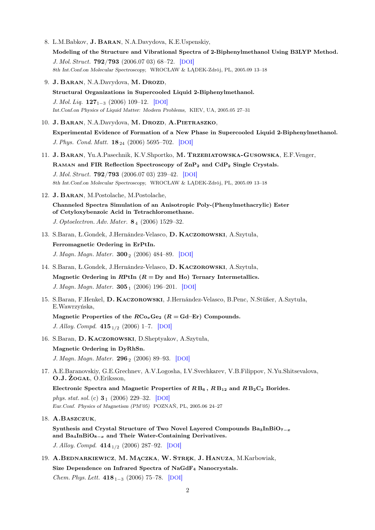- 8. L.M.Babkov, J. Baran, N.A.Davydova, K.E.Uspenskiy, Modeling of the Structure and Vibrational Spectra of 2-Biphenylmethanol Using B3LYP Method. J. Mol. Struct. 792/793 (2006.07 03) 68–72. [[DOI](http://dx.doi.org/10.1016/j.molstruc.2006.01.067)] 8th Int.Conf.on Molecular Spectroscopy, WROCŁAW & LĄDEK-Zdrój, PL, 2005.09 13–18
- 9. J. BARAN, N.A.Davydova, M. DROZD, Structural Organizations in Supercooled Liquid 2-Biphenylmethanol. J. Mol. Liq.  $127_{1-3}$  (2006) 109–12. [[DOI](http://dx.doi.org/10.1016/j.molliq.2006.03.030)] Int.Conf.on Physics of Liquid Matter: Modern Problems, KIEV, UA, 2005.05 27–31
- 10. J. BARAN, N.A.Davydova, M. DROZD, A.PIETRASZKO, Experimental Evidence of Formation of a New Phase in Supercooled Liquid 2-Biphenylmethanol. J. Phys. Cond. Matt.  $18_{24}$  (2006) 5695–702. [[DOI](http://dx.doi.org/10.1088/0953-8984/18/24/010)]
- 11. J. Baran, Yu.A.Pasechnik, K.V.Shportko, M. Trzebiatowska-Gusowska, E.F.Venger, Raman and FIR Reflection Spectroscopy of ZnP<sup>2</sup> and CdP<sup>2</sup> Single Crystals. J. Mol. Struct. 792/793 (2006.07 03) 239–42. [[DOI](http://dx.doi.org/10.1016/j.molstruc.2006.01.068)] 8th Int.Conf.on Molecular Spectroscopy, WROCŁAW & LĄDEK-Zdrój, PL, 2005.09 13–18
- 12. J. Baran, M.Postolache, M.Postolache,

Channeled Spectra Simulation of an Anisotropic Poly-(Phenylmethacrylic) Ester of Cetyloxybenzoic Acid in Tetrachloromethane.

J. Optoelectron. Adv. Mater. 8<sub>4</sub> (2006) 1529–32.

- 13. S.Baran, Ł.Gondek, J.Hernández-Velasco, D. Kaczorowski, A.Szytuła, Ferromagnetic Ordering in ErPtIn. J. Magn. Magn. Mater.  $300_2$  (2006) 484–89. [[DOI](http://dx.doi.org/10.1016/j.jmmm.2005.05.036)]
- 14. S.Baran, Ł.Gondek, J.Hernández-Velasco, D. Kaczorowski, A.Szytuła, Magnetic Ordering in RPtIn  $(R = Dy$  and Ho) Ternary Intermetallics. J. Magn. Magn. Mater.  $305_1$  (2006) 196-201. [[DOI](http://dx.doi.org/10.1016/j.jmmm.2006.01.001)]
- 15. S.Baran, F.Henkel, D. Kaczorowski, J.Hernández-Velasco, B.Penc, N.Stüßer, A.Szytuła, E.Wawrzyńska,

Magnetic Properties of the  $RCo_xGe_2$  ( $R = Gd-Er$ ) Compounds. J. Alloy. Compd.  $415_{1/2}$  (2006) 1–7. [[DOI](http://dx.doi.org/10.1016/j.jallcom.2005.06.082)]

- 16. S.Baran, D. Kaczorowski, D.Sheptyakov, A.Szytuła, Magnetic Ordering in DyRhSn. J. Magn. Magn. Mater.  $296_2$  (2006) 89–93. [[DOI](http://dx.doi.org/10.1016/j.jmmm.2005.01.027)]
- 17. A.E.Baranovskiy, G.E.Grechnev, A.V.Logosha, I.V.Svechkarev, V.B.Filippov, N.Yu.Shitsevalova, O.J. ŻOGAŁ, O.Eriksson,

Electronic Spectra and Magnetic Properties of  $RB_6$ ,  $RB_{12}$  and  $RB_2C_2$  Borides. phys. stat. sol. (c)  $3_1$  (2006) 229–32. [[DOI](http://dx.doi.org/10.1002/pssc.200562489)] Eur.Conf. Physics of Magnetism (PM'05) POZNAŃ, PL, 2005.06 24–27

18. A.Baszczuk,

Synthesis and Crystal Structure of Two Novel Layered Compounds  $Ba_3InBiO_{7-x}$ and Ba<sub>4</sub>InBiO<sub>8−x</sub> and Their Water-Containing Derivatives. J. Alloy. Compd. 414<sup>1</sup>/<sup>2</sup> (2006) 287–92. [[DOI](http://dx.doi.org/10.1016/j.jallcom.2005.07.031)]

19. A.Bednarkiewicz, M. Mączka, W. Stręk, J. Hanuza, M.Karbowiak, Size Dependence on Infrared Spectra of NaGdF<sup>4</sup> Nanocrystals. *Chem. Phys. Lett.* 418<sub>1−3</sub> (2006) 75–78. [[DOI](http://dx.doi.org/10.1016/j.cplett.2005.11.090)]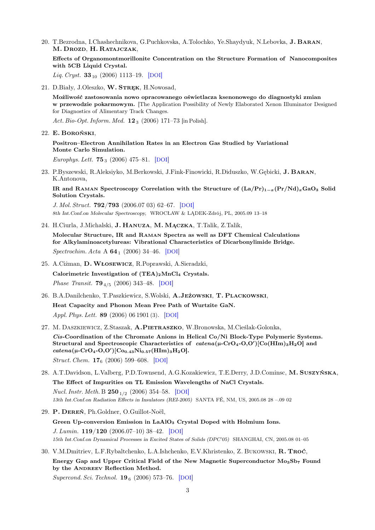20. T.Bezrodna, I.Chashechnikova, G.Puchkovska, A.Tolochko, Ye.Shaydyuk, N.Lebovka, J. Baran, M. Drozd, H. Ratajczak,

Effects of Organomontmorillonite Concentration on the Structure Formation of Nanocomposites with 5CB Liquid Crystal.

Liq. Cryst.  $33_{10}$  (2006) 1113–19. [[DOI](http://dx.doi.org/10.1080/02678290601032646)]

21. D.Biały, J.Oleszko, W. STREK, H.Nowosad,

Możliwość zastosowania nowo opracowanego oświetlacza ksenonowego do diagnostyki zmian w przewodzie pokarmowym. [The Application Possibility of Newly Elaborated Xenon Illuminator Designed for Diagnostics of Alimentary Track Changes.

Act. Bio-Opt. Inform. Med.  $12_3$  (2006) 171-73 [in Polish].

22. E. Boroński,

Positron–Electron Annihilation Rates in an Electron Gas Studied by Variational Monte Carlo Simulation.

Europhys. Lett. **75**<sub>3</sub> (2006) 475–81. [[DOI](http://dx.doi.org/10.1209/epl/i2006-10134-5)]

23. P.Byszewski, R.Aleksiyko, M.Berkowski, J.Fink-Finowicki, R.Diduszko, W.Gębicki, J. Baran, K.Antonova,

IR and RAMAN Spectroscopy Correlation with the Structure of  $(La/Pr)_{1-x}(Pr/Nd)_xGaO_3$  Solid Solution Crystals.

J. Mol. Struct. 792/793 (2006.07 03) 62–67. [[DOI](http://dx.doi.org/10.1016/j.molstruc.2006.02.046)] 8th Int.Conf.on Molecular Spectroscopy, WROCŁAW & LĄDEK-Zdrój, PL, 2005.09 13–18

- 24. H.Ciurla, J.Michalski, J. Hanuza, M. Mączka, T.Talik, Z.Talik, Molecular Structure, IR and Raman Spectra as well as DFT Chemical Calculations for Alkylaminoacetylureas: Vibrational Characteristics of Dicarbonylimide Bridge. Spectrochim. Acta A  $64_1$  (2006) 34–46. [[DOI](http://dx.doi.org/10.1016/j.saa.2005.06.035)]
- 25. A.Ciżman, D.Włosewicz, R.Poprawski, A.Sieradzki, Calorimetric Investigation of  $(TEA)_2MnCl_4$  Crystals. *Phase Transit.* **79**<sub>4/5</sub> (2006) 343-48. [[DOI](http://dx.doi.org/10.1080/01411590600671052)]
- 26. B.A.Danilchenko, T.Paszkiewicz, S.Wolski, A.Jeżowski, T. Plackowski, Heat Capacity and Phonon Mean Free Path of Wurtzite GaN. Appl. Phys. Lett. 89 (2006) 06 1901 (3). [[DOI](http://dx.doi.org/10.1063/1.2335373)]
- 27. M. Daszkiewicz, Z.Staszak, A.Pietraszko, W.Bronowska, M.Cieślak-Golonka, Cis-Coordination of the Chromate Anions in Helical Co/Ni Block-Type Polymeric Systems. Structural and Spectroscopic Characteristics of  $\; catena(\mu$ -CrO<sub>4</sub>-O,O')<sup>[Co</sup>(HIm)<sub>3</sub>H<sub>2</sub>O] and  $\textit{catena}(\mu\text{-CrO}_4\text{-}O, O')[\text{Co}_{0.43}\text{Ni}_{0.57}(\text{HIm})_3\text{H}_2\text{O}].$ Struct. Chem. **17**<sub>6</sub> (2006) 599–608. [[DOI](http://dx.doi.org/10.1007/s11224-006-9100-7)]
- 28. A.T.Davidson, L.Valberg, P.D.Townsend, A.G.Kozakiewicz, T.E.Derry, J.D.Cominsc, M. Suszyńska, The Effect of Impurities on TL Emission Wavelengths of NaCl Crystals. Nucl. Instr. Meth. B  $250_{1/2}$  (2006) 354–58. [[DOI](http://dx.doi.org/10.1016/j.nimb.2006.04.137)] 13th Int.Conf.on Radiation Effects in Insulators (REI-2005) SANTA FÉ, NM, US, 2005.08 28 –.09 02
- 29. P. Dereń, Ph.Goldner, O.Guillot-Noël, Green Up-conversion Emission in LaAlO<sub>3</sub> Crystal Doped with Holmium Ions. J. Lumin. 119/120 (2006.07–10) 38–42. [[DOI](http://dx.doi.org/10.1016/j.jlumin.2005.12.058)] 15th Int.Conf.on Dynamical Processes in Excited States of Solids (DPC'05) SHANGHAI, CN, 2005.08 01–05
- 30. V.M.Dmitriev, L.F.Rybaltchenko, L.A.Ishchenko, E.V.Khristenko, Z. Bukowski, R. Troć, Energy Gap and Upper Critical Field of the New Magnetic Superconductor Mo3Sb<sup>7</sup> Found by the ANDREEV Reflection Method.

Supercond. Sci. Technol.  $19_6$  (2006) 573–76. [[DOI](http://dx.doi.org/10.1088/0953-2048/19/6/026)]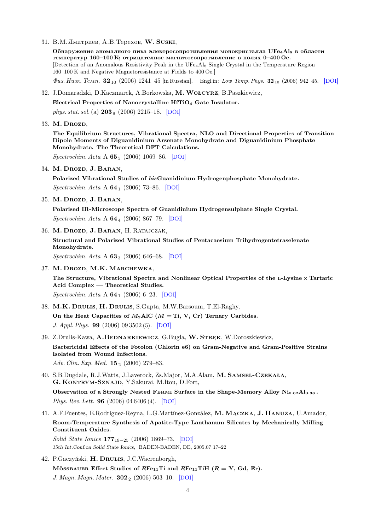31. В.М.Дмитриев, A.B.Tepexoв, W. SUSKI,

Обнаружение аномалного пика электросопротивления монокристалла UFe<sub>4</sub>Al<sub>8</sub> в области температур 160–100 К; отрицателное магнитосопротивление в полях 0–400 Ое. [Detection of an Anomalous Resistivity Peak in the UFe4Al<sup>8</sup> Single Crystal in the Temperature Region 160–100 K and Negative Magnetoresistance at Fields to 400 Oe.]

 $\Phi u$ s. Husk. Temp. 32<sub>10</sub> (2006) 1241–45 [in Russian]. Engl in: Low Temp. Phys. 32<sub>10</sub> (2006) 942–45. [[DOI](http://dx.doi.org/10.1063/1.2364485)]

32. J.Domaradzki, D.Kaczmarek, A.Borkowska, M.Wołcyrz, B.Paszkiewicz,

Electrical Properties of Nanocrystalline HfTiO<sup>4</sup> Gate Insulator.

phys. stat. sol. (a)  $203<sub>9</sub>$  (2006) 2215–18. [[DOI](http://dx.doi.org/10.1002/pssa.200566011)]

33. M. DROZD,

The Equilibrium Structures, Vibrational Spectra, NLO and Directional Properties of Transition Dipole Moments of Diguanidinium Arsenate Monohydrate and Diguanidinium Phosphate Monohydrate. The Theoretical DFT Calculations.

Spectrochim. Acta A **65**<sub>5</sub> (2006) 1069–86. [[DOI](http://dx.doi.org/10.1016/j.saa.2006.02.007)]

34. M. Drozd, J. BARAN,

Polarized Vibrational Studies of bisGuanidinium Hydrogenphosphate Monohydrate. Spectrochim. Acta A **64**<sub>1</sub> (2006) 73-86. [[DOI](http://dx.doi.org/10.1016/j.saa.2005.07.001)]

35. M. Drozd, J. BARAN,

Polarised IR-Microscope Spectra of Guanidinium Hydrogensulphate Single Crystal.  $Spectrochim. Acta A 64<sub>4</sub> (2006) 867–79. [DOI]$  $Spectrochim. Acta A 64<sub>4</sub> (2006) 867–79. [DOI]$  $Spectrochim. Acta A 64<sub>4</sub> (2006) 867–79. [DOI]$ 

36. M. Drozd, J. BARAN, H. RATAJCZAK,

Structural and Polarized Vibrational Studies of Pentacaesium Trihydrogentetraselenate Monohydrate.

 $Spectrochim. Acta A 63<sub>3</sub> (2006) 646–68. [DOI]$  $Spectrochim. Acta A 63<sub>3</sub> (2006) 646–68. [DOI]$  $Spectrochim. Acta A 63<sub>3</sub> (2006) 646–68. [DOI]$ 

37. M. Drozd, M.K. Marchewka,

The Structure, Vibrational Spectra and Nonlinear Optical Properties of the L-Lysine  $\times$  Tartaric Acid Complex — Theoretical Studies.

Spectrochim. Acta A  $64_1$  (2006) 6–23. [[DOI](http://dx.doi.org/10.1016/j.saa.2005.06.033)]

- 38. M.K. Drulis, H. Drulis, S.Gupta, M.W.Barsoum, T.El-Raghy, On the Heat Capacities of  $M_2$ AlC ( $M = Ti$ , V, Cr) Ternary Carbides. J. Appl. Phys. 99 (2006) 09 3502 (5). [[DOI](http://dx.doi.org/10.1063/1.2191744)]
- 39. Z.Drulis-Kawa, A.BEDNARKIEWICZ, G.Bugla, W. STREK, W.Doroszkiewicz, Bactericidal Effects of the Fotolon (Chlorin e6) on Gram-Negative and Gram-Positive Strains Isolated from Wound Infections.

Adv. Clin. Exp. Med.  $15_2$  (2006) 279–83.

- 40. S.B.Dugdale, R.J.Watts, J.Laverock, Zs.Major, M.A.Alam, M. Samsel-Czekała, G. Kontrym-Sznajd, Y.Sakurai, M.Itou, D.Fort, Observation of a Strongly Nested FERMI Surface in the Shape-Memory Alloy  $Ni<sub>0.62</sub>Al<sub>0.38</sub>$ . Phys. Rev. Lett. 96 (2006) 04 6406 (4). [[DOI](http://dx.doi.org/10.1103/PhysRevLett.96.046406)]
- 41. A.F.Fuentes, E.Rodríguez-Reyna, L.G.Martínez-González, M. Mączka, J. Hanuza, U.Amador, Room-Temperature Synthesis of Apatite-Type Lanthanum Silicates by Mechanically Milling Constituent Oxides.

Solid State Ionics  $177_{19-25}$  (2006) 1869–73. [[DOI](http://dx.doi.org/10.1016/j.ssi.2006.02.032)] 15th Int.Conf.on Solid State Ionics, BADEN-BADEN, DE, 2005.07 17–22

42. P.Gaczyński, H. Drulis, J.C.Waerenborgh,

MÖSSBAUER Effect Studies of  $RFe_{11}Ti$  and  $RFe_{11}TiH$   $(R = Y, Gd, Er)$ .

J. Magn. Magn. Mater.  $302_2$  (2006) 503-10. [[DOI](http://dx.doi.org/10.1016/j.jmmm.2005.10.012)]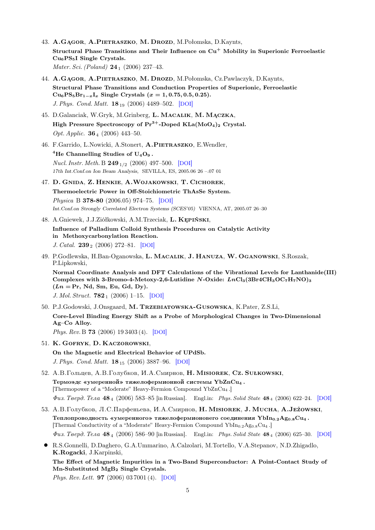- 43. A.Gągor, A.Pietraszko, M. Drozd, M.Połomska, D.Kaynts, Structural Phase Transitions and Their Influence on  $Cu<sup>+</sup>$  Mobility in Superionic Ferroelastic Cu6PS5I Single Crystals. Mater. Sci. (Poland)  $24_1$  (2006) 237-43.
- 44. A.Gągor, A.Pietraszko, M. Drozd, M.Połomska, Cz.Pawlaczyk, D.Kaynts, Structural Phase Transitions and Conduction Properties of Superionic, Ferroelastic  $Cu_6PS_5Br_{1-x}I_x$  Single Crystals  $(x = 1, 0.75, 0.5, 0.25)$ . J. Phys. Cond. Matt. 18<sup>19</sup> (2006) 4489–502. [[DOI](http://dx.doi.org/10.1088/0953-8984/18/19/005)]
- 45. D.Galanciak, W.Gryk, M.Grinberg, L. Macalik, M.Mączka, High Pressure Spectroscopy of  $Pr^{3+}$ -Doped KLa(MoO<sub>4</sub>)<sub>2</sub> Crystal. Opt. Applic.  $36_4$  (2006) 443-50.
- 46. F.Garrido, L.Nowicki, A.Stonert, A.PIETRASZKO, E.Wendler,

<sup>4</sup>He Channelling Studies of  $U_4O_9$ . Nucl. Instr. Meth. B  $249_{1/2}$  (2006) 497-500. [[DOI](http://dx.doi.org/10.1016/j.nimb.2006.03.039)] 17th Int.Conf.on Ion Beam Analysis, SEVILLA, ES, 2005.06 26 –.07 01

- 47. D. Gnida, Z. Henkie, A.Wojakowski, T. Cichorek, Thermoelectric Power in Off-Stoichiometric ThAsSe System. Physica B 378-80 (2006.05) 974–75. [[DOI](http://dx.doi.org/10.1016/j.physb.2006.01.371)] Int.Conf.on Strongly Correlated Electron Systems (SCES'05) VIENNA, AT, 2005.07 26–30
- 48. A.Gniewek, J.J.Ziółkowski, A.M.Trzeciak, L. Kępiński, Influence of Palladium Colloid Synthesis Procedures on Catalytic Activity in Methoxycarbonylation Reaction. J. Catal.  $239_2$  (2006) 272-81. [[DOI](http://dx.doi.org/10.1016/j.jcat.2006.02.002)]
- 49. P.Godlewska, H.Ban-Oganowska, L. Macalik, J. Hanuza, W. Oganowski, S.Roszak, P.Lipkowski, Normal Coordinate Analysis and DFT Calculations of the Vibrational Levels for Lanthanide(III) Complexes with 3-Bromo-4-Metoxy-2,6-Lutidine N-Oxide:  $LnCl<sub>3</sub>(3Br4CH<sub>3</sub>OC<sub>7</sub>H<sub>7</sub>NO)<sub>3</sub>$  $(Ln = Pr, Nd, Sm, Eu, Gd, Dy).$

J. Mol. Struct.  $782_1$  (2006) 1–15. [[DOI](http://dx.doi.org/10.1016/j.molstruc.2004.08.019)]

- 50. P.J.Godowski, J.Onsgaard, M. Trzebiatowska-Gusowska, K.Pater, Z.S.Li, Core-Level Binding Energy Shift as a Probe of Morphological Changes in Two-Dimensional Ag–Co Alloy. Phys. Rev. B 73 (2006) 19 3403 (4). [[DOI](http://dx.doi.org/10.1103/PhysRevB.73.193403)]
- 51. K. Gofryk, D. Kaczorowski, On the Magnetic and Electrical Behavior of UPdSb. J. Phys. Cond. Matt. **18**<sub>15</sub> (2006) 3887-96. [[DOI](http://dx.doi.org/10.1088/0953-8984/18/15/030)]
- 52. A.B.Гольцев, A.B.Голубков, И.A.Смирнов, H. Misiorek, Cz. Sułkowski,  $T$ ермоэлс «умеренной» тяжелофермионной системы YbZnCu<sub>4</sub>. [Thermopower of a "Moderate" Heavy-Fermion Compound YbZnCu<sup>4</sup> .]  $\Phi u$ s. Teepd. Tena 48<sub>4</sub> (2006) 583–85 [in Russian]. Engl.in: *Phys. Solid State* 48<sub>4</sub> (2006) 622–24. [[DOI](http://dx.doi.org/10.1134/S1063783406040020)]
- 53. A.B.Голубков, Л.С.Парфеньева, И.А.Смирнов, **Н. Misiorek, J. Mucha, A.Jeżowski**, Теплопроводность «умеренного» тяжелофермионовего соединения  $Ybln_{0.2}Ag_{0.8}Cu_4$ . [Thermal Conductivity of a "Moderate" Heavy-Fermion Compound YbIn0.2Ag0.8Cu<sup>4</sup> .]  $\Phi u$ s. Teepd. Tena 48<sub>4</sub> (2006) 586–90 [in Russian]. Engl.in: *Phys. Solid State* 48<sub>4</sub> (2006) 625–30. [[DOI](http://dx.doi.org/10.1134/S1063783406040032)]
- R.S.Gonnelli, D.Daghero, G.A.Ummarino, A.Calzolari, M.Tortello, V.A.Stepanov, N.D.Zhigadlo, K.Rogacki, J.Karpinski,

The Effect of Magnetic Impurities in a Two-Band Superconductor: A Point-Contact Study of Mn-Substituted MgB<sup>2</sup> Single Crystals.

Phys. Rev. Lett. 97 (2006) 03 7001 (4). [[DOI](http://dx.doi.org/10.1103/PhysRevLett.97.037001)]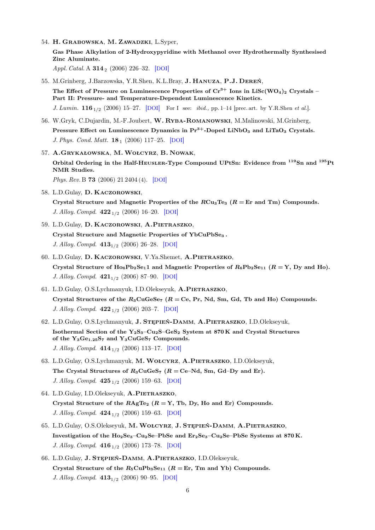54. H. Grabowska, M. Zawadzki, L.Syper,

Gas Phase Alkylation of 2-Hydroxypyridine with Methanol over Hydrothermally Synthesised Zinc Aluminate.

Appl. Catal. A **314**<sub>2</sub> (2006) 226-32. [[DOI](http://dx.doi.org/10.1016/j.apcata.2006.08.023)]

55. M.Grinberg, J.Barzowska, Y.R.Shen, K.L.Bray, J. Hanuza, P.J. Dereń, The Effect of Pressure on Luminescence Properties of  $Cr^{3+}$  Ions in LiSc(WO<sub>4</sub>)<sub>2</sub> Crystals – Part II: Pressure- and Temperature-Dependent Luminescence Kinetics. J. Lumin.  $116_{1/2}$  (2006) 15–27. [[DOI](http://dx.doi.org/10.1016/j.jlumin.2005.02.011)] For I see: *ibid.*, pp. 1–14 [prec. art. by Y.R.Shen *et al.*].

56. W.Gryk, C.Dujardin, M.-F.Joubert, W. Ryba-Romanowski, M.Malinowski, M.Grinberg,

- Pressure Effect on Luminescence Dynamics in  $Pr<sup>3+</sup>$ -Doped LiNbO<sub>3</sub> and LiTaO<sub>3</sub> Crystals. J. Phys. Cond. Matt. **18**<sub>1</sub> (2006) 117-25. [[DOI](http://dx.doi.org/10.1088/0953-8984/18/1/008)]
- 57. A.Grykałowska, M.Wołcyrz, B. Nowak,

Orbital Ordering in the Half-HEUSLER-Type Compound UPtSn: Evidence from <sup>119</sup>Sn and <sup>195</sup>Pt NMR Studies.

Phys. Rev. B 73 (2006) 21 2404 (4). [[DOI](http://dx.doi.org/10.1103/PhysRevB.73.212404)]

58. L.D.Gulay, D. Kaczorowski,

Crystal Structure and Magnetic Properties of the  $RCu_3Te_3$  ( $R = Er$  and Tm) Compounds. J. Alloy. Compd.  $422_{1/2}$  (2006) 16–20. [[DOI](http://dx.doi.org/10.1016/j.jallcom.2005.11.078)]

- 59. L.D.Gulay, D. Kaczorowski, A.Pietraszko, Crystal Structure and Magnetic Properties of YbCuPbSe<sup>3</sup> . J. Alloy. Compd.  $413_{1/2}$  (2006) 26–28. [[DOI](http://dx.doi.org/10.1016/j.jallcom.2005.06.076)]
- 60. L.D.Gulay, D. Kaczorowski, V.Ya.Shemet, A.Pietraszko, Crystal Structure of  $Ho_6Pb_2Se_11$  and Magnetic Properties of  $R_6Pb_2Se_{11}$   $(R = Y, Dy$  and Ho). J. Alloy. Compd.  $421_{1/2}$  (2006) 87–90. [[DOI](http://dx.doi.org/10.1016/j.jallcom.2005.11.014)]
- 61. L.D.Gulay, O.S.Lychmanyuk, I.D.Olekseyuk, A.Pietraszko, Crystal Structures of the  $R_3$ CuGeSe<sub>7</sub> ( $R =$  Ce, Pr, Nd, Sm, Gd, Tb and Ho) Compounds. J. Alloy. Compd.  $422_{1/2}$  (2006) 203-7. [[DOI](http://dx.doi.org/10.1016/j.jallcom.2005.12.001)]
- 62. L.D.Gulay, O.S.Lychmanyuk, J. Stępień-Damm, A.Pietraszko, I.D.Olekseyuk, Isothermal Section of the Y<sub>2</sub>S<sub>3</sub>–Cu<sub>2</sub>S–GeS<sub>2</sub> System at 870 K and Crystal Structures of the  $Y_3Ge_{1.25}S_7$  and  $Y_3CuGe_{7}$  Compounds. J. Alloy. Compd.  $414_{1/2}$  (2006) 113-17. [[DOI](http://dx.doi.org/10.1016/j.jallcom.2005.07.035)]
- 63. L.D.Gulay, O.S.Lychmanyuk, M.Wołcyrz, A.Pietraszko, I.D.Olekseyuk, The Crystal Structures of  $R_3CuGeS_7$  ( $R = Ce-Nd$ , Sm, Gd–Dy and Er). J. Alloy. Compd.  $425_{1/2}$  (2006) 159–63. [[DOI](http://dx.doi.org/10.1016/j.jallcom.2006.01.056)]
- 64. L.D.Gulay, I.D.Olekseyuk, A.PIETRASZKO, Crystal Structure of the  $R \text{AgTe}_2$  ( $R = Y$ , Tb, Dy, Ho and Er) Compounds. J. Alloy. Compd.  $424_{1/2}$  (2006) 159–63. [[DOI](http://dx.doi.org/10.1016/j.jallcom.2005.12.084)]
- 65. L.D.Gulay, O.S.Olekseyuk, M.Wołcyrz, J. Stępień-Damm, A.Pietraszko, Investigation of the Ho<sub>2</sub>Se<sub>3</sub>–Cu<sub>2</sub>Se–PbSe and Er<sub>2</sub>Se<sub>3</sub>–Cu<sub>2</sub>Se–PbSe Systems at 870 K. J. Alloy. Compd.  $416_{1/2}$  (2006) 173-78. [[DOI](http://dx.doi.org/10.1016/j.jallcom.2005.09.001)]
- 66. L.D.Gulay, J. Stępień-Damm, A.Pietraszko, I.D.Olekseyuk, Crystal Structure of the  $R_5$ CuPb<sub>3</sub>Se<sub>11</sub> ( $R = Er$ , Tm and Yb) Compounds. J. Alloy. Compd.  $413_{1/2}$  (2006) 90–95. [[DOI](http://dx.doi.org/10.1016/j.jallcom.2005.06.012)]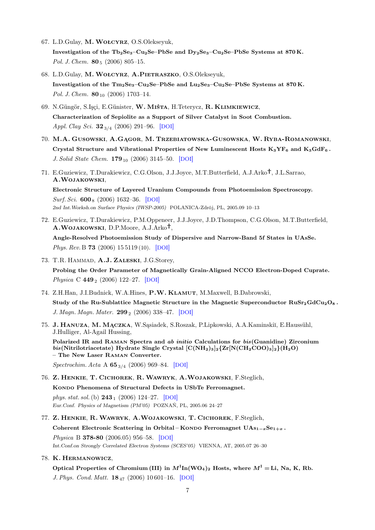- 67. L.D.Gulay, M.Wołcyrz, O.S.Olekseyuk, Investigation of the Tb<sub>2</sub>Se<sub>3</sub>–Cu<sub>2</sub>Se–PbSe and Dy<sub>2</sub>Se<sub>3</sub>–Cu<sub>2</sub>Se–PbSe Systems at 870 K. Pol. J. Chem.  $80_5$  (2006) 805-15.
- 68. L.D.Gulay, M.Wołcyrz, A.Pietraszko, O.S.Olekseyuk, Investigation of the  $Tm_2Se_3-Cu_2Se-PbSe$  and  $Lu_2Se_3-Cu_2Se-PbSe$  Systems at 870 K. Pol. J. Chem.  $80_{10}$  (2006) 1703-14.
- 69. N.Güngör, S.Işçi, E.Günister, W. Miśta, H.Teterycz, R. Klimkiewicz, Characterization of Sepiolite as a Support of Silver Catalyst in Soot Combustion. Appl. Clay Sci.  $32_{3/4}$  (2006) 291–96. [[DOI](http://dx.doi.org/10.1016/j.clay.2006.03.005)]
- 70. M.A. Gusowski, A.Gągor, M. Trzebiatowska-Gusowska, W. Ryba-Romanowski, Crystal Structure and Vibrational Properties of New Luminescent Hosts  $K_3YF_6$  and  $K_3GdF_6$ . J. Solid State Chem.  $179_{10}$  (2006) 3145–50. [[DOI](http://dx.doi.org/10.1016/j.jssc.2006.06.005)]
- 71. E.Guziewicz, T.Durakiewicz, C.G.Olson, J.J.Joyce, M.T.Butterfield, A.J.Arko<sup>†</sup>, J.L.Sarrao, A.Wojakowski,

Electronic Structure of Layered Uranium Compounds from Photoemission Spectroscopy. Surf. Sci.  $600<sub>8</sub>$  (2006) 1632–36. [[DOI](http://dx.doi.org/10.1016/j.susc.2005.11.050)] 2nd Int.Worksh.on Surface Physics (IWSP-2005) POLANICA-Zdrój, PL, 2005.09 10–13

72. E.Guziewicz, T.Durakiewicz, P.M.Oppeneer, J.J.Joyce, J.D.Thompson, C.G.Olson, M.T.Butterfield, A.WOJAKOWSKI, D.P.Moore, A.J.Arko<sup>†</sup>,

Angle-Resolved Photoemission Study of Dispersive and Narrow-Band 5f States in UAsSe. Phys. Rev. B **73** (2006) 15 5119 (10). [[DOI](http://dx.doi.org/10.1103/PhysRevB.73.155119)]

73. T.R. HAMMAD, A.J. ZALESKI, J.G.Storey,

Probing the Order Parameter of Magnetically Grain-Aligned NCCO Electron-Doped Cuprate. Physica C 449  $_2$  (2006) 122–27. [[DOI](http://dx.doi.org/10.1016/j.physc.2006.08.007)]

- 74. Z.H.Han, J.I.Budnick, W.A.Hines, P.W. Klamut, M.Maxwell, B.Dabrowski, Study of the Ru-Sublattice Magnetic Structure in the Magnetic Superconductor  $\text{RuSr}_2\text{GdCu}_2\text{O}_8$ . J. Magn. Magn. Mater.  $299_2$  (2006) 338-47. [[DOI](http://dx.doi.org/10.1016/j.jmmm.2005.04.022)]
- 75. J. HANUZA, M. MĄCZKA, W. Sąsiadek, S. Roszak, P. Lipkowski, A. A. Kaminskiĭ, E. Haussühl, J.Hulliger, Al-Agail Hussing,

Polarized IR and Raman Spectra and ab initio Calculations for bis(Guanidine) Zirconium  $bis(Nitrilotriacetate)$  Hydrate Single Crystal  $[C(NH_2)_3]_2{Zr[N(CH_2COO)_3]_2}(H_2O)$ – The New Laser Raman Converter.

Spectrochim. Acta A  $65_{3/4}$  (2006) 969–84. [[DOI](http://dx.doi.org/10.1016/j.saa.2006.02.002)]

76. Z. Henkie, T. Cichorek, R.Wawryk, A.Wojakowski, F.Steglich,

KONDO Phenomena of Structural Defects in USbTe Ferromagnet.

phys. stat. sol. (b)  $243_1$  (2006) 124–27. [[DOI](http://dx.doi.org/10.1002/pssb.200562455)] Eur.Conf. Physics of Magnetism (PM'05) POZNAŃ, PL, 2005.06 24–27

- 77. Z. Henkie, R.Wawryk, A.Wojakowski, T. Cichorek, F.Steglich, Coherent Electronic Scattering in Orbital – KONDO Ferromagnet  $\text{UAs}_{1-x}\text{Se}_{1+x}$ . Physica B 378-80 (2006.05) 956–58. [[DOI](http://dx.doi.org/10.1016/j.physb.2006.01.365)] Int.Conf.on Strongly Correlated Electron Systems (SCES'05) VIENNA, AT, 2005.07 26–30
- 78. K. Hermanowicz,

Optical Properties of Chromium (III) in  $M^{\text{I}}$ In(WO<sub>4</sub>)<sub>2</sub> Hosts, where  $M^{\text{I}} =$  Li, Na, K, Rb. J. Phys. Cond. Matt. 18<sup>47</sup> (2006) 10 601–16. [[DOI](http://dx.doi.org/10.1088/0953-8984/18/47/007)]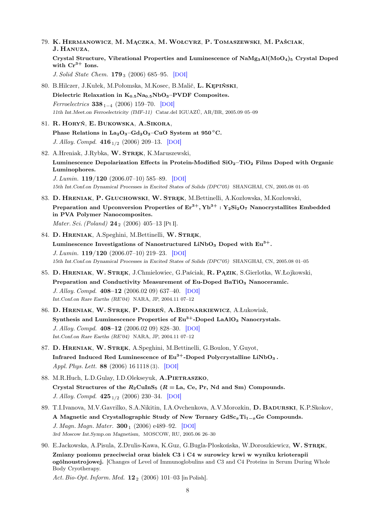79. K. Hermanowicz, M. Mączka, M.Wołcyrz, P. Tomaszewski, M. Paściak, J. Hanuza,

Crystal Structure, Vibrational Properties and Luminescence of NaMg3Al(MoO4)<sup>5</sup> Crystal Doped with  $Cr^{3+}$  Ions.

J. Solid State Chem. **179**<sub>3</sub> (2006) 685–95. [[DOI](http://dx.doi.org/10.1016/j.jssc.2005.11.032)]

- 80. B.Hilczer, J.Kułek, M.Połomska, M.Kosec, B.Malič, L. Kępiński, Dielectric Relaxation in  $K_{0.5}Na_{0.5}NbO_3-PVDF$  Composites. Ferroelectrics  $338_{1-4}$  (2006) 159–70. [[DOI](http://dx.doi.org/10.1080/00150190600737347)] 11th Int.Meet.on Ferroelectricity (IMF-11) Catar.del IGUAZÚ, AR/BR, 2005.09 05–09
- 81. R. Horyń, E. Bukowska, A.Sikora, Phase Relations in  $La_2O_3-Gd_2O_3-CuO$  System at  $950^{\circ}$ C. J. Alloy. Compd.  $416_{1/2}$  (2006) 209–13. [[DOI](http://dx.doi.org/10.1016/j.jallcom.2005.08.028)]
- 82. A.Hreniak, J.Rybka, W. STRĘK, K.Maruszewski, Luminescence Depolarization Effects in Protein-Modified  $SiO<sub>2</sub>$ -TiO<sub>2</sub> Films Doped with Organic Luminophores. J. Lumin. 119/120 (2006.07–10) 585–89. [[DOI](http://dx.doi.org/10.1016/j.jlumin.2006.01.049)] 15th Int.Conf.on Dynamical Processes in Excited States of Solids (DPC'05) SHANGHAI, CN, 2005.08 01–05
- 83. D. HRENIAK, P. GŁUCHOWSKI, W. STREK, M.Bettinelli, A.Kozłowska, M.Kozłowski, Preparation and Upconversion Properties of  $Er^{3+}$ ,  $Yb^{3+}$ :  $Y_2Si_2O_7$  Nanocrystallites Embedded in PVA Polymer Nanocomposites.

*Mater. Sci. (Poland)*  $24_2$  (2006) 405–13 [Pt I].

- 84. D. HRENIAK, A.Speghini, M.Bettinelli, W. STREK, Luminescence Investigations of Nanostructured LiNbO<sub>3</sub> Doped with  $Eu^{3+}$ . J. Lumin. 119/120 (2006.07–10) 219–23. [[DOI](http://dx.doi.org/10.1016/j.jlumin.2005.12.054)] 15th Int.Conf.on Dynamical Processes in Excited States of Solids (DPC'05) SHANGHAI, CN, 2005.08 01–05
- 85. D. Hreniak, W. Stręk, J.Chmielowiec, G.Paściak, R. Pązik, S.Gierlotka, W.Łojkowski, Preparation and Conductivity Measurement of Eu-Doped BaTiO<sub>3</sub> Nanoceramic. J. Alloy. Compd. 408–12 (2006.02 09) 637–40. [[DOI](http://dx.doi.org/10.1016/j.jallcom.2004.12.098)] Int.Conf.on Rare Earths (RE'04) NARA, JP, 2004.11 07–12
- 86. D. Hreniak, W. Stręk, P. Dereń, A.Bednarkiewicz, A.Łukowiak, Synthesis and Luminescence Properties of  $Eu^{3+}$ -Doped LaAlO<sub>3</sub> Nanocrystals. J. Alloy. Compd. 408–12 (2006.02 09) 828–30. [[DOI](http://dx.doi.org/10.1016/j.jallcom.2005.01.086)] Int.Conf.on Rare Earths (RE'04) NARA, JP, 2004.11 07–12
- 87. D. Hreniak, W. Stręk, A.Speghini, M.Bettinelli, G.Boulon, Y.Guyot, Infrared Induced Red Luminescence of  $Eu^{3+}$ -Doped Polycrystalline LiNbO<sub>3</sub>. Appl. Phys. Lett. 88 (2006) 16 1118 (3). [[DOI](http://dx.doi.org/10.1063/1.2197312)]
- 88. M.R.Huch, L.D.Gulay, I.D.Olekseyuk, A.PIETRASZKO, Crystal Structures of the  $R_2$ CuInS<sub>5</sub> ( $R =$  La, Ce, Pr, Nd and Sm) Compounds. J. Alloy. Compd.  $425_{1/2}$  (2006) 230–34. [[DOI](http://dx.doi.org/10.1016/j.jallcom.2006.01.070)]
- 89. T.I.Ivanova, M.V.Gavrilko, S.A.Nikitin, I.A.Ovchenkova, A.V.Morozkin, D. Badurski, K.P.Skokov, A Magnetic and Crystallographic Study of New Ternary GdSc<sub>x</sub>Ti<sub>1−x</sub>Ge Compounds. J. Magn. Magn. Mater.  $300<sub>1</sub>$  (2006) e489–92. [[DOI](http://dx.doi.org/10.1016/j.jmmm.2005.10.243)] 3rd Moscow Int.Symp.on Magnetism, MOSCOW, RU, 2005.06 26–30
- 90. E.Jackowska, A.Pisula, Z.Drulis-Kawa, K.Guz, G.Bugla-Płoskońska, W.Doroszkiewicz, W. STREK, Zmiany poziomu przeciwciał oraz białek C3 i C4 w surowicy krwi w wyniku krioterapii ogólnoustrojowej. [Changes of Level of Immunoglobulins and C3 and C4 Proteins in Serum During Whole Body Cryotherapy.

Act. Bio-Opt. Inform. Med.  $12_2$  (2006) 101–03 [in Polish].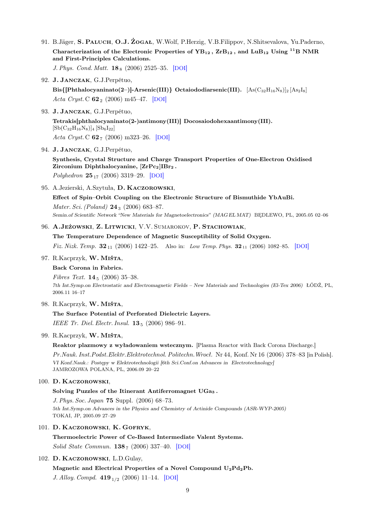91. B.Jäger, S. PALUCH, O.J. ŻOGAŁ, W.Wolf, P.Herzig, V.B.Filippov, N.Shitsevalova, Yu.Paderno, Characterization of the Electronic Properties of  $YB_{12}$ ,  $ZrB_{12}$ , and  $LuB_{12}$  Using <sup>11</sup>B NMR and First-Principles Calculations.

J. Phys. Cond. Matt.  $18_8$  (2006) 2525–35. [[DOI](http://dx.doi.org/10.1088/0953-8984/18/8/015)]

92. J. Janczak, G.J.Perpétuo,

Bis{[Phthalocyaninato(2–)]-Arsenic(III)} Octaiododiarsenic(III).  $[\text{As}(C_{32}H_{16}N_8)]_2 [\text{As}_2I_8]$ Acta Cryst. C  $62_2$  (2006) m45-47. [[DOI](http://dx.doi.org/10.1107/S0108270105042113)]

93. J. Janczak, G.J.Perpétuo,

Tetrakis[phthalocyaninato(2-)antimony(III)] Docosaiodohexaantimony(III).  $[Sb(C_{32}H_{16}N_8)]_4 [Sb_6I_{22}]$ Acta Cryst. C  $62_7$  (2006) m323-26. [[DOI](http://dx.doi.org/10.1107/S010827010601910X)]

94. J. Janczak, G.J.Perpétuo,

Synthesis, Crystal Structure and Charge Transport Properties of One-Electron Oxidised Zirconium Diphthalocyanine,  $ZrPc_2|IBr_2$ .

Polyhedron  $25_{17}$  (2006) 3319-29. [[DOI](http://dx.doi.org/10.1016/j.poly.2006.06.020)]

95. A.Jezierski, A.Szytuła, D. Kaczorowski,

Effect of Spin–Orbit Coupling on the Electronic Structure of Bismuthide YbAuBi. Mater. Sci. (Poland) **24**<sub>3</sub> (2006) 683-87.

Semin.of Scientific Network "New Materials for Magnetoelectronics" (MAG EL MAT) BĘDLEWO, PL, 2005.05 02–06

# 96. A.Jeżowski, Z. Litwicki, V.V. Sumarokov, P. Stachowiak,

The Temperature Dependence of Magnetic Susceptibility of Solid Oxygen.

Fiz. Nizk. Temp.  $32_{11}$  (2006) 1422–25. Also in: Low Temp. Phys.  $32_{11}$  (2006) 1082–85. [[DOI](http://dx.doi.org/10.1063/1.2389017)]

## 97. R.Kacprzyk, W. Miśta,

#### Back Corona in Fabrics.

Fibres Text.  $14_5$  (2006) 35-38. 7th Int.Symp.on Electrostatic and Electromagnetic Fields – New Materials and Technologies (El-Tex 2006) ŁÓDŹ, PL, 2006.11 16–17

# 98. R.Kacprzyk, W. Miśta,

The Surface Potential of Perforated Dielectric Layers. IEEE Tr. Diel. Electr. Insul.  $13_5$  (2006) 986–91.

#### 99. R.Kacprzyk, W. Miśta,

Reaktor plazmowy z wyładowaniem wstecznym. [Plasma Reactor with Back Corona Discharge.] Pr.Nauk. Inst.Podst.Elektr.Elektrotechnol. Politechn.Wrocł. Nr 44, Konf. Nr 16 (2006) 378–83 [in Polish]. VI Konf.Nauk.: Postępy w Elektrotechnologii [6th Sci.Conf.on Advances in Electrotechnology] JAMROZOWA POLANA, PL, 2006.09 20–22

## 100. D. Kaczorowski,

#### Solving Puzzles of the Itinerant Antiferromagnet UGa<sup>3</sup> .

J. Phys. Soc. Japan 75 Suppl. (2006) 68–73. 5th Int.Symp.on Advances in the Physics and Chemistry of Actinide Compounds (ASR-WYP-2005) TOKAI, JP, 2005.09 27–29

## 101. D. Kaczorowski, K. Gofryk,

Thermoelectric Power of Ce-Based Intermediate Valent Systems. Solid State Commun.  $138_7$  (2006) 337-40. [[DOI](http://dx.doi.org/10.1016/j.ssc.2006.03.016)]

# 102. D. Kaczorowski, L.D.Gulay,

## Magnetic and Electrical Properties of a Novel Compound  $U_2Pd_2Pb$ .

J. Alloy. Compd.  $419_{1/2}$  (2006) 11–14. [[DOI](http://dx.doi.org/10.1016/j.jallcom.2005.09.069)]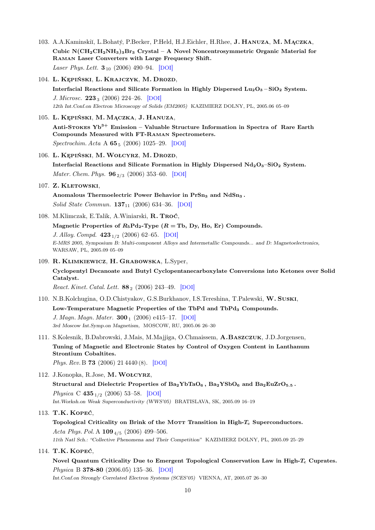- 103. A.A.Kaminskiĭ, L.Bohatý, P.Becker, P.Held, H.J.Eichler, H.Rhee, J. HANUZA, M. MĄCZKA, Cubic  $N(CH_2CH_2NH_3)_3Br_3$  Crystal – A Novel Noncentrosymmetric Organic Material for Raman Laser Converters with Large Frequency Shift. Laser Phys. Lett.  $3_{10}$  (2006) 490-94. [[DOI](http://dx.doi.org/10.1002/lapl.200610043)]
- 104. L. Kępiński, L. Krajczyk, M. Drozd,

Interfacial Reactions and Silicate Formation in Highly Dispersed  $\text{Lu}_2\text{O}_3 - \text{SiO}_2$  System. J. Microsc.  $223_3$  (2006) 224-26. [[DOI](http://dx.doi.org/10.1111/j.1365-2818.2006.01625.x)] 12th Int.Conf.on Electron Microscopy of Solids (EM2005) KAZIMIERZ DOLNY, PL, 2005.06 05–09

#### 105. L. Kępiński, M. Mączka, J. Hanuza,

Anti-STOKES  $Yb^{3+}$  Emission – Valuable Structure Information in Spectra of Rare Earth Compounds Measured with FT-Raman Spectrometers. Spectrochim. Acta A **65**<sub>5</sub> (2006) 1025–29. [[DOI](http://dx.doi.org/10.1016/j.saa.2006.01.028)]

106. L. Kępiński, M.Wołcyrz, M. Drozd,

Interfacial Reactions and Silicate Formation in Highly Dispersed  $Nd_2O_3-SiO_2$  System. *Mater. Chem. Phys.* **96**<sub>2/3</sub> (2006) 353–60. [[DOI](http://dx.doi.org/10.1016/j.matchemphys.2005.07.026)]

107. Z. KLETOWSKI,

Anomalous Thermoelectric Power Behavior in PrSn<sub>3</sub> and NdSn<sub>3</sub>. Solid State Commun. **137**<sub>11</sub> (2006) 634-36. [[DOI](http://dx.doi.org/10.1016/j.ssc.2005.12.041)]

108. M.Klimczak, E.Talik, A.Winiarski, R. Troć,

Magnetic Properties of  $R_5Pd_2$ -Type ( $R = Tb$ , Dy, Ho, Er) Compounds.

J. Alloy. Compd.  $423_{1/2}$  (2006) 62-65. [[DOI](http://dx.doi.org/10.1016/j.jallcom.2005.12.036)] E-MRS 2005, Symposium B: Multi-component Alloys and Intermetallic Compounds... and D: Magnetoelectronics, WARSAW, PL, 2005.09 05–09

## 109. R. Klimkiewicz, H. Grabowska, L.Syper,

Cyclopentyl Decanoate and Butyl Cyclopentanecarboxylate Conversions into Ketones over Solid Catalyst.

React. Kinet. Catal. Lett.  $88_2$  (2006) 243-49. [[DOI](http://dx.doi.org/10.1007/s11144-006-0058-7)]

110. N.B.Kolchugina, O.D.Chistyakov, G.S.Burkhanov, I.S.Tereshina, T.Palewski, W. Suski,

Low-Temperature Magnetic Properties of the TbPd and TbPd<sub>3</sub> Compounds. J. Magn. Magn. Mater.  $300_1$  (2006) e415-17. [[DOI](http://dx.doi.org/10.1016/j.jmmm.2005.10.180)] 3rd Moscow Int.Symp.on Magnetism, MOSCOW, RU, 2005.06 26–30

111. S.Kolesnik, B.Dabrowski, J.Mais, M.Majjiga, O.Chmaissem, A.Baszczuk, J.D.Jorgensen, Tuning of Magnetic and Electronic States by Control of Oxygen Content in Lanthanum Strontium Cobaltites. Phys. Rev. B 73 (2006) 21 4440 (8). [[DOI](http://dx.doi.org/10.1103/PhysRevB.73.214440)]

# 112. J.Konopka, R.Jose, M.Wołcyrz,

Structural and Dielectric Properties of  $Ba_2YbTaO_6$ ,  $Ba_2YSbO_6$  and  $Ba_2EuZrO_{5.5}$ . Physica C 435<sub>1/2</sub> (2006) 53–58. [[DOI](http://dx.doi.org/10.1016/j.physc.2006.01.017)] Int.Worksh.on Weak Superconductivity (WWS'05) BRATISLAVA, SK, 2005.09 16–19

### 113. T.K. Kopeć,

Topological Criticality on Brink of the MOTT Transition in High- $T_c$  Superconductors. Acta Phys. Pol. A  $109_{4/5}$  (2006) 499-506.

11th Natl Sch.: "Collective Phenomena and Their Competition" KAZIMIERZ DOLNY, PL, 2005.09 25–29

# 114. T.K. Kopeć,

Novel Quantum Criticality Due to Emergent Topological Conservation Law in High-T<sub>c</sub> Cuprates. Physica B 378-80 (2006.05) 135–36. [[DOI](http://dx.doi.org/10.1016/j.physb.2006.01.262)]

Int.Conf.on Strongly Correlated Electron Systems (SCES'05) VIENNA, AT, 2005.07 26–30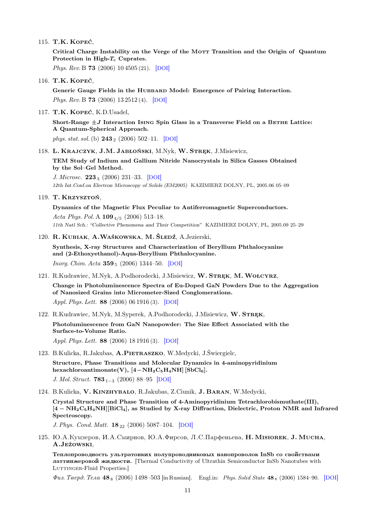115. T.K. Kopeć,

Critical Charge Instability on the Verge of the MOTT Transition and the Origin of Quantum Protection in High- $T_c$  Cuprates.

Phys. Rev. B **73** (2006) 10 4505 (21). [[DOI](http://dx.doi.org/10.1103/PhysRevB.73.104505)]

116. T.K. Kopeć,

Generic Gauge Fields in the Hubbard Model: Emergence of Pairing Interaction. Phys. Rev. B **73** (2006) 13 2512 (4). [[DOI](http://dx.doi.org/10.1103/PhysRevB.73.132512)]

117. T.K. Kopeć, K.D.Usadel,

Short-Range  $\pm J$  Interaction Ising Spin Glass in a Transverse Field on a BETHE Lattice: A Quantum-Spherical Approach.

phys. stat. sol. (b)  $243_2$  (2006) 502–11. [[DOI](http://dx.doi.org/10.1002/pssb.200541282)]

118. L. Krajczyk, J.M. Jabłoński, M.Nyk, W. Stręk, J.Misiewicz,

TEM Study of Indium and Gallium Nitride Nanocrystals in Silica Gasses Obtained by the Sol–Gel Method.

J. Microsc.  $223_3$  (2006) 231–33. [[DOI](http://dx.doi.org/10.1111/j.1365-2818.2006.01627.x)] 12th Int.Conf.on Electron Microscopy of Solids (EM2005) KAZIMIERZ DOLNY, PL, 2005.06 05–09

119. T. Krzysztoń,

Dynamics of the Magnetic Flux Peculiar to Antiferromagnetic Superconductors. Acta Phys. Pol. A  $109_{4/5}$  (2006) 513-18. 11th Natl Sch.: "Collective Phenomena and Their Competition" KAZIMIERZ DOLNY, PL, 2005.09 25–29

120. R. Kubiak, A.Waśkowska, M. Śledź, A.Jezierski,

Synthesis, X-ray Structures and Characterization of Beryllium Phthalocyanine and (2-Ethoxyethanol)-Aqua-Beryllium Phthalocyanine. *Inorg. Chim. Acta*  $359_5$  (2006) 1344–50. [[DOI](http://dx.doi.org/10.1016/j.ica.2005.10.059)]

- 121. R.Kudrawiec, M.Nyk, A.Podhorodecki, J.Misiewicz, W. Stręk, M.Wołcyrz, Change in Photoluminescence Spectra of Eu-Doped GaN Powders Due to the Aggregation of Nanosized Grains into Micrometer-Sized Conglomerations. Appl. Phys. Lett. 88 (2006) 06 1916 (3). [[DOI](http://dx.doi.org/10.1063/1.2168016)]
- 122. R.Kudrawiec, M.Nyk, M.Syperek, A.Podhorodecki, J.Misiewicz, W. STREK, Photoluminescence from GaN Nanopowder: The Size Effect Associated with the Surface-to-Volume Ratio. Appl. Phys. Lett. 88 (2006) 18 1916 (3). [[DOI](http://dx.doi.org/10.1063/1.2199489)]
- 123. B.Kulicka, R.Jakubas, A.PIETRASZKO, W.Medycki, J.Świergielc, Structure, Phase Transitions and Molecular Dynamics in 4-aminopyridinium hexachloroantimonate(V),  $[4-NH_2C_5H_4NH]$  [SbCl<sub>6</sub>]. J. Mol. Struct. 783<sub>1−3</sub> (2006) 88–95 [[DOI](http://dx.doi.org/10.1016/j.molstruc.2005.08.005)]
- 124. B.Kulicka, V. Kinzhybalo, R.Jakubas, Z.Ciunik, J. Baran, W.Medycki,

Crystal Structure and Phase Transition of 4-Aminopyridinium Tetrachlorobismuthate(III), [4 − NH2C5H4NH][BiCl4], as Studied by X-ray Diffraction, Dielectric, Proton NMR and Infrared Spectroscopy.

J. Phys. Cond. Matt.  $18_{22}$  (2006) 5087-104. [[DOI](http://dx.doi.org/10.1088/0953-8984/18/22/009)]

125. Ю.А.Кумзеров, И.А.Смирнов, Ю.А.Фирсов, Л.С.Парфеньева, **Н. Мізіокек, J. Mucha**, A.Jeżowski,

Теплопроводность ультратонких полупроводниковых нанопроволок InSb со свойствами латтинжеровой жидкости. [Thermal Conductivity of Ultrathin Semiconductor InSb Nanotubes with LUTTINGER-Fluid Properties.]

 $\Phi u$ s. Teepd. Tena 48<sub>8</sub> (2006) 1498–503 [in Russian]. Engl.in: Phys. Solid State 48<sub>8</sub> (2006) 1584–90. [[DOI](http://dx.doi.org/10.1134/S1063783406080269)]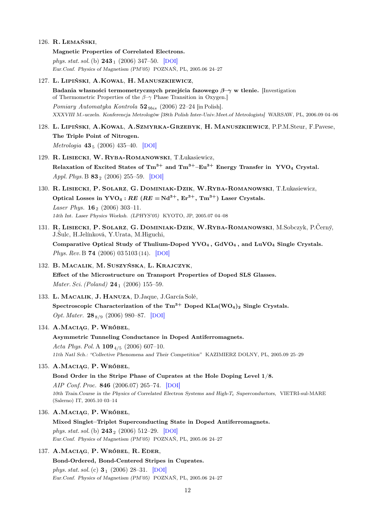- 126. R. Lemański,
	- Magnetic Properties of Correlated Electrons. phys. stat. sol. (b)  $243_1$  (2006) 347–50. [[DOI](http://dx.doi.org/10.1002/pssb.200562439)] Eur.Conf. Physics of Magnetism (PM'05) POZNAŃ, PL, 2005.06 24–27
- 127. L. Lipiński, A.Kowal, H. Manuszkiewicz, Badania własności termometrycznych przejścia fazowego  $\beta-\gamma$  w tlenie. [Investigation of Thermometric Properties of the  $\beta-\gamma$  Phase Transition in Oxygen.] Pomiary Automatyka Kontrola  $52<sub>9bis</sub>$  (2006) 22–24 [in Polish]. XXXVIII M.-uczeln. Konferencja Metrologów [38th Polish Inter-Univ.Meet.of Metrologists] WARSAW, PL, 2006.09 04–06
- 128. L. Lipiński, A.Kowal, A.Szmyrka-Grzebyk, H. Manuszkiewicz, P.P.M.Steur, F.Pavese, The Triple Point of Nitrogen. Metrologia **43**<sub>5</sub> (2006) 435–40. [[DOI](http://dx.doi.org/10.1088/0026-1394/43/5/015)]
- 129. R. Lisiecki, W. Ryba-Romanowski, T.Łukasiewicz, Relaxation of Excited States of  $\text{Tm}^{3+}$  and  $\text{Tm}^{3+}-\text{Eu}^{3+}$  Energy Transfer in YVO<sub>4</sub> Crystal. Appl. Phys. B  $83$ <sub>2</sub> (2006) 255–59. [[DOI](http://dx.doi.org/10.1007/s00340-006-2152-y)]
- 130. R. Lisiecki, P. Solarz, G. Dominiak-Dzik, W.Ryba-Romanowski, T.Łukasiewicz, Optical Losses in YVO<sub>4</sub> : RE (RE = Nd<sup>3+</sup>, Er<sup>3+</sup>, Tm<sup>3+</sup>) Laser Crystals. Laser Phys.  $16_2$  (2006) 303-11. 14th Int. Laser Physics Worksh. (LPHYS'05) KYOTO, JP, 2005.07 04–08
- 131. R. Lisiecki, P. Solarz, G. Dominiak-Dzik, W.Ryba-Romanowski, M.Sobczyk, P.Černý, J.Šulc, H.Jelínková, Y.Urata, M.Higuchi, Comparative Optical Study of Thulium-Doped YVO<sup>4</sup> , GdVO<sup>4</sup> , and LuVO<sup>4</sup> Single Crystals. Phys. Rev. B 74 (2006) 03 5103 (14). [[DOI](http://dx.doi.org/10.1103/PhysRevB.74.035103)]
- 132. B. Macalik, M. Suszyńska, L. Krajczyk, Effect of the Microstructure on Transport Properties of Doped SLS Glasses. Mater. Sci. (Poland)  $24_1$  (2006) 155–59.
- 133. L. Macalik, J. Hanuza, D.Jaque, J.García Solé, Spectroscopic Characterization of the  $Tm^{3+}$  Doped KLa(WO<sub>4</sub>)<sub>2</sub> Single Crystals. Opt. Mater.  $28_{8/9}$  (2006) 980–87. [[DOI](http://dx.doi.org/10.1016/j.optmat.2005.05.015)]

# 134. A.Maciąg, P. Wróbel,

# Asymmetric Tunneling Conductance in Doped Antiferromagnets.

Acta Phys. Pol. A  $109_{4/5}$  (2006) 607-10. 11th Natl Sch.: "Collective Phenomena and Their Competition" KAZIMIERZ DOLNY, PL, 2005.09 25–29

# 135. A.Maciąg, P. Wróbel,

# Bond Order in the Stripe Phase of Cuprates at the Hole Doping Level 1/8.

AIP Conf. Proc. 846 (2006.07) 265–74. [[DOI](http://dx.doi.org/10.1063/1.2222275)] 10th Train.Course in the Physics of Correlated Electron Systems and High-Tc Superconductors, VIETRI-sul-MARE (Salerno) IT, 2005.10 03–14

# 136. A.Maciąg, P. Wróbel,

Mixed Singlet–Triplet Superconducting State in Doped Antiferromagnets.

phys. stat. sol. (b)  $243_2$  (2006) 512–29. [[DOI](http://dx.doi.org/10.1002/pssb.200541003)] Eur.Conf. Physics of Magnetism (PM'05) POZNAŃ, PL, 2005.06 24–27

# 137. A.Maciąg, P. Wróbel, R. Eder,

Bond-Ordered, Bond-Centered Stripes in Cuprates. phys. stat. sol. (c)  $3_1$  (2006) 28–31. [[DOI](http://dx.doi.org/10.1002/pssc.200562402)] Eur.Conf. Physics of Magnetism (PM'05) POZNAŃ, PL, 2005.06 24–27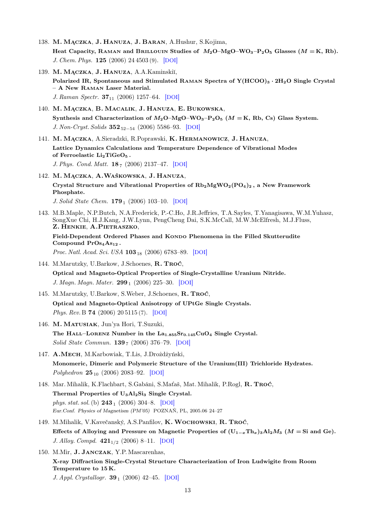- 138. M. Mączka, J. Hanuza, J. Baran, A.Hushur, S.Kojima, Heat Capacity, RAMAN and BRILLOUIN Studies of  $M_2O-MgO-WO_3-P_2O_5$  Glasses  $(M = K, Rb)$ . J. Chem. Phys. 125 (2006) 24 4503 (9). [[DOI](http://dx.doi.org/10.1063/1.2403127)]
- 139. M. MĄCZKA, J. HANUZA, A.A.Kaminskiĭ, Polarized IR, Spontaneous and Stimulated RAMAN Spectra of  $Y(HCOO)_3 \cdot 2H_2O$  Single Crystal – A New Raman Laser Material. J. Raman Spectr. **37**<sub>11</sub> (2006) 1257–64. [[DOI](http://dx.doi.org/10.1002/jrs.1546)]
- 140. M. Mączka, B. Macalik, J. Hanuza, E. Bukowska, Synthesis and Characterization of  $M_2O-MgO-WO_3-P_2O_5$  ( $M = K$ , Rb, Cs) Glass System. J. Non-Cryst. Solids **352**<sub>52−54</sub> (2006)</sub> 5586−93. [[DOI](http://dx.doi.org/10.1016/j.jnoncrysol.2006.09.009)]
- 141. M. Mączka, A.Sieradzki, R.Poprawski, K. Hermanowicz, J. Hanuza, Lattice Dynamics Calculations and Temperature Dependence of Vibrational Modes of Ferroelastic  $Li_2TiGeO_5$ . J. Phys. Cond. Matt. **18**<sup>7</sup> (2006) 2137–47. [[DOI](http://dx.doi.org/10.1088/0953-8984/18/7/003)]
- 142. M. Mączka, A.Waśkowska, J. Hanuza, Crystal Structure and Vibrational Properties of  $Rb_2MgWO_2(PO_4)_2$ , a New Framework Phosphate.

J. Solid State Chem.  $179_1$  (2006) 103-10. [[DOI](http://dx.doi.org/10.1016/j.jssc.2005.09.049)]

143. M.B.Maple, N.P.Butch, N.A.Frederick, P.-C.Ho, J.R.Jeffries, T.A.Sayles, T.Yanagisawa, W.M.Yuhasz, SongXue Chi, H.J.Kang, J.W.Lynn, PengCheng Dai, S.K.McCall, M.W.McElfresh, M.J.Fluss, Z. Henkie, A.Pietraszko,

Field-Dependent Ordered Phases and Kondo Phenomena in the Filled Skutterudite Compound PrOs<sub>4</sub>As<sub>12</sub>.

*Proc. Natl. Acad. Sci. USA*  $103_{18}$  (2006) 6783-89. [[DOI](http://dx.doi.org/10.1073/pnas.0601541103)]

- 144. M.Marutzky, U.Barkow, J.Schoenes, R. Troć, Optical and Magneto-Optical Properties of Single-Crystalline Uranium Nitride. J. Magn. Magn. Mater. 299 <sub>1</sub> (2006) 225-30. [[DOI](http://dx.doi.org/10.1016/j.jmmm.2005.04.008)]
- 145. M.Marutzky, U.Barkow, S.Weber, J.Schoenes, R. Troć, Optical and Magneto-Optical Anisotropy of UPtGe Single Crystals. Phys. Rev. B 74 (2006) 20 5115 (7). [[DOI](http://dx.doi.org/10.1103/PhysRevB.74.205115)]
- 146. M. Matusiak, Jun'ya Hori, T.Suzuki, The HALL–LORENZ Number in the  $La<sub>1.855</sub>Sr<sub>0.145</sub>CuO<sub>4</sub>$  Single Crystal. Solid State Commun. **139**7 (2006) 376–79. [[DOI](http://dx.doi.org/10.1016/j.ssc.2006.06.024)]
- 147. A.Mech, M.Karbowiak, T.Lis, J.Drożdżyński, Monomeric, Dimeric and Polymeric Structure of the Uranium(III) Trichloride Hydrates. Polyhedron  $25_{10}$  (2006) 2083–92. [[DOI](http://dx.doi.org/10.1016/j.poly.2006.01.004)]
- 148. Mar. Mihalik, K.Flachbart, S.Gabáni, S.Maťaš, Mat. Mihalik, P.Rogl, R. Troć, Thermal Properties of U<sub>3</sub>Al<sub>2</sub>Si<sub>3</sub> Single Crystal. phys. stat. sol. (b)  $243_1$  (2006) 304–8. [[DOI](http://dx.doi.org/10.1002/pssb.200562433)] Eur.Conf. Physics of Magnetism (PM'05) POZNAŃ, PL, 2005.06 24–27
- 149. M.Mihalik, V.Kavečanský, A.S.Panfilov, K. Wochowski, R. Troć, Effects of Alloying and Pressure on Magnetic Properties of  $(U_{1-x}Th_x)_{3}A_{2}M_3$  ( $M = Si$  and Ge). J. Alloy. Compd.  $421_{1/2}$  (2006) 8-11. [[DOI](http://dx.doi.org/10.1016/j.jallcom.2005.11.005)]
- 150. M.Mir, J. Janczak, Y.P. Mascarenhas, X-ray Diffraction Single-Crystal Structure Characterization of Iron Ludwigite from Room Temperature to 15 K.

J. Appl. Crystallogr.  $39_1$  (2006) 42–45. [[DOI](http://dx.doi.org/10.1107/S0021889805036344)]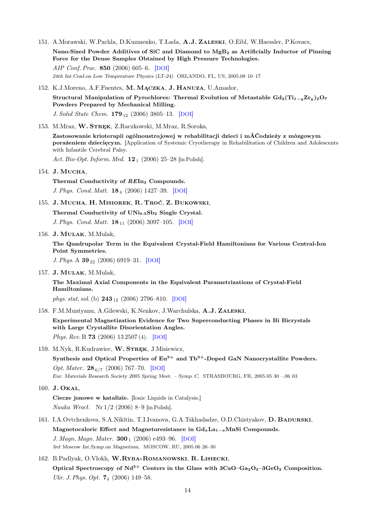- 151. A.Morawski, W.Pachla, D.Kuzmenko, T.Łada, A.J. Zaleski, O.Eibl, W.Haessler, P.Kovacs, Nano-Sized Powder Additives of SiC and Diamond to MgB<sup>2</sup> as Artificially Inductor of Pinning Force for the Dense Samples Obtained by High Pressure Technologies. AIP Conf. Proc. 850 (2006) 605–6. [[DOI](http://dx.doi.org/10.1063/1.2354855)] 24th Int.Conf.on Low Temperature Physics (LT-24) ORLANDO, FL, US, 2005.08 10–17
- 152. K.J.Moreno, A.F.Fuentes, M. Mączka, J. Hanuza, U.Amador,

Structural Manipulation of Pyrochlores: Thermal Evolution of Metastable  $Gd_2(Ti_{1-y}Zr_y)_2O_7$ Powders Prepared by Mechanical Milling. J. Solid State Chem.  $179_{12}$  (2006) 3805–13. [[DOI](http://dx.doi.org/10.1016/j.jssc.2006.08.023)]

153. M.Mraz, W. Stręk, Z.Raczkowski, M.Mraz, R.Soroka,

Zastosowanie krioterapii ogólnoustrojowej w rehabilitacji dzieci i mÅĆodzieży z mózgowym porażeniem dziecięcym. [Application of Systemic Cryotherapy in Rehabilitation of Children and Adolescents with Infantile Cerebral Palsy.

Act. Bio-Opt. Inform. Med.  $12_1$  (2006) 25-28 [in Polish].

154. J. MUCHA,

Thermal Conductivity of REIn<sub>3</sub> Compounds. J. Phys. Cond. Matt. 18<sup>4</sup> (2006) 1427–39. [[DOI](http://dx.doi.org/10.1088/0953-8984/18/4/026)]

155. J. Mucha, H. Misiorek, R. Troć, Z. Bukowski,

Thermal Conductivity of  $UNi<sub>0.5</sub>Sb<sub>2</sub>$  Single Crystal.

J. Phys. Cond. Matt.  $18_{11}$  (2006) 3097-105. [[DOI](http://dx.doi.org/10.1088/0953-8984/18/11/015)]

156. J. Mulak, M.Mulak,

The Quadrupolar Term in the Equivalent Crystal-Field Hamiltonians for Various Central-Ion Point Symmetries.

J. Phys. A  $39_{22}$  (2006) 6919–31. [[DOI](http://dx.doi.org/10.1088/0305-4470/39/22/008)]

157. J. Mulak, M.Mulak,

The Maximal Axial Components in the Equivalent Parametrizations of Crystal-Field Hamiltonians.

phys. stat. sol. (b)  $243_{12}$  (2006) 2796–810. [[DOI](http://dx.doi.org/10.1002/pssb.200542011)]

158. F.M.Muntyanu, A.Gilewski, K.Nenkov, J.Warchulska, A.J. Zaleski,

Experimental Magnetization Evidence for Two Superconducting Phases in Bi Bicrystals with Large Crystallite Disorientation Angles. Phys. Rev. B **73** (2006) 13 2507 (4). [[DOI](http://dx.doi.org/10.1103/PhysRevB.73.132507)]

159. M.Nyk, R.Kudrawiec, W. STREK, J.Misiewicz,

Synthesis and Optical Properties of  $Eu^{3+}$  and  $Tb^{3+}$ -Doped GaN Nanocrystallite Powders. Opt. Mater. 28<sub>6/7</sub> (2006) 767-70. [[DOI](http://dx.doi.org/10.1016/j.optmat.2005.09.020)] Eur. Materials Research Society 2005 Spring Meet. – Symp. C, STRASBOURG, FR, 2005.05 30 –.06 03

160. J. Okal,

Ciecze jonowe w katalizie. [Ionic Liquids in Catalysis.] Nauka Wrocł. Nr 1/2 (2006) 8–9 [in Polish].

- 161. I.A.Ovtchenkova, S.A.Nikitin, T.I.Ivanova, G.A.Tskhadadze, O.D.Chistyakov, D. Badurski, Magnetocaloric Effect and Magnetoresistance in  $Gd_xLa_{1-x}MnSi$  Compounds. J. Magn. Magn. Mater.  $300_1$  (2006) e493-96. [[DOI](http://dx.doi.org/10.1016/j.jmmm.2005.10.201)] 3rd Moscow Int.Symp.on Magnetism, MOSCOW, RU, 2005.06 26–30
- 162. B.Padlyak, O.Vlokh, W.RYBA-ROMANOWSKI, R. LISIECKI, Optical Spectroscopy of  $Nd^{3+}$  Centers in the Glass with  $3CaO-Ga_2O_3-3GeO_2$  Composition. Ukr. J. Phys. Opt. 7<sub>4</sub> (2006) 149-58.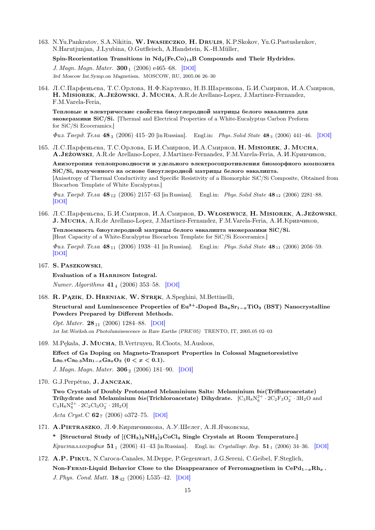163. N.Yu.Pankratov, S.A.Nikitin, W. IWASIECZKO, H. DRULIS, K.P.Skokov, Yu.G.Pastushenkov, N.Harutjunjan, J.Lyubina, O.Gutfleisch, A.Handstein, K.-H.Müller,

Spin-Reorientation Transitions in  $Nd_2(Fe, Co)_{14}B$  Compounds and Their Hydrides.

J. Magn. Magn. Mater.  $300_1$  (2006) e465–68. [[DOI](http://dx.doi.org/10.1016/j.jmmm.2005.10.195)] 3rd Moscow Int.Symp.on Magnetism, MOSCOW, RU, 2005.06 26–30

164. Л.С.Парфеньева, Т.С.Орлова, Н.Ф.Картенко, Н.В.Шаренкова, Б.И.Смирнов, И.А.Смирнов, H. Misiorek, A.Jeżowski, J. Mucha, A.R.de Arellano-Lopez, J.Martinez-Fernandez, F.M.Varela-Feria,

Тепловые и электрические свойства биоуглеродной матрицы белого эквалипта для зkokeramiki SiC/Si. [Thermal and Electrical Properties of a White-Eucalyptus Carbon Preform for SiC/Si Ecoceramics.]

 $\Phi u$ s. Teepd. Tena 483 (2006) 415–20 [in Russian]. Engl.in: Phys. Solid State 483 (2006) 441–46. [[DOI](http://dx.doi.org/10.1134/S1063783406030061)]

165. Л.С.Парфеньева, Т.С.Орлова, Б.И.Смирнов, И.А.Смирнов, **Н. Мізіокек, J. Mucha**, A.JEŻOWSKI, A.R.de Arellano-Lopez, J.Martinez-Fernandez, F.M.Varela-Feria, A.*II.Kpubukob*,

Анизотропия теплопроводности и удельного электросопротивления биоморфного композита  $SiC/Si$ , полученного на основе биоуглеродной матрицы белого эвкалипта. [Anisotropy of Thermal Conductivity and Specific Resistivity of a Biomorphic SiC/Si Composite, Obtained from Biocarbon Template of White Eucalyptus.]

 $\Phi u$ з. Тверд. Тела 48<sub>12</sub> (2006) 2157–63 [in Russian]. Engl.in: Phys. Solid State 48<sub>12</sub> (2006) 2281–88. [[DOI](http://dx.doi.org/10.1134/S1063783406120079)]

- 166. Л.С.Парфеньева, Б.И.Смирнов, И.А.Смирнов, D. Włosewicz, H. Misiorek, A.Jeżowski, J. MUCHA, A.R.de Arellano-Lopez, J.Martinez-Fernandez, F.M.Varela-Feria, A.H.KpuBuukob, Теплоемкость биоуглеродной матрицы белого эвкалипта экокерамики SiC/Si. [Heat Capacity of a White-Eucalyptus Biocarbon Template for SiC/Si Ecoceramics.]  $\Phi u$ s. Teepd. Tena 48<sub>11</sub> (2006) 1938–41 [in Russian]. Engl.in: Phys. Solid State 48<sub>11</sub> (2006) 2056–59. [[DOI](http://dx.doi.org/10.1134/S1063783406110035)]
- 167. S. Paszkowski,

Evaluation of a HARRISON Integral.

Numer. Algorithms  $41_4$  (2006) 353-58. [[DOI](http://dx.doi.org/10.1080/01411590600892450)]

168. R. Pązik, D. Hreniak, W. Stręk, A.Speghini, M.Bettinelli,

Structural and Luminescence Properties of  $Eu^{3+}$ -Doped  $Ba_xSr_{1-x}TiO_3$  (BST) Nanocrystalline Powders Prepared by Different Methods.

Opt. Mater. 28<sub>11</sub> (2006) 1284–88. [[DOI](http://dx.doi.org/10.1016/j.optmat.2006.01.022)] 1st Int.Worksh.on Photoluminescence in Rare Earths (PRE'05) TRENTO, IT, 2005.05 02–03

169. M.Pękała, J. Mucha, B.Vertruyen, R.Cloots, M.Ausloos,

Effect of Ga Doping on Magneto-Transport Properties in Colossal Magnetoresistive La<sub>0.7</sub>Ca<sub>0.3</sub>Mn<sub>1−x</sub>Ga<sub>x</sub>O<sub>3</sub> (0 < x < 0.1). J. Magn. Magn. Mater.  $306_2$  (2006) 181–90. [[DOI](http://dx.doi.org/10.1016/j.jmmm.2006.02.241)]

170. G.J.Perpétuo, J. Janczak,

Two Crystals of Doubly Protonated Melaminium Salts: Melaminium bis(Trifluoroacetate) Trihydrate and Melaminium bis(Trichloroacetate) Dihydrate.  $\rm [C_3H_8N_6^{2+} \cdot 2C_2F_3O_2^- \cdot 3H_2O$  and  $C_3H_8N_6^{2+} \cdot 2C_2Cl_3O_2^- \cdot 2H_2O$ Acta Cryst. C  $62_7$  (2006) o372-75. [[DOI](http://dx.doi.org/10.1107/S0108270106015873)]

171. A.PIETRASZKO, Л.Ф.Кирпичникова, А.У.Шелег, А.Я.Ячковскы,

\* [Structural Study of  $[(CH_3)_2NH_2]_2$ CoCl<sub>4</sub> Single Crystals at Room Temperature.]  $Kpucma.a.02pa\phi u\pi$  51  $_1$  (2006) 41–43 [in Russian]. Engl. in: Crystallogr. Rep. 51  $_1$  (2006) 34–36. [[DOI](http://dx.doi.org/10.1134/S106377450601007X)]

172. A.P. Pikul, N.Caroca-Canales, M.Deppe, P.Gegenwart, J.G.Sereni, C.Geibel, F.Steglich, Non-FERMI-Liquid Behavior Close to the Disappearance of Ferromagnetism in CePd<sub>1-x</sub>Rh<sub>x</sub>. J. Phys. Cond. Matt. 18<sup>42</sup> (2006) L535–42. [[DOI](http://dx.doi.org/10.1088/0953-8984/18/42/L01)]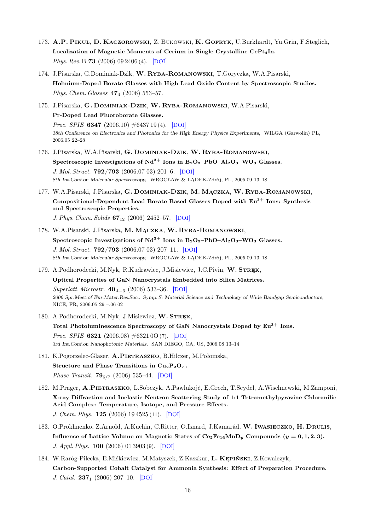- 173. A.P. Pikul, D. Kaczorowski, Z. Bukowski, K. Gofryk, U.Burkhardt, Yu.Grin, F.Steglich, Localization of Magnetic Moments of Cerium in Single Crystalline CePt<sub>4</sub>In. Phys. Rev. B **73** (2006) 09 2406 (4). [[DOI](http://dx.doi.org/10.1103/PhysRevB.73.092406)]
- 174. J.Pisarska, G.Dominiak-Dzik, W. Ryba-Romanowski, T.Goryczka, W.A.Pisarski, Holmium-Doped Borate Glasses with High Lead Oxide Content by Spectroscopic Studies. Phys. Chem. Glasses  $47_4$  (2006) 553-57.
- 175. J.Pisarska, G. Dominiak-Dzik, W. Ryba-Romanowski, W.A.Pisarski, Pr-Doped Lead Fluoroborate Glasses. *Proc. SPIE* **6347** (2006.10)  $\#643719(4)$ . [[DOI](http://dx.doi.org/10.1117/12.714660)] 18th Conference on Electronics and Photonics for the High Energy Physics Experiments, WILGA (Garwolin) PL, 2006.05 22–28
- 176. J.Pisarska, W.A.Pisarski, G. Dominiak-Dzik, W. Ryba-Romanowski, Spectroscopic Investigations of  $Nd^{3+}$  Ions in B<sub>2</sub>O<sub>3</sub>–PbO–Al<sub>2</sub>O<sub>3</sub>–WO<sub>3</sub> Glasses. J. Mol. Struct. 792/793 (2006.07 03) 201–6. [[DOI](http://dx.doi.org/10.1016/j.molstruc.2006.01.061)] 8th Int.Conf.on Molecular Spectroscopy, WROCŁAW & LĄDEK-Zdrój, PL, 2005.09 13–18
- 177. W.A.Pisarski, J.Pisarska, G. Dominiak-Dzik, M. Mączka, W. Ryba-Romanowski, Compositional-Dependent Lead Borate Based Glasses Doped with  $Eu^{3+}$  Ions: Synthesis and Spectroscopic Properties. J. Phys. Chem. Solids  $67_{12}$  (2006) 2452–57. [[DOI](http://dx.doi.org/10.1016/j.jpcs.2006.06.022)]
- 178. W.A.Pisarski, J.Pisarska, M. Mączka, W. Ryba-Romanowski, Spectroscopic Investigations of  $Nd^{3+}$  Ions in  $B_2O_3-PbO-Al_2O_3-WO_3$  Glasses. J. Mol. Struct. 792/793 (2006.07 03) 207–11. [[DOI](http://dx.doi.org/10.1016/j.molstruc.2006.01.062)] 8th Int.Conf.on Molecular Spectroscopy, WROCŁAW & LĄDEK-Zdrój, PL, 2005.09 13–18
- 179. A.Podhorodecki, M.Nyk, R.Kudrawiec, J.Misiewicz, J.C.Pivin, W. STREK,

Optical Properties of GaN Nanocrystals Embedded into Silica Matrices. Superlatt. Microstr.  $40<sub>4−6</sub>$  (2006) 533–36. [[DOI](http://dx.doi.org/10.1016/j.spmi.2006.06.004)] 2006 Spr.Meet.of Eur.Mater.Res.Soc.: Symp. S: Material Science and Technology of Wide Bandgap Semiconductors, NICE, FR, 2006.05 29 –.06 02

- 180. A.Podhorodecki, M.Nyk, J.Misiewicz, W. STREK, Total Photoluminescence Spectroscopy of GaN Nanocrystals Doped by  $Eu^{3+}$  Ions. Proc. SPIE 6321 (2006.08) #6321 0O (7). [[DOI](http://dx.doi.org/10.1117/12.678276)] 3rd Int.Conf.on Nanophotonic Materials, SAN DIEGO, CA, US, 2006.08 13–14
- 181. K.Pogorzelec-Glaser, A.PIETRASZKO, B.Hilczer, M.Połomska, Structure and Phase Transitions in  $Cu_2P_2O_7$ . Phase Transit.  $79_{6/7}$  (2006) 535–44. [[DOI](http://dx.doi.org/10.1080/01411590600892450)]
- 182. M.Prager, A.Pietraszko, L.Sobczyk, A.Pawlukojć, E.Grech, T.Seydel, A.Wischnewski, M.Zamponi, X-ray Diffraction and Inelastic Neutron Scattering Study of 1:1 Tetramethylpyrazine Chloranilic Acid Complex: Temperature, Isotope, and Pressure Effects. J. Chem. Phys. 125 (2006) 19 4525 (11). [[DOI](http://dx.doi.org/10.1063/1.2358347)]
- 183. O.Prokhnenko, Z.Arnold, A.Kuchin, C.Ritter, O.Isnard, J.Kamarád, W. Iwasieczko, H. Drulis, Influence of Lattice Volume on Magnetic States of  $Ce_2Fe_{16}MnD_y$  Compounds  $(y = 0, 1, 2, 3)$ . J. Appl. Phys. 100 (2006) 01 3903 (9). [[DOI](http://dx.doi.org/10.1063/1.2208290)]
- 184. W.Raróg-Pilecka, E.Miśkiewicz, M.Matyszek, Z.Kaszkur, L. Kępiński, Z.Kowalczyk, Carbon-Supported Cobalt Catalyst for Ammonia Synthesis: Effect of Preparation Procedure. J. Catal.  $237_1$  (2006) 207-10. [[DOI](http://dx.doi.org/10.1016/j.jcat.2005.10.029)]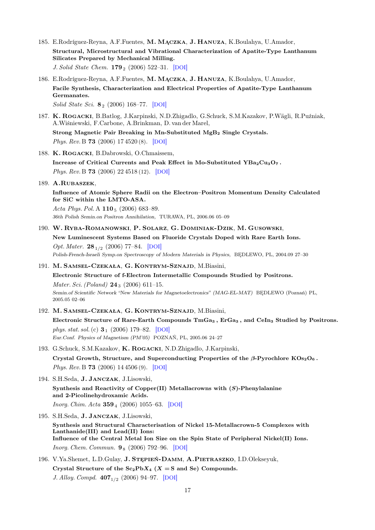- 185. E.Rodríguez-Reyna, A.F.Fuentes, M. Mączka, J. Hanuza, K.Boulahya, U.Amador, Structural, Microstructural and Vibrational Characterization of Apatite-Type Lanthanum Silicates Prepared by Mechanical Milling. J. Solid State Chem. **179** (2006) 522-31. [[DOI](http://dx.doi.org/10.1016/j.jssc.2005.11.008)]
- 186. E.Rodríguez-Reyna, A.F.Fuentes, M. Mączka, J. Hanuza, K.Boulahya, U.Amador, Facile Synthesis, Characterization and Electrical Properties of Apatite-Type Lanthanum Germanates.

Solid State Sci. 8<sup>2</sup> (2006) 168–77. [[DOI](http://dx.doi.org/10.1016/j.jsolidstatesciences.2005.11.004)]

187. K. Rogacki, B.Batlog, J.Karpinski, N.D.Zhigadlo, G.Schuck, S.M.Kazakov, P.Wägli, R.Puźniak, A.Wiśniewski, F.Carbone, A.Brinkman, D. van der Marel,

Strong Magnetic Pair Breaking in Mn-Substituted MgB<sup>2</sup> Single Crystals. Phys. Rev. B 73 (2006) 17 4520 (8). [[DOI](http://dx.doi.org/10.1103/PhysRevB.73.174520)]

188. K. Rogacki, B.Dabrowski, O.Chmaissem,

Increase of Critical Currents and Peak Effect in Mo-Substituted  $YBa_2Cu_3O_7$ . Phys. Rev. B **73** (2006) 22 4518 (12). [[DOI](http://dx.doi.org/10.1103/PhysRevB.73.224518)]

189. A.Rubaszek,

Influence of Atomic Sphere Radii on the Electron–Positron Momentum Density Calculated for SiC within the LMTO-ASA.

Acta Phys. Pol. A  $110_5$  (2006) 683-89. 36th Polish Semin.on Positron Annihilation, TURAWA, PL, 2006.06 05–09

### 190. W. Ryba-Romanowski, P. Solarz, G. Dominiak-Dzik, M. Gusowski,

New Luminescent Systems Based on Fluoride Crystals Doped with Rare Earth Ions. Opt. Mater.  $28_{1/2}$  (2006) 77–84. [[DOI](http://dx.doi.org/10.1016/j.optmat.2004.10.030)] Polish-French-Israeli Symp.on Spectroscopy of Modern Materials in Physics, BĘDLEWO, PL, 2004.09 27–30

191. M. Samsel-Czekała, G. Kontrym-Sznajd, M.Biasini,

Electronic Structure of f-Electron Intermetallic Compounds Studied by Positrons. Mater. Sci. (Poland)  $24_3$  (2006) 611-15. Semin.of Scientific Network "New Materials for Magnetoelectronics" (MAG-EL-MAT) BĘDLEWO (Poznań) PL, 2005.05 02–06

### 192. M. Samsel-Czekała, G. Kontrym-Sznajd, M.Biasini,

Electronic Structure of Rare-Earth Compounds  $TmGa<sub>3</sub>$ , ErGa<sub>3</sub>, and CeIn<sub>3</sub> Studied by Positrons. phys. stat. sol. (c)  $3_1$  (2006) 179–82. [[DOI](http://dx.doi.org/10.1002/pssc.200562486)] Eur.Conf. Physics of Magnetism (PM'05) POZNAŃ, PL, 2005.06 24–27

- 193. G.Schuck, S.M.Kazakov, K. Rogacki, N.D.Zhigadlo, J.Karpinski, Crystal Growth, Structure, and Superconducting Properties of the  $\beta$ -Pyrochlore KOs<sub>2</sub>O<sub>6</sub>. Phys. Rev. B 73 (2006) 14 4506 (9). [[DOI](http://dx.doi.org/10.1103/PhysRevB.73.144506)]
- 194. S.H.Seda, J. Janczak, J.Lisowski,

Synthesis and Reactivity of Copper(II) Metallacrowns with  $(S)$ -Phenylalanine and 2-Picolinehydroxamic Acids. *Inorg. Chim. Acta*  $359_4$  (2006) 1055–63. [[DOI](http://dx.doi.org/10.1016/j.ica.2005.11.019)]

- 195. S.H.Seda, J. Janczak, J.Lisowski, Synthesis and Structural Characterisation of Nickel 15-Metallacrown-5 Complexes with Lanthanide(III) and Lead(II) Ions: Influence of the Central Metal Ion Size on the Spin State of Peripheral Nickel(II) Ions. *Inorg. Chem. Commun.*  $9_8$  (2006) 792–96. [[DOI](http://dx.doi.org/10.1016/j.inoche.2006.04.026)]
- 196. V.Ya.Shemet, L.D.Gulay, J. Stępień-Damm, A.Pietraszko, I.D.Olekseyuk, Crystal Structure of the  $Sc_2PbX_4$  (X = S and Se) Compounds. J. Alloy. Compd.  $407_{1/2}$  (2006) 94–97. [[DOI](http://dx.doi.org/10.1016/j.jallcom.2005.04.207)]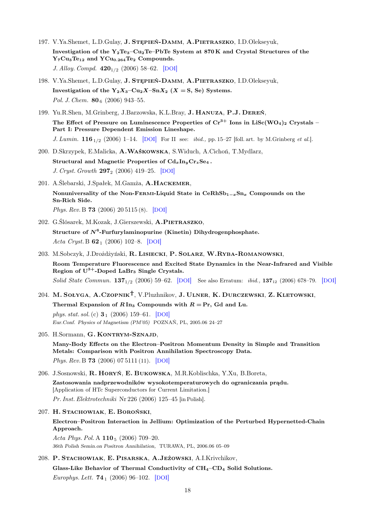- 197. V.Ya.Shemet, L.D.Gulay, J. STĘPIEŃ-DAMM, A.PIETRASZKO, I.D.Olekseyuk, Investigation of the Y2Te3–Cu2Te–PbTe System at 870 K and Crystal Structures of the  $Y_7Cu_3Te_{12}$  and  $YCu_{0.264}Te_2$  Compounds. J. Alloy. Compd.  $420_{1/2}$  (2006) 58–62. [[DOI](http://dx.doi.org/10.1016/j.jallcom.2005.10.023)]
- 198. V.Ya.Shemet, L.D.Gulay, J. Stępień-Damm, A.Pietraszko, I.D.Olekseyuk, Investigation of the  $Y_2X_3-Cu_2X-SnX_2$  (X = S, Se) Systems. Pol. J. Chem.  $80<sub>6</sub>$  (2006) 943-55.
- 199. Yu.R.Shen, M.Grinberg, J.Barzowska, K.L.Bray, J. Hanuza, P.J. Dereń, The Effect of Pressure on Luminescence Properties of  $Cr^{3+}$  Ions in LiSc(WO<sub>4</sub>)<sub>2</sub> Crystals – Part I: Pressure Dependent Emission Lineshape. J. Lumin.  $116_{1/2}$  (2006) 1–14. [[DOI](http://dx.doi.org/10.1016/j.jlumin.2005.02.010)] For II see: *ibid.*, pp. 15–27 [foll. art. by M.Grinberg *et al.*].
- 200. D.Skrzypek, E.Malicka, A.Waśkowska, S.Widuch, A.Cichoń, T.Mydlarz, Structural and Magnetic Properties of  $Cd_xIn_yCr_zSe_4$ . J. Cryst. Growth  $297_2$  (2006) 419–25. [[DOI](http://dx.doi.org/10.1016/j.jcrysgro.2006.10.104)]
- 201. A.Ślebarski, J.Spałek, M.Gamża, A.Hackemer, Nonuniversality of the Non-FERMI-Liquid State in CeRhSb<sub>1</sub> $-x$ Sn<sub>x</sub> Compounds on the Sn-Rich Side. Phys. Rev. B **73** (2006) 20 5115 (8). [[DOI](http://dx.doi.org/10.1103/PhysRevB.73.205115)]
- 202. G.Ślósarek, M.Kozak, J.Gierszewski, A.Pietraszko, Structure of  $N^6$ -Furfurylaminopurine (Kinetin) Dihydrogenphosphate. Acta Cryst. B  $62_1$  (2006) 102–8. [[DOI](http://dx.doi.org/10.1107/S010876810502673X)]
- 203. M.Sobczyk, J.Drożdżyński, R. Lisiecki, P. Solarz, W.Ryba-Romanowski, Room Temperature Fluorescence and Excited State Dynamics in the Near-Infrared and Visible Region of  $U^{3+}$ -Doped LaBr<sub>3</sub> Single Crystals. Solid State Commun.  $137_{1/2}$  (2006) 59–62. [[DOI](http://dx.doi.org/10.1016/j.ssc.2006.01.036)] See also Erratum: *ibid.*,  $137_{12}$  (2006) 678–79. [DOI]
- 204. M. Sołyga, A.Czopnik<sup>†</sup>, V.Pluzhnikov, J. Ulner, K. Durczewski, Z. Kletowski, Thermal Expansion of  $R \, \text{In}_3$  Compounds with  $R = \text{Pr}$ , Gd and Lu.

phys. stat. sol. (c)  $3_1$  (2006) 159–61. [[DOI](http://dx.doi.org/10.1002/pssc.200562486)] Eur.Conf. Physics of Magnetism (PM'05) POZNAŃ, PL, 2005.06 24–27

205. H.Sormann, G. KONTRYM-SZNAJD,

Many-Body Effects on the Electron–Positron Momentum Density in Simple and Transition Metals: Comparison with Positron Annihilation Spectroscopy Data. Phys. Rev. B **73** (2006) 07 5111 (11). [[DOI](http://dx.doi.org/10.1103/PhysRevB.73.075111)]

- 206. J.Sosnowski, R. Horyń, E. Bukowska, M.R.Koblischka, Y.Xu, B.Boreta, Zastosowania nadprzewodników wysokotemperaturowych do ograniczania prądu. [Application of HTc Superconductors for Current Limitation.] Pr. Inst. Elektrotechniki Nr 226 (2006) 125–45 [in Polish].
- 207. H. Stachowiak, E. Boroński, Electron–Positron Interaction in Jellium: Optimization of the Perturbed Hypernetted-Chain Approach. Acta Phys. Pol. A  $110_5$  (2006) 709–20.
	- 36th Polish Semin.on Positron Annihilation, TURAWA, PL, 2006.06 05–09
- 208. P. Stachowiak, E. Pisarska, A.Jeżowski, A.I.Krivchikov, Glass-Like Behavior of Thermal Conductivity of  $CH_4$ – $CD_4$  Solid Solutions. Europhys. Lett.  $74_1$  (2006) 96–102. [[DOI](http://dx.doi.org/10.1209/epl/i2005-10508-1)]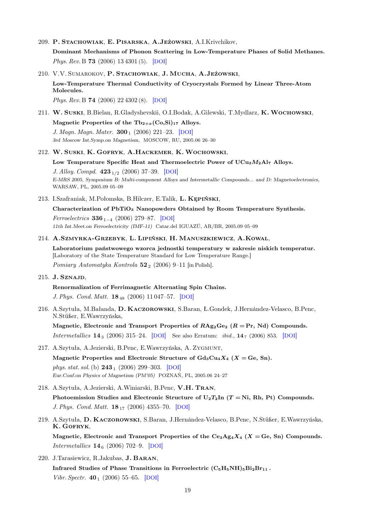209. P. Stachowiak, E. Pisarska, A.Jeżowski, A.I.Krivchikov,

Dominant Mechanisms of Phonon Scattering in Low-Temperature Phases of Solid Methanes. Phys. Rev. B 73 (2006) 13 4301 (5). [[DOI](http://dx.doi.org/10.1103/PhysRevB.73.134301)]

210. V.V. Sumarokov, P. Stachowiak, J. Mucha, A.Jeżowski, Low-Temperature Thermal Conductivity of Cryocrystals Formed by Linear Three-Atom Molecules.

Phys. Rev. B 74 (2006) 22 4302 (8). [[DOI](http://dx.doi.org/10.1103/PhysRevB.74.224302)]

211. W. Suski, B.Bielan, R.Gladyshevskii, O.I.Bodak, A.Gilewski, T.Mydlarz, K. Wochowski,

Magnetic Properties of the  $\text{Tb}_{2+x}(\text{Co},\text{Si})_{17}$  Alloys. J. Magn. Magn. Mater.  $300_1$  (2006) 221-23. [[DOI](http://dx.doi.org/10.1016/j.jmmm.2005.10.067)] 3rd Moscow Int.Symp.on Magnetism, MOSCOW, RU, 2005.06 26–30

#### 212. W. Suski, K. Gofryk, A.Hackemer, K.Wochowski,

Low Temperature Specific Heat and Thermoelectric Power of  $UCu<sub>3</sub>M<sub>2</sub>Al<sub>7</sub>$  Alloys.

J. Alloy. Compd.  $423_{1/2}$  (2006) 37-39. [[DOI](http://dx.doi.org/10.1016/j.jallcom.2005.12.049)] E-MRS 2005, Symposium B: Multi-component Alloys and Intermetallic Compounds... and D: Magnetoelectronics, WARSAW, PL, 2005.09 05–09

#### 213. I.Szafraniak, M.Połomska, B.Hilczer, E.Talik, L. Kępiński,

Characterization of PbTiO<sub>3</sub> Nanopowders Obtained by Room Temperature Synthesis. *Ferroelectrics* 336<sub>1−4</sub> (2006) 279−87. [[DOI](http://dx.doi.org/10.1080/00150190600697939)] 11th Int.Meet.on Ferroelectricity (IMF-11) Catar.del IGUAZÚ, AR/BR, 2005.09 05–09

214. A.Szmyrka-Grzebyk, L. Lipiński, H. Manuszkiewicz, A.Kowal,

Laboratorium państwowego wzorca jednostki temperatury w zakresie niskich temperatur. [Laboratory of the State Temperature Standard for Low Temperature Range.]

Pomiary Automatyka Kontrola  $52_2$  (2006) 9–11 [in Polish].

215. J. Sznajd,

Renormalization of Ferrimagnetic Alternating Spin Chains.

J. Phys. Cond. Matt. 18<sup>48</sup> (2006) 11 047–57. [[DOI](http://dx.doi.org/10.1088/0953-8984/18/48/032)]

216. A.Szytuła, M.Bałanda, D. Kaczorowski, S.Baran, Ł.Gondek, J.Hernández-Velasco, B.Penc, N.Stüßer, E.Wawrzyńska,

Magnetic, Electronic and Transport Properties of  $RAg_2Ge_2$   $(R = Pr, Nd)$  Compounds. *Intermetallics*  $14_3$  (2006) 315–24. [[DOI](http://dx.doi.org/10.1016/j.intermet.2006.01.001)] See also Erratum: *ibid.*,  $14_7$  (2006) 853. [DOI]

- 217. A.Szytuła, A.Jezierski, B.Penc, E.Wawrzyńska, A. Zygmunt, Magnetic Properties and Electronic Structure of  $Gd_3Cu_4X_4$  (X = Ge, Sn). phys. stat. sol. (b)  $243_1$  (2006) 299–303. [[DOI](http://dx.doi.org/10.1002/pssb.200562506)] Eur.Conf.on Physics of Magnetism (PM'05) POZNAŃ, PL, 2005.06 24–27
- 218. A.Szytuła, A.Jezierski, A.Winiarski, B.Penc, V.H. Tran, Photoemission Studies and Electronic Structure of  $U_2T_2In$  ( $T = Ni$ , Rh, Pt) Compounds. J. Phys. Cond. Matt.  $18_{17}$  (2006) 4355–70. [[DOI](http://dx.doi.org/10.1088/0953-8984/18/17/021)]
- 219. A.Szytuła, D. Kaczorowski, S.Baran, J.Hernández-Velasco, B.Penc, N.Stüßer, E.Wawrzyńska, K. Gofryk, Magnetic, Electronic and Transport Properties of the  $Ce<sub>3</sub>Ag<sub>4</sub>X<sub>4</sub>$  (X = Ge, Sn) Compounds. *Intermetallics*  $14_6$  (2006) 702–9. [[DOI](http://dx.doi.org/10.1016/j.intermet.2005.11.004)]
- 220. J.Tarasiewicz, R.Jakubas, J. Baran,

Infrared Studies of Phase Transitions in Ferroelectric  $(C_5H_5NH)_5Bi_2Br_{11}$ . Vibr. Spectr.  $40_1$  (2006) 55–65. [[DOI](http://dx.doi.org/10.1016/j.vibspec.2005.07.003)]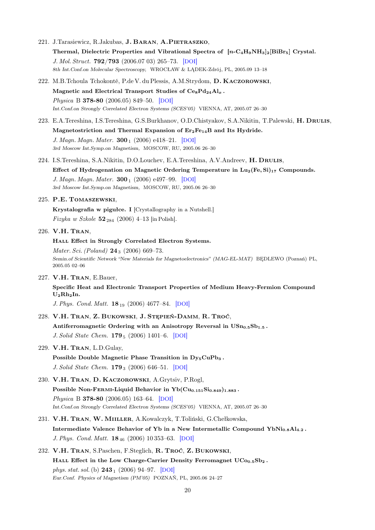- 221. J.Tarasiewicz, R.Jakubas, J. BARAN, A.PIETRASZKO, Thermal, Dielectric Properties and Vibrational Spectra of  $[n-C_4H_9NH_3]_2[BiBr_5]$  Crystal. J. Mol. Struct. 792/793 (2006.07 03) 265–73. [[DOI](http://dx.doi.org/10.1016/j.molstruc.2005.11.046)] 8th Int.Conf.on Molecular Spectroscopy, WROCŁAW & LĄDEK-Zdrój, PL, 2005.09 13–18
- 222. M.B.Tchoula Tchokonté, P.de V. du Plessis, A.M.Strydom, D. Kaczorowski, Magnetic and Electrical Transport Studies of  $Ce_8Pd_{24}Al_x$ . Physica B 378-80 (2006.05) 849–50. [[DOI](http://dx.doi.org/10.1016/j.physb.2006.01.313)] Int.Conf.on Strongly Correlated Electron Systems (SCES'05) VIENNA, AT, 2005.07 26–30
- 223. E.A.Tereshina, I.S.Tereshina, G.S.Burkhanov, O.D.Chistyakov, S.A.Nikitin, T.Palewski, H. DRULIS, Magnetostriction and Thermal Expansion of  $Er_2Fe_{14}B$  and Its Hydride. J. Magn. Magn. Mater.  $300_1$  (2006) e418-21. [[DOI](http://dx.doi.org/10.1016/j.jmmm.2005.10.181)] 3rd Moscow Int.Symp.on Magnetism, MOSCOW, RU, 2005.06 26–30
- 224. I.S.Tereshina, S.A.Nikitin, D.O.Louchev, E.A.Tereshina, A.V.Andreev, H. DRULIS, Effect of Hydrogenation on Magnetic Ordering Temperature in  $Lu_2(Fe, Si)_{17}$  Compounds. J. Magn. Magn. Mater.  $300_1$  (2006) e497-99. [[DOI](http://dx.doi.org/10.1016/j.jmmm.2005.10.202)] 3rd Moscow Int.Symp.on Magnetism, MOSCOW, RU, 2005.06 26–30
- 225. P.E. Tomaszewski,

Krystalografia w pigułce. I [Crystallography in a Nutshell.] *Fizyka w Szkole*  $52_{284}$  (2006) 4–13 [in Polish].

# 226. V.H. Tran,

HALL Effect in Strongly Correlated Electron Systems. Mater. Sci. (Poland)  $24_3$  (2006) 669–73. Semin.of Scientific Network "New Materials for Magnetoelectronics" (MAG-EL-MAT) BĘDLEWO (Poznań) PL, 2005.05 02–06

227. V.H. Tran, E.Bauer,

Specific Heat and Electronic Transport Properties of Medium Heavy-Fermion Compound  $U_2Rh_2In.$ 

J. Phys. Cond. Matt. 18<sup>19</sup> (2006) 4677–84. [[DOI](http://dx.doi.org/10.1088/0953-8984/18/19/019)]

- 228. V.H. Tran, Z. Bukowski, J. Stępień-Damm, R. Troć, Antiferromagnetic Ordering with an Anisotropy Reversal in  $USn_{0.5}Sb_{1.5}$ . J. Solid State Chem. **179**<sub>5</sub> (2006) 1401–6. [[DOI](http://dx.doi.org/10.1016/j.jssc.2006.01.072)]
- 229. V.H. Tran, L.D.Gulay,
	- Possible Double Magnetic Phase Transition in Dy<sub>5</sub>CuPb<sub>3</sub>. J. Solid State Chem. **179**<sub>3</sub> (2006) 646–51. [[DOI](http://dx.doi.org/10.1016/j.jssc.2005.11.027)]
- 230. V.H. Tran, D. Kaczorowski, A.Grytsiv, P.Rogl, Possible Non-FERMI-Liquid Behavior in  $Yb(Cu_{0.151}Si_{0.849})_{1.883}$ . Physica B 378-80 (2006.05) 163–64. [[DOI](http://dx.doi.org/10.1016/j.physb.2006.01.524)] Int.Conf.on Strongly Correlated Electron Systems (SCES'05) VIENNA, AT, 2005.07 26–30
- 231. V.H. Tran, W. Miiller, A.Kowalczyk, T.Toliński, G.Chełkowska, Intermediate Valence Behavior of Yb in a New Intermetallic Compound  $YbNi<sub>0.8</sub>Al<sub>4.2</sub>$ . J. Phys. Cond. Matt. **18**<sub>46</sub> (2006) 10 353–63. [[DOI](http://dx.doi.org/10.1088/0953-8984/18/46/004)]
- 232. V.H. Tran, S.Paschen, F.Steglich, R. Troć, Z. Bukowski, HALL Effect in the Low Charge-Carrier Density Ferromagnet  $UCo_{0.5}Sb_2$ . phys. stat. sol. (b)  $243_1$  (2006) 94–97. [[DOI](http://dx.doi.org/10.1002/pssb.200562495)] Eur.Conf. Physics of Magnetism (PM'05) POZNAŃ, PL, 2005.06 24–27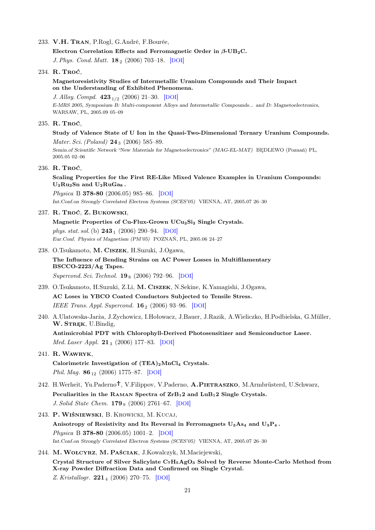### 233. V.H. Tran, P.Rogl, G.André, F.Bourée,

Electron Correlation Effects and Ferromagnetic Order in  $\beta$ -UB<sub>2</sub>C.

J. Phys. Cond. Matt.  $18_2$  (2006) 703-18. [[DOI](http://dx.doi.org/10.1088/0953-8984/18/2/024)]

#### 234. R. Troć,

# Magnetoresistivity Studies of Intermetallic Uranium Compounds and Their Impact on the Understanding of Exhibited Phenomena.

J. Alloy. Compd. 423<sup>1</sup>/<sup>2</sup> (2006) 21–30. [[DOI](http://dx.doi.org/10.1016/j.jallcom.2005.12.040)]

E-MRS 2005, Symposium B: Multi-component Alloys and Intermetallic Compounds... and D: Magnetoelectronics, WARSAW, PL, 2005.09 05–09

## 235. R. Troć,

# Study of Valence State of U Ion in the Quasi-Two-Dimensional Ternary Uranium Compounds. Mater. Sci. (Poland)  $24_3$  (2006) 585–89.

Semin.of Scientific Network "New Materials for Magnetoelectronics" (MAG-EL-MAT) BĘDLEWO (Poznań) PL, 2005.05 02–06

### 236. R. Troć,

# Scaling Properties for the First RE-Like Mixed Valence Examples in Uranium Compounds:  $U_2Ru_2Sn$  and  $U_2RuGa_8$ .

Physica B 378-80 (2006.05) 985–86. [[DOI](http://dx.doi.org/10.1016/j.physb.2006.01.376)] Int.Conf.on Strongly Correlated Electron Systems (SCES'05) VIENNA, AT, 2005.07 26–30

## 237. R. Troć, Z. Bukowski,

Magnetic Properties of Cu-Flux-Grown UCu<sub>2</sub>Si<sub>2</sub> Single Crystals. phys. stat. sol. (b)  $243_1$  (2006) 290–94. [[DOI](http://dx.doi.org/10.1002/pssb.200562431)] Eur.Conf. Physics of Magnetism (PM'05) POZNAŃ, PL, 2005.06 24–27

238. O.Tsukamoto, M. Ciszek, H.Suzuki, J.Ogawa,

# The Influence of Bending Strains on AC Power Losses in Multifilamentary BSCCO-2223/Ag Tapes. Supercond. Sci. Technol.  $19_8$  (2006) 792–96. [[DOI](http://dx.doi.org/10.1088/0953-2048/19/8/017)]

- 239. O.Tsukamoto, H.Suzuki, Z.Li, M. Ciszek, N.Sekine, K.Yamagishi, J.Ogawa, AC Loses in YBCO Coated Conductors Subjected to Tensile Stress. IEEE Trans. Appl. Supercond.  $16_2$  (2006) 93-96. [[DOI](http://dx.doi.org/10.1109/TASC.2005.869700)]
- 240. A.Ulatowska-Jarża, J.Zychowicz, I.Hołowacz, J.Bauer, J.Razik, A.Wieliczko, H.Podbielska, G.Müller, W. STREK, U.Bindig, Antimicrobial PDT with Chlorophyll-Derived Photosensitizer and Semiconductor Laser. Med. Laser Appl. 21<sub>3</sub> (2006) 177–83. [[DOI](http://dx.doi.org/10.1016/j.mla.2006.05.003)]

# 241. R.Wawryk,

Calorimetric Investigation of  $(TEA)_2MnCl_4$  Crystals. Phil. Mag.  $86_{12}$  (2006) 1775–87. [[DOI](http://dx.doi.org/10.1080/14786430500501663)]

- 242. H.Werheit, Yu.Paderno<sup>†</sup>, V.Filippov, V.Paderno, A.PIETRASZKO, M.Armbrüsterd, U.Schwarz, Peculiarities in the RAMAN Spectra of  $\text{ZrB}_12$  and  $\text{LuB}_12$  Single Crystals. J. Solid State Chem. 179 9 (2006) 2761–67. [[DOI](http://dx.doi.org/10.1016/j.jssc.2005.11.034)]
- 243. P. Wiśniewski, B. Krowicki, M. Kucaj,

Anisotropy of Resistivity and Its Reversal in Ferromagnets  $U_3A_{54}$  and  $U_3P_4$ . Physica B 378-80 (2006.05) 1001–2. [[DOI](http://dx.doi.org/10.1016/j.physb.2006.01.384)] Int.Conf.on Strongly Correlated Electron Systems (SCES'05) VIENNA, AT, 2005.07 26–30

244. M.Wołcyrz, M. Paściak, J.Kowalczyk, M.Maciejewski, Crystal Structure of Silver Salicylate C7H5AgO<sup>3</sup> Solved by Reverse Monte-Carlo Method from X-ray Powder Diffraction Data and Confirmed on Single Crystal. Z. Kristallogr. **221** 4 (2006) 270–75. [[DOI](http://dx.doi.org/10.1524/zkri.2006.221.4.270)]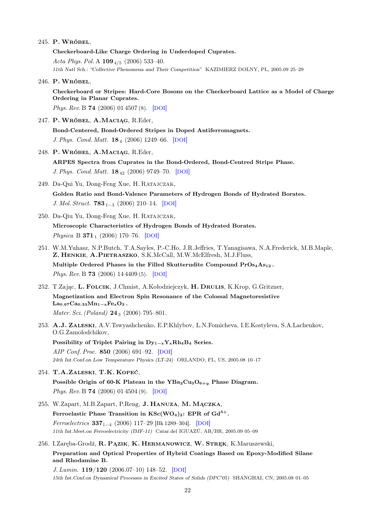#### 245. P. Wróbel,

Checkerboard-Like Charge Ordering in Underdoped Cuprates. Acta Phys. Pol. A  $109_{4/5}$  (2006) 533-40. 11th Natl Sch.: "Collective Phenomena and Their Competition" KAZIMIERZ DOLNY, PL, 2005.09 25–29

246. P. Wróbel,

Checkerboard or Stripes: Hard-Core Bosons on the Checkerboard Lattice as a Model of Charge Ordering in Planar Cuprates.

Phys. Rev. B 74 (2006) 01 4507 (8). [[DOI](http://dx.doi.org/10.1103/PhysRevB.74.014507)]

247. P. Wróbel, A.Maciąg, R.Eder,

Bond-Centered, Bond-Ordered Stripes in Doped Antiferromagnets. J. Phys. Cond. Matt. **18** 4 (2006) 1249–66. [[DOI](http://dx.doi.org/10.1088/0953-8984/18/4/011)]

- 248. P. Wróbel, A.Maciąg, R.Eder, ARPES Spectra from Cuprates in the Bond-Ordered, Bond-Centred Stripe Phase. J. Phys. Cond. Matt. 18<sub>42</sub> (2006) 9749-70. [[DOI](http://dx.doi.org/10.1088/0953-8984/18/42/017)]
- 249. Da-Qui Yu, Dong-Feng Xue, H. Ratajczak, Golden Ratio and Bond-Valence Parameters of Hydrogen Bonds of Hydrated Borates. J. Mol. Struct.  $783_{1-3}$  (2006) 210–14. [[DOI](http://dx.doi.org/10.1016/j.molstruc.2005.08.022)]
- 250. Da-Qiu Yu, Dong-Feng Xue, H. Ratajczak, Microscopic Characteristics of Hydrogen Bonds of Hydrated Borates. Physica B  $371_1$  (2006) 170–76. [[DOI](http://dx.doi.org/10.1016/j.physb.2005.10.128)]
- 251. W.M.Yuhasz, N.P.Butch, T.A.Sayles, P.-C.Ho, J.R.Jeffries, T.Yanagisawa, N.A.Frederick, M.B.Maple, Z. Henkie, A.Pietraszko, S.K.McCall, M.W.McElfresh, M.J.Fluss, Multiple Ordered Phases in the Filled Skutterudite Compound  $Pros<sub>4</sub>As<sub>12</sub>$ . Phys. Rev. B 73 (2006) 14 4409 (5). [[DOI](http://dx.doi.org/10.1103/PhysRevB.73.144409)]
- 252. T.Zając, L. Folcik, J.Chmist, A.Kołodziejczyk, H. Drulis, K.Krop, G.Gritzner, Magnetization and Electron Spin Resonance of the Colossal Magnetoresistive  $La_{0.67}Ca_{0.33}Mn_{1-x}Fe_xO_3$ . Mater. Sci. (Poland)  $24_3$  (2006) 795–801.

253. A.J. Zaleski, A.V.Tswyashchenko, E.P.Khlybov, L.N.Fomicheva, I.E.Kostyleva, S.A.Lachenkov, O.G.Zamolodchikov, Possibility of Triplet Pairing in  $Dy_{1-x}Y_xRh_4B_4$  Series. AIP Conf. Proc. 850 (2006) 691–92. [[DOI](http://dx.doi.org/10.1063/1.2354898)] 24th Int.Conf.on Low Temperature Physics (LT-24) ORLANDO, FL, US, 2005.08 10–17

- 254. T.A.Zaleski, T.K. Kopeć, Possible Origin of 60-K Plateau in the  $YBa_2Cu_3O_{6+y}$  Phase Diagram. Phys. Rev. B 74 (2006) 01 4504 (9). [[DOI](http://dx.doi.org/10.1103/PhysRevB.74.014504)]
- 255. W.Zapart, M.B.Zapart, P.Reng, J. Hanuza, M. Mączka, Ferroelastic Phase Transition in  $\text{KSc}(WO_4)_2$ : EPR of  $\text{Gd}^{3+}$ . Ferroelectrics 3371−<sup>4</sup> (2006) 117–29 [Bk 1289–304]. [[DOI](http://dx.doi.org/10.1080/00150190600716390)] 11th Int.Meet.on Ferroelectricity (IMF-11) Catar.del IGUAZÚ, AR/BR, 2005.09 05–09
- 256. I.Zaręba-Grodź, R. Pązik, K. Hermanowicz, W. Stręk, K.Maruszewski,

Preparation and Optical Properties of Hybrid Coatings Based on Epoxy-Modified Silane and Rhodamine B.

J. Lumin. 119/120 (2006.07–10) 148–52. [[DOI](http://dx.doi.org/10.1016/j.jlumin.2005.12.023)] 15th Int.Conf.on Dynamical Processes in Excited States of Solids (DPC'05) SHANGHAI, CN, 2005.08 01–05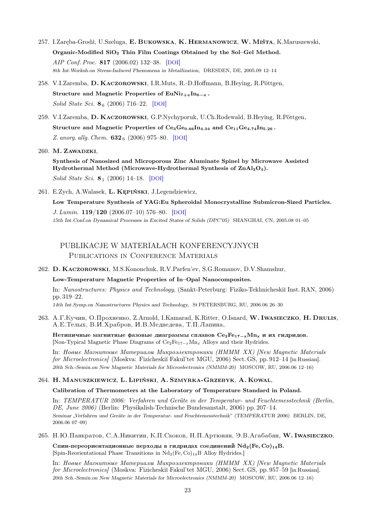- 257. I.Zaręba-Grodź, U.Szeluga, E. Bukowska, K. Hermanowicz, W. Miśta, K.Maruszewski, Organic-Modified SiO<sup>2</sup> Thin Film Coatings Obtained by the Sol–Gel Method. AIP Conf. Proc. 817 (2006.02) 132–38. [[DOI](http://dx.doi.org/10.1063/1.2173542)] 8th Int.Worksh.on Stress-Induced Phenomena in Metallization, DRESDEN, DE, 2005.09 12–14
- 258. V.I.Zaremba, D. Kaczorowski, I.R.Muts, R.-D.Hoffmann, B.Heying, R.Pöttgen, Structure and Magnetic Properties of EuNi $_{7+x}$ In<sub>6−x</sub>. Solid State Sci.  $8_6$  (2006) 716–22. [[DOI](http://dx.doi.org/10.1016/j.jsolidstatesciences.2005.12.007)]
- 259. V.I.Zaremba, D. Kaczorowski, G.P.Nychyporuk, U.Ch.Rodewald, B.Heying, R.Pöttgen, Structure and Magnetic Properties of  $Ce_3Ge_{0.66}In_{4.34}$  and  $Ce_{11}Ge_{4.74}In_{5.26}$ . Z. anorg. allg. Chem.  $632_6$  (2006) 975–80. [[DOI](http://dx.doi.org/10.1002/zaac.200500484)]

260. M. Zawadzki,

Synthesis of Nanosized and Microporous Zinc Aluminate Spinel by Microwave Assisted Hydrothermal Method (Microwave-Hydrothermal Synthesis of ZnAl<sub>2</sub>O<sub>4</sub>). Solid State Sci.  $8_1$  (2006) 14–18. [[DOI](http://dx.doi.org/10.1016/j.jsolidstatesciences.2005.08.006)]

261. E.Zych, A.Walasek, L. Kępiński, J.Legendziewicz,

Low Temperature Synthesis of YAG:Eu Spheroidal Monocrystalline Submicron-Sized Particles. J. Lumin. 119/120 (2006.07–10) 576–80. [[DOI](http://dx.doi.org/10.1016/j.jlumin.2006.05.051)] 15th Int.Conf.on Dynamical Processes in Excited States of Solids (DPC'05) SHANGHAI, CN, 2005.08 01–05

# PUBLIKACJE W MATERIAŁACH KONFERENCYJNYCH PUBLICATIONS IN CONFERENCE MATERIALS

262. D. Kaczorowski, M.S.Kononchuk, R.V.Parfen'ev, S.G.Romanov, D.V.Shamshur,

Low-Temperature Magnetic Properties of In–Opal Nanocomposites.

In: Nanostructures: Physics and Technology, (Sankt-Peterburg: Fiziko-Tekhnicheski˘ı Inst. RAN, 2006) pp. 319–22.

14th Int.Symp.on Nanostructures Physics and Technology, St PETERSBURG, RU, 2006.06 26–30

263. A.Г.Кучин, O.Прохненко, Z.Arnold, I.Kamarad, K.Ritter, O.Isnard, W. Iwasieczko, H. Drulis, A.E.Tелых, В.И.Храбров, И.В.Медведева, Т.П.Лапина,

Нетипичные магнитные фазовые диаграммы сплавов  $Ce_2Fe_{17-x}Mn_x$  и их гидридов. [Non-Typical Magnetic Phase Diagrams of Ce2Fe<sup>17</sup>−<sup>x</sup>Mn<sup>x</sup> Alloys and their Hydrides.

In: Hoewe Mazuumuwe Mamepuasu Mukroslektroniku (HMMM XX) [New Magnetic Materials for Microelectronics/ (Moskva: Fizicheskiĭ Fakul'tet MGU, 2006) Sect. GS, pp. 912-14 [in Russian]. 20th Sch.-Semin.on New Magnetic Materials for Microelectronics (NMMM-20) MOSCOW, RU, 2006.06 12–16)

### 264. H. Manuszkiewicz, L. Lipiński, A. Szmyrka-Grzebyk, A. Kowal,

Calibration of Thermometers at the Laboratory of Temperature Standard in Poland.

In: TEMPERATUR 2006: Verfahren und Geräte in der Temperatur- und Feuchtemesstechnik (Berlin, DE, June 2006) (Berlin: Physikalish-Technische Bundesanstalt, 2006) pp. 207–14. Seminar "Verfahren und Geräte in der Temperatur- und Feuchtemesstechnik" (TEMPERATUR 2006) BERLIN, DE, 2006.06 07–09)

### 265. Н.Ю.Панкратов, С.А.Никитин, К.П.Скоков, Н.П.Артюнян, Э.В.Агабабян, W. Iwasieczko,

Спин-переориентационные перходы в гидридах соединений  $Nd_2(Fe, Co)_{14}B$ . [Spin-Reorientational Phase Transitions in  $Nd_2$  (Fe, Co)<sub>14</sub>B Alloy Hydrides.]

In: Hoewe Mazuumuwe Mamepua.nu Mukpos.nekmpouuku (HMMM XX) [New Magnetic Materials for Microelectronics/ (Moskva: Fizicheskiĭ Fakul'tet MGU, 2006) Sect. GS, pp. 957-59 [in Russian]. 20th Sch.-Semin.on New Magnetic Materials for Microelectronics (NMMM-20) MOSCOW, RU, 2006.06 12–16)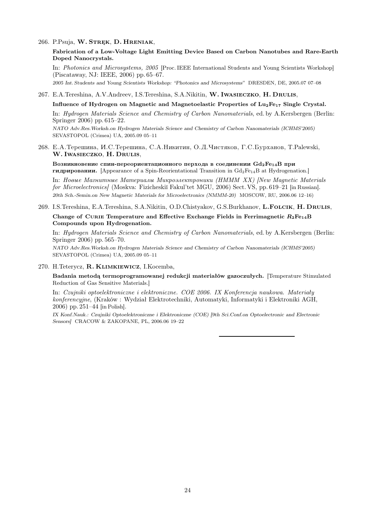#### 266. P.Psuja, W. STREK, D. HRENIAK,

Fabrication of a Low-Voltage Light Emitting Device Based on Carbon Nanotubes and Rare-Earth Doped Nanocrystals.

In: Photonics and Microsystems, 2005 [Proc. IEEE International Students and Young Scientists Workshop] (Piscataway, NJ: IEEE, 2006) pp. 65–67. 2005 Int. Students and Young Scientists Workshop: "Photonics and Microsystems" DRESDEN, DE, 2005.07 07–08

#### 267. E.A.Tereshina, A.V.Andreev, I.S.Tereshina, S.A.Nikitin, W. Iwasieczko, H. Drulis,

#### Influence of Hydrogen on Magnetic and Magnetoelastic Properties of Lu<sub>2</sub>Fe<sub>17</sub> Single Crystal.

In: Hydrogen Materials Science and Chemistry of Carbon Nanomaterials, ed. by A.Kersbergen (Berlin: Springer 2006) pp. 615–22. NATO Adv.Res.Worksh.on Hydrogen Materials Science and Chemistry of Carbon Nanomaterials (ICHMS'2005)

SEVASTOPOL (Crimea) UA, 2005.09 05–11

268. E.A. Терешина, И.С. Терешина, С.А. Никитин, О.Д. Чистяков, Г.С. Бурханов, Т. Palewski, W. Iwasieczko, H. Drulis,

Возникновение спин-переориентационного перхода в соединении  $Gd_2Fe_{14}B$  при **гидрировании.** [Appearance of a Spin-Reorientational Transition in  $Gd_2Fe_{14}B$  at Hydrogenation.]

In: Hoewe Mazuumuwe Mamepuanu Mukpoenekmpouuku (HMMM XX) [New Magnetic Materials for Microelectronics/ (Moskva: Fizicheskiĭ Fakul'tet MGU, 2006) Sect. VS, pp. 619–21 [in Russian]. 20th Sch.-Semin.on New Magnetic Materials for Microelectronics (NMMM-20) MOSCOW, RU, 2006.06 12–16)

# 269. I.S.Tereshina, E.A.Tereshina, S.A.Nikitin, O.D.Chistyakov, G.S.Burkhanov, L.FOLCIK, H. DRULIS,

Change of CURIE Temperature and Effective Exchange Fields in Ferrimagnetic  $R_2Fe_{14}B$ Compounds upon Hydrogenation.

In: Hydrogen Materials Science and Chemistry of Carbon Nanomaterials, ed. by A.Kersbergen (Berlin: Springer 2006) pp. 565–70.

NATO Adv.Res.Worksh.on Hydrogen Materials Science and Chemistry of Carbon Nanomaterials (ICHMS'2005) SEVASTOPOL (Crimea) UA, 2005.09 05–11

#### 270. H.Teterycz, R. Klimkiewicz, I.Kocemba,

Badania metodą termoprogramowanej redukcji materiałów gazoczułych. [Temperature Stimulated Reduction of Gas Sensitive Materials.]

In: Czujniki optoelektroniczne i elektroniczne. COE 2006. IX Konferencja naukowa. Materiały konferencyjne, (Kraków : Wydział Elektrotechniki, Automatyki, Informatyki i Elektroniki AGH, 2006) pp. 251–44 [in Polish].

IX Konf.Nauk.: Czujniki Optoelektroniczne i Elektroniczne (COE) [9th Sci.Conf.on Optoelectronic and Electronic Sensors] CRACOW & ZAKOPANE, PL, 2006.06 19–22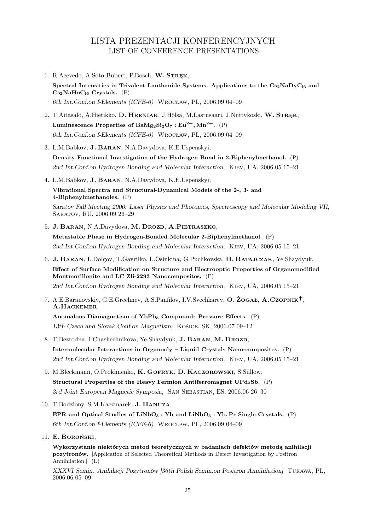# LISTA PREZENTACJI KONFERENCYJNYCH LIST OF CONFERENCE PRESENTATIONS

- 1. R.Acevedo, A.Soto-Bubert, P.Bosch, W. STREK, Spectral Intensities in Trivalent Lanthanide Systems. Applications to the  $Cs_2NaDyC_{16}$  and  $Cs<sub>2</sub>NaHoC<sub>16</sub> Crystals. (P)$ 6th Int.Conf.on f-Elements (ICFE-6) Wrocław, PL, 2006.09 04–09
- 2. T.Aitasalo, A.Hietikko, D. HRENIAK, J.Hölsä, M.Lastusaari, J.Niittykoski, W. STREK, Luminescence Properties of BaMg<sub>2</sub>Si<sub>2</sub>O<sub>7</sub> : Eu<sup>2+</sup>, Mn<sup>2+</sup>. (P) 6th Int.Conf.on f-Elements (ICFE-6) Wrocław, PL, 2006.09 04–09
- 3. L.M.Babkov, J. Baran, N.A.Davydova, K.E.Uspenskyi, Density Functional Investigation of the Hydrogen Bond in 2-Biphenylmethanol. (P) 2nd Int.Conf.on Hydrogen Bonding and Molecular Interaction, Kiev, UA, 2006.05 15–21
- 4. L.M.Babkov, J. Baran, N.A.Davydova, K.E.Uspenskyi,

Vibrational Spectra and Structural-Dynamical Models of the 2-, 3- and 4-Biphenylmethanoles. (P)

Saratov Fall Meeting 2006: Laser Physics and Photonics, Spectroscopy and Molecular Modeling VII, Saratov, RU, 2006.09 26–29

5. J. BARAN, N.A.Davydova, M. DROZD, A.PIETRASZKO,

Metastable Phase in Hydrogen-Bonded Molecular 2-Biphenylmethanol. (P) 2nd Int.Conf.on Hydrogen Bonding and Molecular Interaction, Kiev, UA, 2006.05 15–21

6. J. Baran, L.Dolgov, T.Gavrilko, L.Osinkina, G.Puchkovska, H. Ratajczak, Ye.Shaydyuk, Effect of Surface Modification on Structure and Electrooptic Properties of Organomodified Montmorillonite and LC Zli-2293 Nanocomposites. (P)

2nd Int.Conf.on Hydrogen Bonding and Molecular Interaction, Kiev, UA, 2006.05 15–21

7. A.E.Baranovskiy, G.E.Grechnev, A.S.Panfilov, I.V.Svechkarev, O.  $\dot{Z}$ OGAŁ, A.CZOPNIK<sup>†</sup>, A.HACKEMER,

Anomalous Diamagnetism of  $YbPb<sub>3</sub>$  Compound: Pressure Effects.  $(P)$ 13th Czech and Slovak Conf.on Magnetism, Košice, SK, 2006.07 09–12

- 8. T.Bezrodna, I.Chashechnikova, Ye.Shaydyuk, J.BARAN, M.DROZD, Intermolecular Interactions in Organocly – Liquid Crystals Nano-composites. (P) 2nd Int.Conf.on Hydrogen Bonding and Molecular Interaction, Kiev, UA, 2006.05 15–21
- 9. M.Bleckmann, O.Prokhnenko, K. GOFRYK, D. KACZOROWSKI, S.Süllow, Structural Properties of the Heavy Fermion Antiferromagnet  $UPd_2Sb.$  (P) 3rd Joint European Magnetic Symposia, SAN SEBASTIAN, ES, 2006.06 26-30
- 10. T.Bodziony, S.M.Kaczmarek, J. Hanuza,

EPR and Optical Studies of LiNbO<sub>3</sub> : Yb and LiNbO<sub>3</sub> : Yb, Pr Single Crystals. (P) 6th Int.Conf.on f-Elements (ICFE-6) Wrocław, PL, 2006.09 04–09

11. E. Boroński,

Wykorzystanie niektórych metod teoretycznych w badaniach defektów metodą anihilacji pozytronów. [Application of Selected Theoretical Methods in Defect Investigation by Positron Annihilation.] (L)

XXXVI Semin. Anihilacji Pozytronów [36th Polish Semin.on Positron Annihilation] Turawa, PL, 2006.06 05–09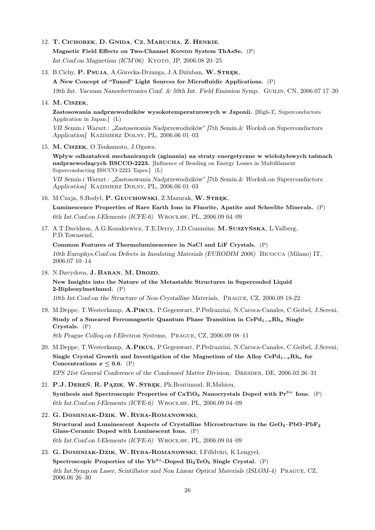12. T. Cichorek, D. Gnida, Cz. Marucha, Z. Henkie, Magnetic Field Effects on Two-Channel Kondo System ThAsSe. (P)

Int.Conf.on Magnetism (ICM'06) KYOTO, JP, 2006.08 20-25

13. B.Cichy, P. Psuja, A.Górecka-Drzazga, J.A.Dziuban, W. STREK,

A New Concept of "Tuned" Light Sources for Microfluidic Applications. (P)

19th Int. Vacuum Nanoelectronics Conf. & 50th Int. Field Emission Symp. Guilin, CN, 2006.07 17–20

## 14. M. Ciszek,

Zastosowania nadprzewodników wysokotemperaturowych w Japonii.  $[High-T<sub>c</sub>$  Superconductors Application in Japan.] (L)

VII Semin.i Warszt.: "Zastosowania Nadprzewodników" [7th Semin.& Worksh.on Superconductors Application] Kazimierz Dolny, PL, 2006.06 01–03

15. M. Ciszek, O.Tsukamoto, J.Ogawa.

Wpływ odkształceń mechanicznych (zginania) na straty energetyczne w wielożyłowych taśmach nadprzewodzących BSCCO-2223. [Influence of Bending on Energy Losses in Multifilament Superconducting BSCCO-2223 Tapes.] (L)

VII Semin.i Warszt.: "Zastosowania Nadprzewodników" [7th Semin.& Worksh.on Superconductors Application] Kazimierz Dolny, PL, 2006.06 01–03

16. M.Czaja, S.Bodył, P. GŁUCHOWSKI, Z.Mazurak, W. STREK,

Luminescence Properties of Rare Earth Ions in Fluorite, Apatite and Scheelite Minerals. (P) 6th Int.Conf.on f-Elements (ICFE-6) Wrocław, PL, 2006.09 04–09

17. A.T.Davidson, A.G.Kozakiewicz, T.E.Derry, J.D.Commins, M. Suszyńska, L.Valberg, P.D.Townsend,

Common Features of Thermoluminescence in NaCl and LiF Crystals. (P) 10th Europhys.Conf.on Defects in Insulating Materials (EURODIM 2006) Bicocca (Milano) IT, 2006.07 10–14

- 18. N.Davydova, J. BARAN, M. DROZD, New Insights into the Nature of the Metastable Structures in Supercooled Liquid 2-Biphenylmethanol. (P) 10th Int.Conf.on the Structure of Non-Crystalline Materials, Prague, CZ, 2006.09 18-22
- 19. M.Deppe, T.Westerkamp, A.Pikul, P.Gegenwart, P.Pedrazzini, N.Caroca-Canales, C.Geibel, J.Sereni, Study of a Smeared Ferromagnetic Quantum Phase Transition in  $CePd_{1-x}Rh_x$  Single Crystals. (P) 8th Prague Colloq.on f-Electron Systems, Prague, CZ, 2006.09 08–11
- 20. M.Deppe, T.Westerkamp, A.Pikul, P.Gegenwart, P.Pedrazzini, N.Caroca-Canales, C.Geibel, J.Sereni, Single Crystal Growth and Investigation of the Magnetism of the Alloy CePd<sub>1−x</sub>Rh<sub>x</sub> for Concentrations  $x \leq 0.6$ . (P) EPS 21st General Conference of the Condensed Matter Division, DRESDEN, DE, 2006.03 26–31
- 21. P.J. DEREŃ, R. PAZIK, W. STREK, Ph.Boutinaud, R.Mahiou, Synthesis and Spectroscopic Properties of CaTiO<sub>3</sub> Nanocrystals Doped with  $Pr<sup>3+</sup>$  Ions. (P) 6th Int.Conf.on f-Elements (ICFE-6) Wrocław, PL, 2006.09 04–09
- 22. G. Dominiak-Dzik, W. Ryba-Romanowski, Structural and Luminescent Aspects of Crystalline Microstructure in the  $GeO_{2}-PbO-PbF_{2}$ Glass-Ceramic Doped with Luminescent Ions. (P) 6th Int.Conf.on f-Elements (ICFE-6) Wrocław, PL, 2006.09 04–09
- 23. G. Dominiak-Dzik, W. Ryba-Romanowski, I.Főldvári, K.Lengyel, Spectroscopic Properties of the  $Yb^{3+}$ -Doped Bi<sub>2</sub>TeO<sub>5</sub> Single Crystal. (P) 4th Int.Symp.on Laser, Scintillator and Non Linear Optical Materials (ISLOM-4) Prague, CZ, 2006.06 26–30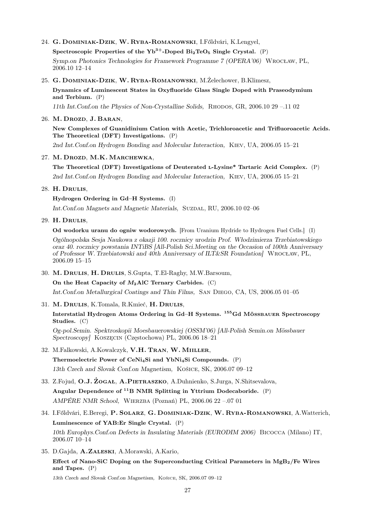24. G. Dominiak-Dzik, W. Ryba-Romanowski, I.Főldvári, K.Lengyel,

Spectroscopic Properties of the  $Yb^{3+}$ -Doped Bi<sub>2</sub>TeO<sub>5</sub> Single Crystal. (P)

Symp.on Photonics Technologies for Framework Programme 7 (OPERA'06) Wrocław, PL, 2006.10 12–14

25. G. Dominiak-Dzik, W. Ryba-Romanowski, M.Żelechower, B.Klimesz,

Dynamics of Luminescent States in Oxyfluoride Glass Single Doped with Praseodymium and Terbium. (P)

11th Int.Conf.on the Physics of Non-Crystalline Solids, Rhodos, GR, 2006.10 29 –.11 02

26. M. Drozd, J. BARAN,

New Complexes of Guanidinium Cation with Acetic, Trichloroacetic and Trifluoroacetic Acids. The Theoretical (DFT) Investigations. (P)

2nd Int.Conf.on Hydrogen Bonding and Molecular Interaction, Kiev, UA, 2006.05 15–21

27. M. Drozd, M.K. Marchewka,

The Theoretical (DFT) Investigations of Deuterated l-Lysine\* Tartaric Acid Complex. (P) 2nd Int.Conf.on Hydrogen Bonding and Molecular Interaction, Kiev, UA, 2006.05 15–21

28. H. Drulis,

Hydrogen Ordering in Gd–H Systems. (I)

Int.Conf.on Magnets and Magnetic Materials, SUZDAL, RU, 2006.10 02-06

29. H. Drulis,

Od wodorku uranu do ogniw wodorowych. [From Uranium Hydride to Hydrogen Fuel Cells.] (I) Ogólnopolska Sesja Naukowa z okazji 100. rocznicy urodzin Prof. Włodzimierza Trzebiatowskiego oraz 40. rocznicy powstania INTiBS [All-Polish Sci.Meeting on the Occasion of 100th Anniversary of Professor W. Trzebiatowski and 40th Anniversary of ILT&SR Foundation] Wrocław, PL, 2006.09 15–15

30. M. Drulis, H. Drulis, S.Gupta, T.El-Raghy, M.W.Barsoum,

On the Heat Capacity of  $M_2$ AlC Ternary Carbides. (C)

Int.Conf.on Metallurgical Coatings and Thin Films, San Diego, CA, US, 2006.05 01–05

31. M. Drulis, K.Tomala, R.Kmieć, H. Drulis,

Interstatial Hydrogen Atoms Ordering in Gd–H Systems. <sup>155</sup>Gd Mössbauer Spectroscopy Studies. (C)

Og-pol.Semin. Spektroskopii Moesbauerowskiej (OSSM'06) [All-Polish Semin.on Mössbauer Spectroscopy] Koszęcin (Częstochowa) PL, 2006.06 18–21

32. M.Falkowski, A.Kowalczyk, V.H. Tran, W. Miiller,

Thermoelectric Power of CeNi4Si and YbNi4Si Compounds. (P)

13th Czech and Slovak Conf.on Magnetism, Košice, SK, 2006.07 09–12

- 33. Z.Fojud, O.J. Żogał, A.Pietraszko, A.Duhnienko, S.Jurga, N.Shitsevalova, Angular Dependence of  ${}^{11}B$  NMR Splitting in Yttrium Dodecaboride. (P) AMPÉRE NMR School, Wierzba (Poznań) PL, 2006.06 22 –.07 01
- 34. I.Főldvári, E.Beregi, P. Solarz, G. Dominiak-Dzik, W. Ryba-Romanowski, A.Watterich, Luminescence of YAB:Er Single Crystal. (P) 10th Europhys.Conf.on Defects in Insulating Materials (EURODIM 2006) Bicocca (Milano) IT, 2006.07 10–14
- 35. D.Gajda, A.Zaleski, A.Morawski, A.Kario,

Effect of Nano-SiC Doping on the Superconducting Critical Parameters in  $MgB<sub>2</sub>/Fe$  Wires and Tapes. (P)

13th Czech and Slovak Conf.on Magnetism, Košice, SK, 2006.07 09–12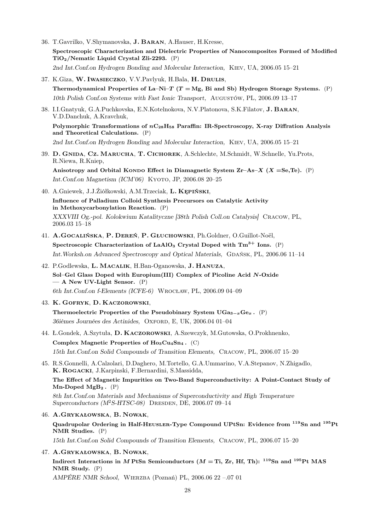- 36. T.Gavrilko, V.Shymanovska, J. Baran, A.Hauser, H.Kresse, Spectroscopic Characterization and Dielectric Properties of Nanocomposites Formed of Modified TiO2/Nematic Liquid Crystal Zli-2293. (P) 2nd Int.Conf.on Hydrogen Bonding and Molecular Interaction, Kiev, UA, 2006.05 15–21
- 37. K.Giza, W. Iwasieczko, V.V.Pavlyuk, H.Bala, H. Drulis, Thermodynamical Properties of La–Ni–T ( $T = Mg$ , Bi and Sb) Hydrogen Storage Systems. (P) 10th Polish Conf.on Systems with Fast Ionic Transport, Augustów, PL, 2006.09 13–17
- 38. I.I.Gnatyuk, G.A.Puchkovska, E.N.Kotelnokova, N.V.Platonova, S.K.Filatov, J. Baran, V.D.Danchuk, A.Kravchuk,

Polymorphic Transformations of  $nC_{28}H_{58}$  Paraffin: IR-Spectroscopy, X-ray Diffration Analysis and Theoretical Calculations. (P)

2nd Int.Conf.on Hydrogen Bonding and Molecular Interaction, Kiev, UA, 2006.05 15–21

39. D. Gnida, Cz. Marucha, T. Cichorek, A.Schlechte, M.Schmidt, W.Schnelle, Yu.Prots, R.Niewa, R.Kniep,

Anisotropy and Orbital KONDO Effect in Diamagnetic System Zr–As–X (X =Se,Te). (P) Int.Conf.on Magnetism (ICM'06) KYOTO, JP, 2006.08 20-25

- 40. A.Gniewek, J.J.Źiółkowski, A.M.Trzeciak, L. Kępiński, Influence of Palladium Colloid Synthesis Precursors on Catalytic Activity in Methoxycarbonylation Reaction. (P) XXXVIII Og.-pol. Kolokwium Katalityczne [38th Polish Coll.on Catalysis] Cracow, PL, 2006.03 15–18
- 41. A.Gocalińska, P. Dereń, P. Głuchowski, Ph.Goldner, O.Guillot-Noël,

Spectroscopic Characterization of LaAlO<sub>3</sub> Crystal Doped with  $Tm^{3+}$  Ions. (P) Int. Worksh.on Advanced Spectroscopy and Optical Materials, GDAŃSK, PL, 2006.06 11–14

- 42. P.Godlewska, L. Macalik, H.Ban-Oganowska, J. Hanuza, Sol–Gel Glass Doped with Europium(III) Complex of Picoline Acid N-Oxide — A New UV-Light Sensor. (P) 6th Int.Conf.on f-Elements (ICFE-6) Wrocław, PL, 2006.09 04–09
- 43. K. Gofryk, D. Kaczorowski,

Thermoelectric Properties of the Pseudobinary System UGa<sub>3-x</sub>Ge<sub>x</sub>. (P) 36ièmes Journées des Actinides, OXFORD, E, UK, 2006.04 01–04

44. Ł.Gondek, A.Szytuła, D. Kaczorowski, A.Szewczyk, M.Gutowska, O.Prokhnenko,

Complex Magnetic Properties of  $H_{03}Cu_{4}Sn_{4}$ . (C) 15th Int.Conf.on Solid Compounds of Transition Elements, Cracow, PL, 2006.07 15–20

45. R.S.Gonnelli, A.Calzolari, D.Daghero, M.Tortello, G.A.Ummarino, V.A.Stepanov, N.Zhigadlo, K. Rogacki, J.Karpinski, F.Bernardini, S.Massidda,

The Effect of Magnetic Impurities on Two-Band Superconductivity: A Point-Contact Study of Mn-Doped MgB<sub>2</sub>.  $(P)$ 

8th Int.Conf.on Materials and Mechanisms of Superconductivity and High Temperature Superconductors  $(M^2S-HTSC-08)$  DRESDEN, DE, 2006.07 09-14

46. A.Grykałowska, B. Nowak,

Quadrupolar Ordering in Half-Heusler-Type Compound UPtSn: Evidence from <sup>119</sup>Sn and <sup>195</sup>Pt NMR Studies. (P)

15th Int.Conf.on Solid Compounds of Transition Elements, Cracow, PL, 2006.07 15–20

# 47. A.Grykałowska, B. Nowak,

Indirect Interactions in M PtSn Semiconductors ( $M = Ti$ , Zr, Hf, Th): <sup>119</sup>Sn and <sup>195</sup>Pt MAS NMR Study. (P)

AMPÉRE NMR School, Wierzba (Poznań) PL, 2006.06 22 –.07 01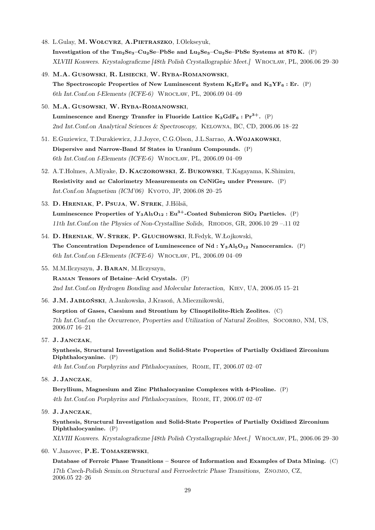- 48. L.Gulay, M. WOŁCYRZ, A.PIETRASZKO, I.Olekseyuk, Investigation of the  $Tm_2Se_3-Cu_2Se-PbSe$  and  $Lu_2Se_3-Cu_2Se-PbSe$  Systems at 870 K. (P) XLVIII Konwers. Krystalograficzne [48th Polish Crystallographic Meet.] Wrocław, PL, 2006.06 29–30
- 49. M.A. Gusowski, R. Lisiecki, W. Ryba-Romanowski, The Spectroscopic Properties of New Luminescent System  $K_3Erf_6$  and  $K_3YF_6$ : Er. (P) 6th Int.Conf.on f-Elements (ICFE-6) Wrocław, PL, 2006.09 04–09
- 50. M.A. Gusowski, W. Ryba-Romanowski, Luminescence and Energy Transfer in Fluoride Lattice  $K_3GdF_6$ :  $Pr^{3+}$ . (P) 2nd Int.Conf.on Analytical Sciences & Spectroscopy, Kelowna, BC, CD, 2006.06 18–22
- 51. E.Guziewicz, T.Durakiewicz, J.J.Joyce, C.G.Olson, J.L.Sarrao, A.Wojakowski, Dispersive and Narrow-Band 5f States in Uranium Compounds. (P) 6th Int.Conf.on f-Elements (ICFE-6) Wrocław, PL, 2006.09 04–09
- 52. A.T.Holmes, A.Miyake, D. Kaczorowski, Z. Bukowski, T.Kagayama, K.Shimizu, Resistivity and ac Calorimetry Measurements on CeNiGe<sub>2</sub> under Pressure. (P) Int.Conf.on Magnetism (ICM'06) KYOTO, JP, 2006.08 20-25
- 53. D. Hreniak, P. Psuja, W. Strek, J.Hölsä, Luminescence Properties of  $Y_3AI_5O_{12}$ : Eu<sup>3+</sup>-Coated Submicron SiO<sub>2</sub> Particles. (P) 11th Int.Conf.on the Physics of Non-Crystalline Solids, Rhodos, GR, 2006.10 29 –.11 02
- 54. D. Hreniak, W. Strek, P. Głuchowski, R.Fedyk, W.Łojkowski, The Concentration Dependence of Luminescence of Nd :  $Y_3A1_5O_{12}$  Nanoceramics. (P) 6th Int.Conf.on f-Elements (ICFE-6) Wrocław, PL, 2006.09 04–09
- 55. M.M.Ilczyszyn, J. Baran, M.Ilczyszyn,

Raman Tensors of Betaine–Acid Crystals. (P) 2nd Int.Conf.on Hydrogen Bonding and Molecular Interaction, Kiev, UA, 2006.05 15–21

56. J.M. Jabłoński, A.Jankowska, J.Krasoń, A.Miecznikowski,

Sorption of Gases, Caesium and Strontium by Clinoptilolite-Rich Zeolites. (C) 7th Int.Conf.on the Occurrence, Properties and Utilization of Natural Zeolites, Socorro, NM, US, 2006.07 16–21

57. J. Janczak,

Synthesis, Structural Investigation and Solid-State Properties of Partially Oxidized Zirconium Diphthalocyanine. (P)

4th Int.Conf.on Porphyrins and Phthalocyanines, Rome, IT, 2006.07 02–07

58. J. Janczak,

Beryllium, Magnesium and Zinc Phthalocyanine Complexes with 4-Picoline. (P) 4th Int.Conf.on Porphyrins and Phthalocyanines, Rome, IT, 2006.07 02–07

59. J. Janczak,

Synthesis, Structural Investigation and Solid-State Properties of Partially Oxidized Zirconium Diphthalocyanine. (P) XLVIII Konwers. Krystalograficzne [48th Polish Crystallographic Meet.] Wrocław, PL, 2006.06 29–30

60. V.Janovec, P.E. Tomaszewski,

Database of Ferroic Phase Transitions – Source of Information and Examples of Data Mining. (C) 17th Czech-Polish Semin.on Structural and Ferroelectric Phase Transitions, Znojmo, CZ, 2006.05 22–26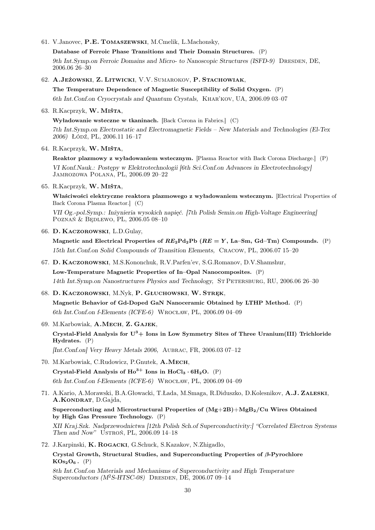61. V.Janovec, P.E. Tomaszewski, M.Cmelik, L.Machonsky,

Database of Ferroic Phase Transitions and Their Domain Structures. (P)

9th Int.Symp.on Ferroic Domains and Micro- to Nanoscopic Structures (ISFD-9) DRESDEN, DE, 2006.06 26–30

62. A.Jeżowski, Z. Litwicki, V.V. Sumarokov, P. Stachowiak,

The Temperature Dependence of Magnetic Susceptibility of Solid Oxygen. (P) 6th Int.Conf.on Cryocrystals and Quantum Crystals, Khar'kov, UA, 2006.09 03–07

63. R.Kacprzyk, W. Miśta,

Wyładowanie wsteczne w tkaninach. [Back Corona in Fabrics.] (C) 7th Int.Symp.on Electrostatic and Electromagnetic Fields – New Materials and Technologies (El-Tex 2006) Łódź, PL, 2006.11 16–17

64. R.Kacprzyk, W. Miśta,

Reaktor plazmowy z wyładowaniem wstecznym. [Plasma Reactor with Back Corona Discharge.] (P) VI Konf.Nauk.: Postępy w Elektrotechnologii [6th Sci.Conf.on Advances in Electrotechnology] Jamrozowa Polana, PL, 2006.09 20–22

65. R.Kacprzyk, W. Miśta,

Właściwości elektryczne reaktora plazmowego z wyładowaniem wstecznym. [Electrical Properties of Back Corona Plasma Reactor.] (C)

VII Og.-pol.Symp.: Inżynieria wysokich napięć. [7th Polish Semin.on High-Voltage Engineering] Poznań & Będlewo, PL, 2006.05 08–10

66. D. Kaczorowski, L.D.Gulay,

Magnetic and Electrical Properties of  $RE_2Pd_2Pb$  ( $RE = Y$ , La–Sm, Gd–Tm) Compounds. (P) 15th Int.Conf.on Solid Compounds of Transition Elements, Cracow, PL, 2006.07 15–20

- 67. D. Kaczorowski, M.S.Kononchuk, R.V.Parfen'ev, S.G.Romanov, D.V.Shamshur, Low-Temperature Magnetic Properties of In–Opal Nanocomposites. (P) 14th Int.Symp.on Nanostructures Physics and Technology, St Petersburg, RU, 2006.06 26–30
- 68. D. KACZOROWSKI, M.Nyk, P. GŁUCHOWSKI, W. STREK, Magnetic Behavior of Gd-Doped GaN Nanoceramic Obtained by LTHP Method. (P) 6th Int.Conf.on f-Elements (ICFE-6) Wrocław, PL, 2006.09 04–09
- 69. M.Karbowiak, A.Mech, Z. Gajek, Crystal-Field Analysis for  $U^3$  + Ions in Low Symmetry Sites of Three Uranium(III) Trichloride Hydrates. (P) [Int.Conf.on] Very Heavy Metals 2006, Aubrac, FR, 2006.03 07–12
- 70. M.Karbowiak, C.Rudowicz, P.Gnutek, A.Mech, Crystal-Field Analysis of  $Ho^{3+}$  Ions in  $HoCl_3 \cdot 6H_2O.$  (P) 6th Int.Conf.on f-Elements (ICFE-6) Wrocław, PL, 2006.09 04–09
- 71. A.Kario, A.Morawski, B.A.Głowacki, T.Łada, M.Smaga, R.Diduszko, D.Kolesnikov, A.J. Zaleski, A.KONDRAT, D.Gajda,

Superconducting and Microstructural Properties of  $(Mg+2B)+MgB<sub>2</sub>/Cu$  Wires Obtained by High Gas Pressure Technology. (P)

XII Kraj.Szk. Nadprzewodnictwa [12th Polish Sch.of Superconductivity:] "Correlated Electron Systems Then and Now" USTRON, PL, 2006.09 14-18

72. J.Karpinski, K. Rogacki, G.Schuck, S.Kazakov, N.Zhigadlo, Crystal Growth, Structural Studies, and Superconducting Properties of β-Pyrochlore  $KOs<sub>2</sub>O<sub>6</sub>$ . (P)

8th Int.Conf.on Materials and Mechanisms of Superconductivity and High Temperature Superconductors  $(M^2S-HTSC-08)$  DRESDEN, DE, 2006.07 09-14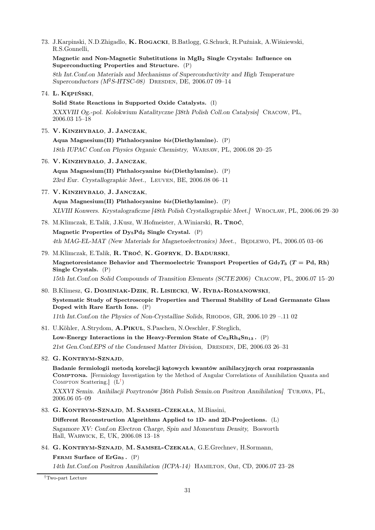73. J.Karpinski, N.D.Zhigadlo, K. Rogacki, B.Batlogg, G.Schuck, R.Puźniak, A.Wiśniewski, R.S.Gonnelli, Magnetic and Non-Magnetic Substitutions in MgB<sup>2</sup> Single Crystals: Influence on Superconducting Properties and Structure. (P) 8th Int.Conf.on Materials and Mechanisms of Superconductivity and High Temperature Superconductors  $(M^2S-HTSC-08)$  DRESDEN, DE, 2006.07 09-14 74. L. Kępiński, Solid State Reactions in Supported Oxide Catalysts. (I) XXXVIII Og.-pol. Kolokwium Katalityczne [38th Polish Coll.on Catalysis] Cracow, PL, 2006.03 15–18 75. V. Kinzhybalo, J. Janczak, Aqua Magnesium(II) Phthalocyanine bis(Diethylamine). (P) 18th IUPAC Conf.on Physics Organic Chemistry, Warsaw, PL, 2006.08 20–25 76. V. Kinzhybalo, J. Janczak, Aqua Magnesium(II) Phthalocyanine bis(Diethylamine). (P) 23rd Eur. Crystallographic Meet., Leuven, BE, 2006.08 06–11 77. V. Kinzhybalo, J. Janczak, Aqua Magnesium(II) Phthalocyanine bis(Diethylamine). (P) XLVIII Konwers. Krystalograficzne [48th Polish Crystallographic Meet.] Wrocław, PL, 2006.06 29–30 78. M.Klimczak, E.Talik, J.Kusz, W.Hofmeister, A.Winiarski, R. Troć, Magnetic Properties of  $Dy_5Pd_2$  Single Crystal. (P) 4th MAG-EL-MAT (New Materials for Magnetoelectronics) Meet., BEDLEWO, PL, 2006.05 03-06 79. M.Klimczak, E.Talik, R. Troć, K. Gofryk, D. Badurski, Magnetoresistance Behavior and Thermoelectric Transport Properties of  $Gd_7T_3$  (T = Pd, Rh) Single Crystals. (P) 15th Int.Conf.on Solid Compounds of Transition Elements (SCTE 2006) Cracow, PL, 2006.07 15–20 80. B.Klimesz, G. Dominiak-Dzik, R. Lisiecki, W. Ryba-Romanowski, Systematic Study of Spectroscopic Properties and Thermal Stability of Lead Germanate Glass Doped with Rare Earth Ions. (P) 11th Int.Conf.on the Physics of Non-Crystalline Solids, Rhodos, GR, 2006.10 29 –.11 02 81. U.Köhler, A.Strydom, A.Pikul, S.Paschen, N.Oeschler, F.Steglich, Low-Energy Interactions in the Heavy-Fermion State of  $Ce_3Rh_4Sn_{13}$ . (P) 21st Gen.Conf.EPS of the Condensed Matter Division, Dresden, DE, 2006.03 26–31 82. G. Kontrym-Sznajd, Badanie fermiologii metodą korelacji kątowych kwantów anihilacyjnych oraz rozpraszania Comptona. [Fermiology Investigation by the Method of Angular Correlations of Annihilation Quanta and COMPTON Scattering.  $(L^{\dagger})$ XXXVI Semin. Anihilacji Pozytronów [36th Polish Semin.on Positron Annihilation] Turawa, PL, 2006.06 05–09 83. G. Kontrym-Sznajd, M. Samsel-Czekała, M.Biasini, Different Reconstruction Algorithms Applied to 1D- and 2D-Projections. (L)

Sagamore XV: Conf.on Electron Charge, Spin and Momentum Density, Bosworth Hall, Warwick, E, UK, 2006.08 13–18

84. G. Kontrym-Sznajd, M. Samsel-Czekała, G.E.Grechnev, H.Sormann,

FERMI Surface of  $ErGa_3$ .  $(P)$ 

14th Int.Conf.on Positron Annihilation (ICPA-14) Hamilton, Ont, CD, 2006.07 23–28

<span id="page-30-0"></span>†Two-part Lecture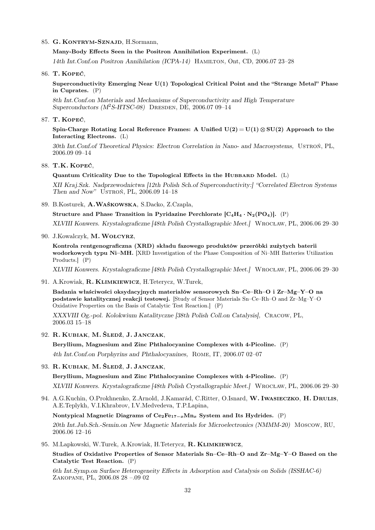#### 85. G. Kontrym-Sznajd, H.Sormann,

Many-Body Effects Seen in the Positron Annihilation Experiment. (L)

14th Int.Conf.on Positron Annihilation (ICPA-14) Hamilton, Ont, CD, 2006.07 23–28

86. T. Kopeć,

Superconductivity Emerging Near U(1) Topological Critical Point and the "Strange Metal" Phase in Cuprates. (P)

8th Int.Conf.on Materials and Mechanisms of Superconductivity and High Temperature Superconductors  $(M^2S-HTSC-08)$  DRESDEN, DE, 2006.07 09-14

87. T. Kopeć,

Spin-Charge Rotating Local Reference Frames: A Unified  $U(2) = U(1) \otimes SU(2)$  Approach to the Interacting Electrons. (L)

30th Int.Conf.of Theoretical Physics: Electron Correlation in Nano- and Macrosystems, Ustroń, PL, 2006.09 09–14

88. T.K. Kopeć,

Quantum Criticality Due to the Topological Effects in the HUBBARD Model.  $(L)$ 

XII Kraj.Szk. Nadprzewodnictwa [12th Polish Sch.of Superconductivity:] "Correlated Electron Systems Then and Now" Ustroń, PL, 2006.09 14–18

89. B.Kosturek, A.Waśkowska, S.Dacko, Z.Czapla,

Structure and Phase Transition in Pyridazine Perchlorate  $[C_4H_4\cdot N_2(PO_4)]$ . (P)

XLVIII Konwers. Krystalograficzne [48th Polish Crystallographic Meet.] Wrocław, PL, 2006.06 29–30

90. J.Kowalczyk, M.Wołcyrz,

Kontrola rentgenograficzna (XRD) składu fazowego produktów przeróbki zużytych baterii wodorkowych typu Ni–MH. [XRD Investigation of the Phase Composition of Ni–MH Batteries Utilization Products.] (P)

XLVIII Konwers. Krystalograficzne [48th Polish Crystallographic Meet.] Wrocław, PL, 2006.06 29–30

91. A.Krowiak, R. Klimkiewicz, H.Teterycz, W.Turek,

Badania właściwości oksydacyjnych materiałów sensorowych Sn–Ce–Rh–O i Zr–Mg–Y–O na podstawie katalitycznej reakcji testowej. [Study of Sensor Materials Sn–Ce–Rh–O and Zr–Mg–Y–O Oxidative Properties on the Basis of Catalytic Test Reaction.] (P)

XXXVIII Og.-pol. Kolokwium Katalityczne [38th Polish Coll.on Catalysis], Cracow, PL, 2006.03 15–18

92. R. Kubiak, M. Śledź, J. Janczak,

Beryllium, Magnesium and Zinc Phthalocyanine Complexes with 4-Picoline. (P) 4th Int.Conf.on Porphyrins and Phthalocyanines, Rome, IT, 2006.07 02–07

93. R. Kubiak, M. Śledź, J. Janczak,

Beryllium, Magnesium and Zinc Phthalocyanine Complexes with 4-Picoline. (P) XLVIII Konwers. Krystalograficzne [48th Polish Crystallographic Meet.] Wrocław, PL, 2006.06 29–30

94. A.G.Kuchin, O.Prokhnenko, Z.Arnold, J.Kamarád, C.Ritter, O.Isnard, W. IWASIECZKO, H. DRULIS, A.E.Teplykh, V.I.Khrabrov, I.V.Medvedeva, T.P.Lapina,

Nontypical Magnetic Diagrams of  $Ce_2Fe_{17-x}Mn_x$  System and Its Hydrides. (P)

20th Int.Jub.Sch.-Semin.on New Magnetic Materials for Microelectronics (NMMM-20) Moscow, RU, 2006.06 12–16

95. M.Lapkowski, W.Turek, A.Krowiak, H.Teterycz, R. Klimkiewicz,

Studies of Oxidative Properties of Sensor Materials Sn–Ce–Rh–O and Zr–Mg–Y–O Based on the Catalytic Test Reaction. (P)

6th Int.Symp.on Surface Heterogeneity Effects in Adsorption and Catalysis on Solids (ISSHAC-6) Zakopane, PL, 2006.08 28 –.09 02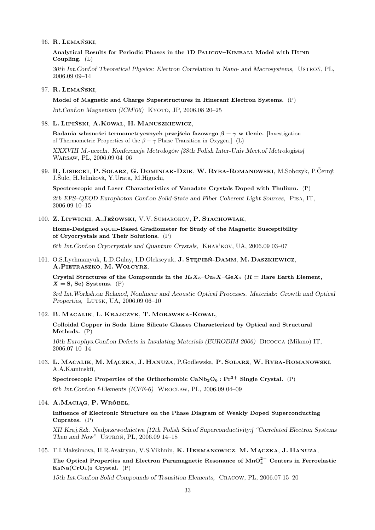#### 96. R. Lemański,

Analytical Results for Periodic Phases in the 1D Falicov–Kimball Model with Hund Coupling. (L)

30th Int.Conf.of Theoretical Physics: Electron Correlation in Nano- and Macrosystems, Ustroń, PL, 2006.09 09–14

#### 97. R. Lemański,

Model of Magnetic and Charge Superstructures in Itinerant Electron Systems. (P) Int.Conf.on Magnetism (ICM'06) KYOTO, JP, 2006.08 20–25

### 98. L. Lipiński, A.Kowal, H. Manuszkiewicz,

Badania własności termometrycznych przejścia fazowego  $\beta - \gamma$  w tlenie. [Investigation of Thermometric Properties of the  $\beta - \gamma$  Phase Transition in Oxygen.] (L)

XXXVIII M.-uczeln. Konferencja Metrologów [38th Polish Inter-Univ.Meet.of Metrologists] Warsaw, PL, 2006.09 04–06

99. R. Lisiecki, P. Solarz, G. Dominiak-Dzik, W. Ryba-Romanowski, M.Sobczyk, P.Černý, J.Šulc, H.Jelinková, Y.Urata, M.Higuchi,

Spectroscopic and Laser Characteristics of Vanadate Crystals Doped with Thulium. (P)

2th EPS–QEOD Europhoton Conf.on Solid-State and Fiber Coherent Light Sources, Pisa, IT, 2006.09 10–15

#### 100. Z. Litwicki, A.Jeżowski, V.V. Sumarokov, P. Stachowiak,

Home-Designed squin-Based Gradiometer for Study of the Magnetic Susceptibility of Cryocrystals and Their Solutions. (P)

6th Int.Conf.on Cryocrystals and Quantum Crystals, Khar'kov, UA, 2006.09 03–07

101. O.S.Lychmanyuk, L.D.Gulay, I.D.Olekseyuk, J. Stępień-Damm, M. Daszkiewicz, A.Pietraszko, M.Wołcyrz,

Crystal Structures of the Compounds in the  $R_2X_3-Cu_2X-GeX_2$  ( $R =$  Rare Earth Element,  $X = S$ , Se) Systems. (P)

3rd Int.Worksh.on Relaxed, Nonlinear and Acoustic Optical Processes. Materials: Growth and Optical Properties, LUTSK, UA, 2006.09 06-10

### 102. B. Macalik, L. Krajczyk, T. Morawska-Kowal,

Colloidal Copper in Soda–Lime Silicate Glasses Characterized by Optical and Structural Methods. (P)

10th Europhys.Conf.on Defects in Insulating Materials (EURODIM 2006) Bicocca (Milano) IT, 2006.07 10–14

103. L. Macalik, M. Mączka, J. Hanuza, P.Godlewska, P. Solarz, W. Ryba-Romanowski, A.A.Kaminski˘ı,

Spectroscopic Properties of the Orthorhombic  $CaNb<sub>2</sub>O<sub>6</sub>$ : Pr<sup>3+</sup> Single Crystal. (P) 6th Int.Conf.on f-Elements (ICFE-6) Wrocław, PL, 2006.09 04–09

## 104. A.Maciąg, P. Wróbel,

Influence of Electronic Structure on the Phase Diagram of Weakly Doped Superconducting Cuprates. (P)

XII Kraj.Szk. Nadprzewodnictwa [12th Polish Sch.of Superconductivity:] "Correlated Electron Systems Then and Now" USTRON, PL, 2006.09 14-18

# 105. T.I.Maksimova, H.R.Asatryan, V.S.Vikhnin, K. Hermanowicz, M. Mączka, J. Hanuza,

The Optical Properties and Electron Paramagnetic Resonance of  $\mathrm{MnO}_4^{2-}$  Centers in Ferroelastic  $K_3Na(CrO_4)_2$  Crystal. (P)

15th Int.Conf.on Solid Compounds of Transition Elements, Cracow, PL, 2006.07 15–20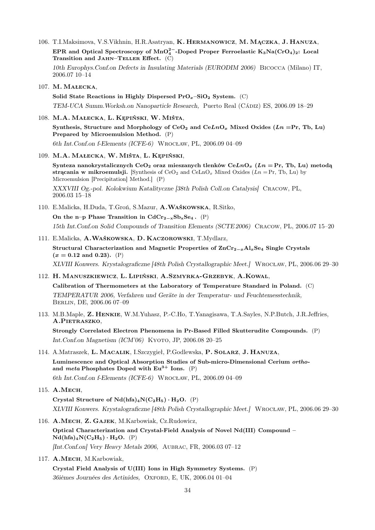106. T.I.Maksimova, V.S.Vikhnin, H.R.Asatryan, K. Hermanowicz, M. Mączka, J. Hanuza, EPR and Optical Spectroscopy of MnO $_4^{2-}$ -Doped Proper Ferroelastic K3Na(CrO $_4)_2$ : Local Transition and JAHN–TELLER Effect.  $(C)$ 10th Europhys.Conf.on Defects in Insulating Materials (EURODIM 2006) Bicocca (Milano) IT,

2006.07 10–14

107. M. Małecka,

Solid State Reactions in Highly Dispersed  $Pro_{x}$ –SiO<sub>2</sub> System. (C) TEM-UCA Summ.Worksh.on Nanoparticle Research, Puerto Real (Cádiz) ES, 2006.09 18–29

108. M.A. Małecka, L. Kępiński, W. Miśta,

Synthesis, Structure and Morphology of CeO<sub>2</sub> and CeLnO<sub>x</sub> Mixed Oxides (Ln =Pr, Tb, Lu) Prepared by Microemulsion Method. (P) 6th Int.Conf.on f-Elements (ICFE-6) Wrocław, PL, 2006.09 04–09

109. M.A. Małecka, W. Miśta, L. Kępiński,

Synteza nanokrystalicznych CeO<sub>2</sub> oraz mieszanych tlenków CeLnO<sub>x</sub> (Ln = Pr, Tb, Lu) metodą strącania w mikroemulsji. [Synthesis of CeO<sub>2</sub> and CeLnO<sub>x</sub> Mixed Oxides ( $Ln = Pr$ , Tb, Lu) by Microemulsion [Precipitation] Method.] (P) XXXVIII Og.-pol. Kolokwium Katalityczne [38th Polish Coll.on Catalysis] Cracow, PL, 2006.03 15–18

110. E.Malicka, H.Duda, T.Groń, S.Mazur, A.Waśkowska, R.Sitko, On the n–p Phase Transition in  $CdCr_{2-x}Sb_xSe_4$ . (P)

15th Int.Conf.on Solid Compounds of Transition Elements (SCTE 2006) Cracow, PL, 2006.07 15–20

111. E.Malicka, A.Waśkowska, D. Kaczorowski, T.Mydlarz,

Structural Characterization and Magnetic Properties of ZnCr<sub>2−x</sub>Al<sub>x</sub>Se<sub>4</sub> Single Crystals  $(x = 0.12$  and 0.23). (P)

XLVIII Konwers. Krystalograficzne [48th Polish Crystallographic Meet.] Wrocław, PL, 2006.06 29–30

- 112. H. Manuszkiewicz, L. Lipiński, A.Szmyrka-Grzebyk, A.Kowal, Calibration of Thermometers at the Laboratory of Temperature Standard in Poland. (C) TEMPERATUR 2006, Verfahren und Geräte in der Temperatur- und Feuchtemesstechnik, Berlin, DE, 2006.06 07–09
- 113. M.B.Maple, Z. Henkie, W.M.Yuhasz, P.-C.Ho, T.Yanagisawa, T.A.Sayles, N.P.Butch, J.R.Jeffries, A.PIETRASZKO,

Strongly Correlated Electron Phenomena in Pr-Based Filled Skutterudite Compounds. (P) Int.Conf.on Magnetism (ICM'06) KYOTO, JP, 2006.08 20-25

114. A.Matraszek, L. Macalik, I.Szczygieł, P.Godlewska, P. Solarz, J. Hanuza, Luminescence and Optical Absorption Studies of Sub-micro-Dimensional Cerium orthoand meta Phosphates Doped with  $Eu^{3+}$  Ions. (P) 6th Int.Conf.on f-Elements (ICFE-6) Wrocław, PL, 2006.09 04–09

Crystal Structure of  $Nd(hfa)_4N(C_2H_5) \cdot H_2O.$  (P) XLVIII Konwers. Krystalograficzne [48th Polish Crystallographic Meet.] Wrocław, PL, 2006.06 29–30

- 116. A.Mech, Z. Gajek, M.Karbowiak, Cz.Rudowicz, Optical Characterization and Crystal-Field Analysis of Novel Nd(III) Compound –  $Nd(hfa)<sub>4</sub>N(C<sub>2</sub>H<sub>5</sub>) · H<sub>2</sub>O.$  (P) [Int.Conf.on] Very Heavy Metals 2006, Aubrac, FR, 2006.03 07–12
- 117. A.MECH, M.Karbowiak,

Crystal Field Analysis of U(III) Ions in High Symmetry Systems. (P) 36ièmes Journées des Actinides, OXFORD, E, UK, 2006.04 01-04

<sup>115.</sup> A.Mech,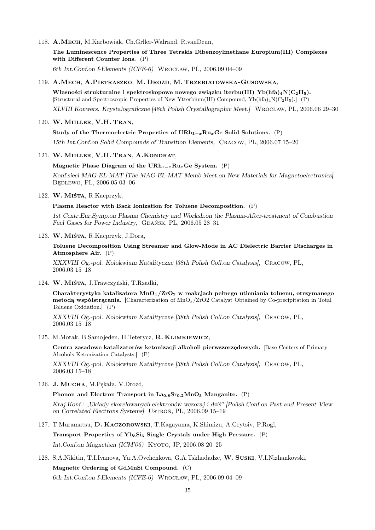118. A.Mech, M.Karbowiak, Ch.Grller-Walrand, R.vanDeun,

The Luminescence Properties of Three Tetrakis Dibenzoylmethane Europium(III) Complexes with Different Counter Ions. (P)

6th Int.Conf.on f-Elements (ICFE-6) Wrocław, PL, 2006.09 04–09

#### 119. A.Mech, A.Pietraszko, M. Drozd, M. Trzebiatowska-Gusowska,

Własności strukturalne i spektroskopowe nowego związku iterbu(III) Yb(hfa)<sub>4</sub>N(C<sub>2</sub>H<sub>5</sub>). [Structural and Spectroscopic Properties of New Ytterbium(III) Compound, Yb(hfa)4N(C2H5).] (P)

XLVIII Konwers. Krystalograficzne [48th Polish Crystallographic Meet.] Wrocław, PL, 2006.06 29–30

### 120. W. Miiller, V.H. Tran,

Study of the Thermoelectric Properties of  $\text{URh}_{1-x}\text{Ru}_x\text{Ge}$  Solid Solutions. (P)

15th Int.Conf.on Solid Compounds of Transition Elements, Cracow, PL, 2006.07 15–20

# 121. W. Miiller, V.H. Tran, A.Kondrat,

### Magnetic Phase Diagram of the URh<sub>1−x</sub>Ru<sub>x</sub>Ge System. (P)

Konf.sieci MAG-EL-MAT [The MAG-EL-MAT Memb.Meet.on New Materials for Magnetoelectronics] Będlewo, PL, 2006.05 03–06

#### 122. W. Miśta, R.Kacprzyk,

# Plasma Reactor with Back Ionization for Toluene Decomposition. (P)

1st Centr.Eur.Symp.on Plasma Chemistry and Worksh.on the Plasma-After-treatment of Combustion Fuel Gases for Power Industry, GDAŃSK, PL, 2006.05 28-31

#### 123. W. Miśta, R.Kacprzyk, J.Dora,

Toluene Decomposition Using Streamer and Glow-Mode in AC Dielectric Barrier Discharges in Atmosphere Air. (P)

XXXVIII Og.-pol. Kolokwium Katalityczne [38th Polish Coll.on Catalysis], Cracow, PL, 2006.03 15–18

124. W. Miśta, J.Trawczyński, T.Rzadki,

Charakterystyka katalizatora  $MnO_x/ZrO_2$  w reakcjach pełnego utleniania toluenu, otrzymanego metoda współstracania. [Characterization of  $MnO<sub>x</sub>/ZrO2$  Catalyst Obtained by Co-precipitation in Total Toluene Oxidation.] (P)

XXXVIII Og.-pol. Kolokwium Katalityczne [38th Polish Coll.on Catalysis], Cracow, PL, 2006.03 15–18

### 125. M.Motak, B.Samojeden, H.Teterycz, R. Klimkiewicz,

Centra zasadowe katalizatorów ketonizacji alkoholi pierwszorzędowych. [Base Centers of Primary Alcohols Ketonization Catalysts.] (P)

XXXVIII Og.-pol. Kolokwium Katalityczne [38th Polish Coll.on Catalysis], Cracow, PL, 2006.03 15–18

126. J. MUCHA, M.Pękała, V.Drozd,

#### Phonon and Electron Transport in  $La<sub>0.8</sub>Sr<sub>0.2</sub>MnO<sub>3</sub>$  Manganite. (P)

Kraj.Konf.: "Układy skorelowanych elektronów wczoraj i dziś" [Polish.Conf.on Past and Present View on Correlated Electrons Systems] Ustroń, PL, 2006.09 15–19

127. T.Muramatsu, D. Kaczorowski, T.Kagayama, K.Shimizu, A.Grytsiv, P.Rogl,

Transport Properties of  $Yb_3Si_5$  Single Crystals under High Pressure. (P) Int.Conf.on Magnetism (ICM'06) KYOTO, JP, 2006.08 20-25

128. S.A.Nikitin, T.I.Ivanova, Yu.A.Ovchenkova, G.A.Tskhadadze, W. Suski, V.I.Nizhankovski,

Magnetic Ordering of GdMnSi Compound. (C)

6th Int.Conf.on f-Elements (ICFE-6) Wrocław, PL, 2006.09 04–09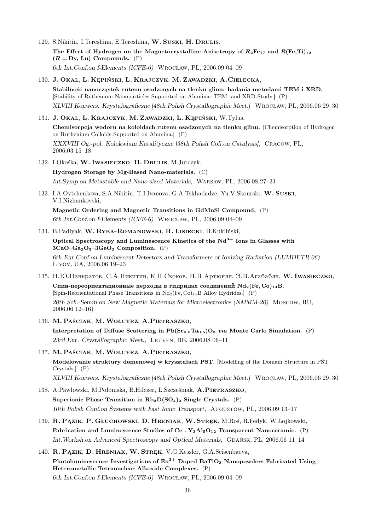- 129. S.Nikitin, I.Tereshina, E.Tereshina, W. Suski, H. Drulis, The Effect of Hydrogen on the Magnetocrystalline Anisotropy of  $R_2Fe_{17}$  and  $R(Fe, Ti)_{12}$  $(R = Dy, Lu)$  Compounds.  $(P)$ 6th Int.Conf.on f-Elements (ICFE-6) Wrocław, PL, 2006.09 04–09
- 130. J. Okal, L. Kępiński, L. Krajczyk, M. Zawadzki, A.Cielecka, Stabilność nanocząstek rutenu osadzonych na tlenku glinu: badania metodami TEM i XRD. [Stability of Ruthenium Nanoparticles Supported on Alumina: TEM- and XRD-Study.] (P) XLVIII Konwers. Krystalograficzne [48th Polish Crystallographic Meet.] Wrocław, PL, 2006.06 29–30
- 131. J. Okal, L. Krajczyk, M. Zawadzki, L. Kępiński, W.Tylus,

Chemisorpcja wodoru na koloidach rutenu osadzonych na tlenku glinu. [Chemisorption of Hydrogen on Ruthenium Colloids Supported on Alumina.] (P) XXXVIII Og.-pol. Kolokwium Katalityczne [38th Polish Coll.on Catalysis], Cracow, PL, 2006.03 15–18

132. I.Okośka, W. Iwasieczko, H. Drulis, M.Jurczyk,

Hydrogen Storage by Mg-Based Nano-materials. (C) Int.Symp.on Metastable and Nano-sized Materials, Warsaw, PL, 2006.08 27–31

133. I.A.Ovtchenkova, S.A.Nikitin, T.I.Ivanova, G.A.Tskhadadze, Yu.V.Skourski, W. Suski, V.I.Nizhankovski,

Magnetic Ordering and Magnetic Transitions in GdMnSi Compound. (P) 6th Int.Conf.on f-Elements (ICFE-6) Wrocław, PL, 2006.09 04–09

134. B.Padlyak, W. Ryba-Romanowski, R. Lisiecki, B.Kukliński, Optical Spectroscopy and Luminescence Kinetics of the  $Nd^{3+}$  Ions in Glasses with  $3CaO-Ga<sub>2</sub>O<sub>3</sub>-3GeO<sub>2</sub>$  Composition. (P)

6th Eur.Conf.on Luminescent Detectors and Transformers of Ionizing Radiation (LUMDETR'06) L'vov, UA, 2006.06 19–23

- 135. Н.Ю.Панкратов, С.А.Никитин, К.П.Скоков, Н.П.Артюнян, Э.В.Агабабян, W. Iwasieczko, Спин-переориентационные перходы в гидридах соединений  $Nd_2(Fe, Co)_{14}B$ . [Spin-Reorientational Phase Transitions in  $Nd_2(Fe, Co)_{14}B$  Alloy Hydrides.] (P) 20th Sch.-Semin.on New Magnetic Materials for Microelectronics (NMMM-20) Moscow, RU, 2006.06 12–16)
- 136. M. Paściak, M.Wołcyrz, A.Pietraszko, Interpretation of Diffuse Scattering in  $Pb(S_{0.5}Ta_{0.5})O_3$  via Monte Carlo Simulation. (P) 23rd Eur. Crystallographic Meet., Leuven, BE, 2006.08 06–11
- 137. M. Paściak, M.Wołcyrz, A.Pietraszko, Modelowanie struktury domenowej w kryształach PST. [Modelling of the Domain Structure in PST Crystals.] (P) XLVIII Konwers. Krystalograficzne [48th Polish Crystallographic Meet.] Wrocław, PL, 2006.06 29–30
- 138. A.Pawłowski, M.Połomska, B.Hilczer, L.Szcześniak, A.Pietraszko, Superionic Phase Transition in  $Rb_3D(SO_4)_2$  Single Crystals. (P) 10th Polish Conf.on Systems with Fast Ionic Transport, Augustów, PL, 2006.09 13–17
- 139. R. Pązik, P. Głuchowski, D. Hreniak, W. Stręk, M.Roś, R.Fedyk, W.Łojkowski, Fabrication and Luminescence Studies of Ce :  $Y_3Al_5O_{12}$  Transparent Nanoceramic. (P)  $Int. Worksh.$ on Advanced Spectroscopy and Optical Materials, GDAŃSK, PL, 2006.06 11–14
- 140. R. PĄZIK, D. HRENIAK, W. STREK, V.G.Kessler, G.A.Seisenbaeva, Photoluminescence Investigations of  $Eu^{3+}$  Doped BaTiO<sub>3</sub> Nanopowders Fabricated Using Heterometallic Tetranuclear Alkoxide Complexes. (P) 6th Int.Conf.on f-Elements (ICFE-6) Wrocław, PL, 2006.09 04–09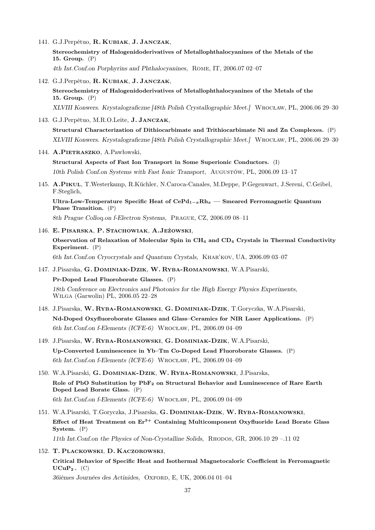141. G.J.Perpétuo, R. Kubiak, J. Janczak,

Stereochemistry of Halogenidoderivatives of Metallophthalocyanines of the Metals of the 15. Group. (P)

- 4th Int.Conf.on Porphyrins and Phthalocyanines, Rome, IT, 2006.07 02–07
- 142. G.J.Perpétuo, R. Kubiak, J. Janczak, Stereochemistry of Halogenidoderivatives of Metallophthalocyanines of the Metals of the 15. Group. (P) XLVIII Konwers. Krystalograficzne [48th Polish Crystallographic Meet.] Wrocław, PL, 2006.06 29–30
- 143. G.J.Perpétuo, M.R.O.Leite, J. Janczak,

Structural Characterization of Dithiocarbimate and Trithiocarbimate Ni and Zn Complexes. (P) XLVIII Konwers. Krystalograficzne [48th Polish Crystallographic Meet.] Wrocław, PL, 2006.06 29–30

144. A.PIETRASZKO, A.Pawłowski,

Structural Aspects of Fast Ion Transport in Some Superionic Conductors. (I) 10th Polish Conf.on Systems with Fast Ionic Transport, Augustów, PL, 2006.09 13–17

145. A.Pikul, T.Westerkamp, R.Küchler, N.Caroca-Canales, M.Deppe, P.Gegenwart, J.Sereni, C.Geibel, F.Steglich,

Ultra-Low-Temperature Specific Heat of  $Cer{H_{1-x}Rh_x}$  — Smeared Ferromagnetic Quantum Phase Transition. (P)

8th Prague Colloq.on f-Electron Systems, Prague, CZ, 2006.09 08–11

- 146. E. Pisarska, P. Stachowiak, A.Jeżowski, Observation of Relaxation of Molecular Spin in CH<sup>4</sup> and CD<sup>4</sup> Crystals in Thermal Conductivity Experiment. (P) 6th Int.Conf.on Cryocrystals and Quantum Crystals, Khar'kov, UA, 2006.09 03–07
- 147. J.Pisarska, G. Dominiak-Dzik, W. Ryba-Romanowski, W.A.Pisarski, Pr-Doped Lead Fluoroborate Glasses. (P) 18th Conference on Electronics and Photonics for the High Energy Physics Experiments, Wilga (Garwolin) PL, 2006.05 22–28
- 148. J.Pisarska, W. Ryba-Romanowski, G. Dominiak-Dzik, T.Goryczka, W.A.Pisarski, Nd-Doped Oxyfluoroborate Glasses and Glass–Ceramics for NIR Laser Applications. (P) 6th Int.Conf.on f-Elements (ICFE-6) Wrocław, PL, 2006.09 04–09
- 149. J.Pisarska, W. Ryba-Romanowski, G. Dominiak-Dzik, W.A.Pisarski, Up-Converted Luminescence in Yb–Tm Co-Doped Lead Fluoroborate Glasses. (P) 6th Int.Conf.on f-Elements (ICFE-6) Wrocław, PL, 2006.09 04–09
- 150. W.A.Pisarski, G. Dominiak-Dzik, W. Ryba-Romanowski, J.Pisarska, Role of PbO Substitution by PbF<sub>2</sub> on Structural Behavior and Luminescence of Rare Earth Doped Lead Borate Glass. (P) 6th Int.Conf.on f-Elements (ICFE-6) Wrocław, PL, 2006.09 04–09
- 151. W.A.Pisarski, T.Goryczka, J.Pisarska, G. Dominiak-Dzik, W. Ryba-Romanowski, Effect of Heat Treatment on  $Er<sup>3+</sup>$  Containing Multicomponent Oxyfluoride Lead Borate Glass System. (P) 11th Int.Conf.on the Physics of Non-Crystalline Solids, Rhodos, GR, 2006.10 29 –.11 02
- 152. T. Plackowski, D. Kaczorowski, Critical Behavior of Specific Heat and Isothermal Magnetocaloric Coefficient in Ferromagnetic  $UCuP_2$ .  $(C)$ 36ièmes Journées des Actinides, OXFORD, E, UK, 2006.04 01-04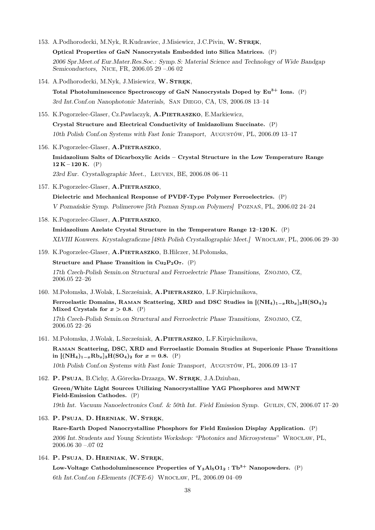- 153. A.Podhorodecki, M.Nyk, R.Kudrawiec, J.Misiewicz, J.C.Pivin, W. STREK, Optical Properties of GaN Nanocrystals Embedded into Silica Matrices. (P) 2006 Spr.Meet.of Eur.Mater.Res.Soc.: Symp. S: Material Science and Technology of Wide Bandgap Semiconductors, Nice, FR, 2006.05 29 –.06 02
- 154. A.Podhorodecki, M.Nyk, J.Misiewicz, W. STREK,

Total Photoluminescence Spectroscopy of GaN Nanocrystals Doped by  $Eu^{3+}$  Ions. (P) 3rd Int.Conf.on Nanophotonic Materials, San Diego, CA, US, 2006.08 13–14

- 155. K.Pogorzelec-Glaser, Cz.Pawlaczyk, A.Pietraszko, E.Markiewicz, Crystal Structure and Electrical Conductivity of Imidazolium Succinate. (P) 10th Polish Conf.on Systems with Fast Ionic Transport, Augustów, PL, 2006.09 13–17
- 156. K.Pogorzelec-Glaser, A.PIETRASZKO, Imidazolium Salts of Dicarboxylic Acids – Crystal Structure in the Low Temperature Range  $12 K - 120 K.$  (P) 23rd Eur. Crystallographic Meet., Leuven, BE, 2006.08 06–11
- 157. K.Pogorzelec-Glaser, A.PIETRASZKO, Dielectric and Mechanical Response of PVDF-Type Polymer Ferroelectrics. (P)

V Poznańskie Symp. Polimerowe [5th Poznan Symp.on Polymers] Poznań, PL, 2006.02 24–24

158. K.Pogorzelec-Glaser, A.PIETRASZKO,

Imidazolium Azelate Crystal Structure in the Temperature Range 12–120 K. (P) XLVIII Konwers. Krystalograficzne [48th Polish Crystallographic Meet.] Wrocław, PL, 2006.06 29–30

- 159. K.Pogorzelec-Glaser, A.PIETRASZKO, B.Hilczer, M.Połomska, Structure and Phase Transition in  $Cu_2P_2O_7$ . (P) 17th Czech-Polish Semin.on Structural and Ferroelectric Phase Transitions, Znojmo, CZ, 2006.05 22–26
- 160. M.Połomska, J.Wolak, L.Szcześniak, A.PIETRASZKO, L.F.Kirpichnikova,

Ferroelastic Domains, RAMAN Scattering, XRD and DSC Studies in  $[(NH_4)_{1-x}Rb_x]_3H(SO_4)_2$ Mixed Crystals for  $x > 0.8$ . (P) 17th Czech-Polish Semin.on Structural and Ferroelectric Phase Transitions, Znojmo, CZ, 2006.05 22–26

161. M.Połomska, J.Wolak, L.Szcześniak, A.PIETRASZKO, L.F.Kirpichnikova,

Raman Scattering, DSC, XRD and Ferroelastic Domain Studies at Superionic Phase Transitions in  $[(NH_4)_{1-x}Rb_x]_3H(SO_4)_2$  for  $x=0.8$ . (P) 10th Polish Conf.on Systems with Fast Ionic Transport, Augustów, PL, 2006.09 13–17

162. P. Psuja, B.Cichy, A.Górecka-Drzazga, W. STREK, J.A.Dziuban, Green/White Light Sources Utilizing Nanocrystalline YAG Phosphores and MWNT Field-Emission Cathodes. (P) 19th Int. Vacuum Nanoelectronics Conf. & 50th Int. Field Emission Symp. Guilin, CN, 2006.07 17–20

163. P. Psuja, D. Hreniak, W. Strek,

Rare-Earth Doped Nanocrystalline Phosphors for Field Emission Display Application. (P) 2006 Int. Students and Young Scientists Workshop: "Photonics and Microsystems" Wrocław, PL, 2006.06 30 –.07 02

164. P. Psuja, D. Hreniak, W. Stręk,

Low-Voltage Cathodoluminescence Properties of  $Y_3A1_5O1_2$ : Tb<sup>3+</sup> Nanopowders. (P) 6th Int.Conf.on f-Elements (ICFE-6) Wrocław, PL, 2006.09 04–09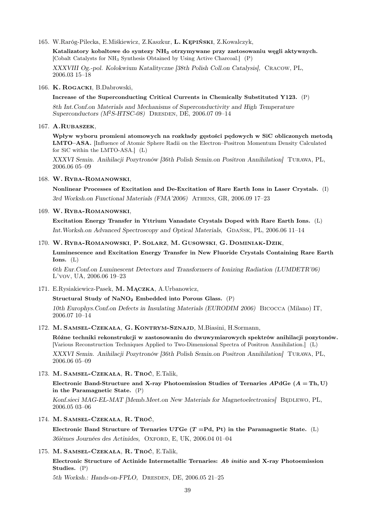165. W.Raróg-Pilecka, E.Miśkiewicz, Z.Kaszkur, L. Kępiński, Z.Kowalczyk,

Katalizatory kobaltowe do syntezy NH<sup>3</sup> otrzymywane przy zastosowaniu węgli aktywnych. [Cobalt Catalysts for NH<sup>3</sup> Synthesis Obtained by Using Active Charcoal.] (P) XXXVIII Og.-pol. Kolokwium Katalityczne [38th Polish Coll.on Catalysis], Cracow, PL, 2006.03 15–18

#### 166. K. Rogacki, B.Dabrowski,

Increase of the Superconducting Critical Currents in Chemically Substituted Y123. (P)

8th Int.Conf.on Materials and Mechanisms of Superconductivity and High Temperature Superconductors  $(M^2S-HTSC-08)$  DRESDEN, DE, 2006.07 09-14

# 167. A.Rubaszek,

Wpływ wyboru promieni atomowych na rozkłady gęstości pędowych w SiC obliczonych metodą LMTO–ASA. [Influence of Atomic Sphere Radii on the Electron–Positron Momentum Density Calculated for SiC within the LMTO-ASA.] (L)

XXXVI Semin. Anihilacji Pozytronów [36th Polish Semin.on Positron Annihilation] Turawa, PL, 2006.06 05–09

#### 168. W. Ryba-Romanowski,

Nonlinear Processes of Excitation and De-Excitation of Rare Earth Ions in Laser Crystals. (I) 3rd Worksh.on Functional Materials (FMA'2006) Athens, GR, 2006.09 17–23

### 169. W. Ryba-Romanowski,

Excitation Energy Transfer in Yttrium Vanadate Crystals Doped with Rare Earth Ions. (L) Int. Worksh.on Advanced Spectroscopy and Optical Materials, GDAŃSK, PL, 2006.06 11-14

# 170. W. Ryba-Romanowski, P. Solarz, M. Gusowski, G. Dominiak-Dzik,

Luminescence and Excitation Energy Transfer in New Fluoride Crystals Containing Rare Earth  $I$ ons.  $(I_1)$ 

6th Eur.Conf.on Luminescent Detectors and Transformers of Ionizing Radiation (LUMDETR'06) L'vov, UA, 2006.06 19–23

171. E.Rysiakiewicz-Pasek, M. Mączka, A.Urbanowicz,

Structural Study of NaNO<sup>2</sup> Embedded into Porous Glass. (P)

10th Europhys.Conf.on Defects in Insulating Materials (EURODIM 2006) Bicocca (Milano) IT, 2006.07 10–14

172. M. Samsel-Czekała, G. Kontrym-Sznajd, M.Biasini, H.Sormann,

Różne techniki rekonstrukcji w zastosowaniu do dwuwymiarowych spektrów anihilacji pozytonów. [Various Reconstruction Techniques Applied to Two-Dimensional Spectra of Positron Annihilation.] (L) XXXVI Semin. Anihilacji Pozytronów [36th Polish Semin.on Positron Annihilation] Turawa, PL, 2006.06 05–09

173. M. Samsel-Czekała, R. Troć, E.Talik,

Electronic Band-Structure and X-ray Photoemission Studies of Ternaries APdGe  $(A = Th, U)$ in the Paramagnetic State. (P)

Konf.sieci MAG-EL-MAT [Memb.Meet.on New Materials for Magnetoelectronics] BEDLEWO, PL, 2006.05 03–06

174. M. Samsel-Czekała, R. Troć,

Electronic Band Structure of Ternaries UTGe  $(T = Pd, Pt)$  in the Paramagnetic State. (L) 36ièmes Journées des Actinides, OXFORD, E, UK, 2006.04 01-04

## 175. M. Samsel-Czekała, R. Troć, E.Talik,

Electronic Structure of Actinide Intermetallic Ternaries: Ab initio and X-ray Photoemission Studies. (P)

5th Worksh.: Hands-on-FPLO, DRESDEN, DE, 2006.05 21-25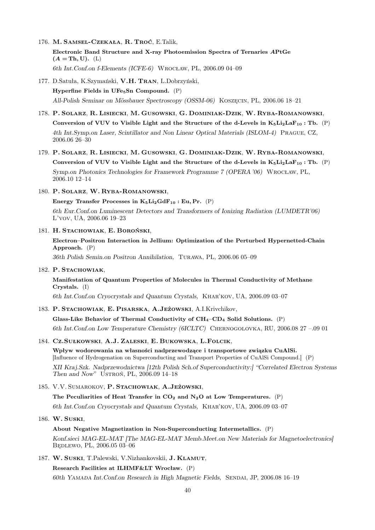- 176. M. Samsel-Czekała, R. Troć, E.Talik, Electronic Band Structure and X-ray Photoemission Spectra of Ternaries APtGe  $(A = Th, U).$  (L) 6th Int.Conf.on f-Elements (ICFE-6) Wrocław, PL, 2006.09 04–09
- 177. D.Satuła, K.Szymański, V.H. Tran, L.Dobrzyński, Hyperfine Fields in UFe5Sn Compound. (P) All-Polish Seminar on Mössbauer Spectroscopy (OSSM-06) Koszęcin, PL, 2006.06 18–21
- 178. P. Solarz, R. Lisiecki, M. Gusowski, G. Dominiak-Dzik, W. Ryba-Romanowski, Conversion of VUV to Visible Light and the Structure of the d-Levels in  $K_5L_2L_4F_{10}$ : Tb. (P) 4th Int.Symp.on Laser, Scintillator and Non Linear Optical Materials (ISLOM-4) Prague, CZ, 2006.06 26–30
- 179. P. Solarz, R. Lisiecki, M. Gusowski, G. Dominiak-Dzik, W. Ryba-Romanowski,

Conversion of VUV to Visible Light and the Structure of the d-Levels in  $K_5L_2L_4F_{10}$ : Tb. (P) Symp.on Photonics Technologies for Framework Programme 7 (OPERA '06) Wrocław, PL, 2006.10 12–14

180. P. Solarz, W. Ryba-Romanowski,

Energy Transfer Processes in  $K_5Li_2GdF_{10}$ : Eu, Pr. (P)

6th Eur.Conf.on Luminescent Detectors and Transformers of Ionizing Radiation (LUMDETR'06) L'vov, UA, 2006.06 19–23

181. H. Stachowiak, E. Boroński,

```
Electron–Positron Interaction in Jellium: Optimization of the Perturbed Hypernetted-Chain
Approach. (P)
```
36th Polish Semin.on Positron Annihilation, Turawa, PL, 2006.06 05–09

182. P. STACHOWIAK,

Manifestation of Quantum Properties of Molecules in Thermal Conductivity of Methane Crystals. (I)

6th Int.Conf.on Cryocrystals and Quantum Crystals, Khar'kov, UA, 2006.09 03–07

183. P. Stachowiak, E. Pisarska, A.Jeżowski, A.I.Krivchikov,

Glass-Like Behavior of Thermal Conductivity of  $CH_4$ –CD<sub>4</sub> Solid Solutions. (P) 6th Int.Conf.on Low Temperature Chemistry (6ICLTC) Chernogolovka, RU, 2006.08 27 –.09 01

# 184. Cz.Sułkowski, A.J. Zaleski, E. Bukowska, L.Folcik,

Wpływ wodorowania na własności nadprzewodzące i transportowe związku CuAlSi. [Influence of Hydrogenation on Superconducting and Transport Properties of CuAlSi Compound.] (P) XII Kraj.Szk. Nadprzewodnictwa [12th Polish Sch.of Superconductivity:] "Correlated Electron Systems Then and Now" Ustroń, PL, 2006.09 14–18

185. V.V. Sumarokov, P. Stachowiak, A.Jeżowski,

The Peculiarities of Heat Transfer in  $CO<sub>2</sub>$  and N<sub>2</sub>O at Low Temperatures. (P) 6th Int.Conf.on Cryocrystals and Quantum Crystals, Khar'kov, UA, 2006.09 03–07

186. W. Suski,

### About Negative Magnetization in Non-Superconducting Intermetallics. (P)

Konf.sieci MAG-EL-MAT [The MAG-EL-MAT Memb.Meet.on New Materials for Magnetoelectronics] Będlewo, PL, 2006.05 03–06

187. W. Suski, T.Palewski, V.Nizhankovskii, J. Klamut,

Research Facilities at ILHMF&LT Wrocław. (P)

60th Yamada Int.Conf.on Research in High Magnetic Fields, Sendai, JP, 2006.08 16–19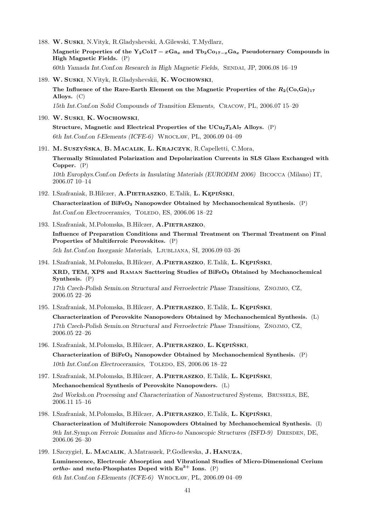- 188. W. Suski, N.Vityk, R.Gladyshevski, A.Gilewski, T.Mydlarz, Magnetic Properties of the Y<sub>2</sub>Co17 –  $xGa_x$  and Tb<sub>2</sub>Co<sub>17- $xGa_x$ </sub> Pseudoternary Compounds in High Magnetic Fields. (P) 60th Yamada Int.Conf.on Research in High Magnetic Fields, SENDAI, JP, 2006.08 16–19
- 189. W. Suski, N.Vityk, R.Gladyshevskii, K. Wochowski, The Influence of the Rare-Earth Element on the Magnetic Properties of the  $R_2(C_0,G_0)_{17}$ Alloys. (C) 15th Int.Conf.on Solid Compounds of Transition Elements, Cracow, PL, 2006.07 15–20
- 190. W. Suski, K.Wochowski,

Structure, Magnetic and Electrical Properties of the  $UCu_2T_3Al_7$  Alloys. (P) 6th Int.Conf.on f-Elements (ICFE-6) Wrocław, PL, 2006.09 04–09

191. M. Suszyńska, B. Macalik, L. Krajczyk, R.Capelletti, C.Mora,

Thermally Stimulated Polarization and Depolarization Currents in SLS Glass Exchanged with Copper. (P)

10th Europhys.Conf.on Defects in Insulating Materials (EURODIM 2006) Bicocca (Milano) IT, 2006.07 10–14

192. I.Szafraniak, B.Hilczer, A.PIETRASZKO, E.Talik, L. KEPIŃSKI,

Characterization of BiFeO<sub>3</sub> Nanopowder Obtained by Mechanochemical Synthesis.  $(P)$ Int.Conf.on Electroceramics, TOLEDO, ES, 2006.06 18-22

193. I.Szafraniak, M.Połomska, B.Hilczer, A.PIETRASZKO,

Influence of Preparation Conditions and Thermal Treatment on Thermal Treatment on Final Properties of Multiferroic Perovskites. (P) 5th Int.Conf.on Inorganic Materials, Ljubljana, SI, 2006.09 03–26

194. I.Szafraniak, M.Połomska, B.Hilczer, A.PIETRASZKO, E.Talik, L. KEPIŃSKI, XRD, TEM, XPS and RAMAN Sacttering Studies of BiFeO<sub>3</sub> Obtained by Mechanochemical Synthesis. (P) 17th Czech-Polish Semin.on Structural and Ferroelectric Phase Transitions, Znojmo, CZ, 2006.05 22–26

- 195. I.Szafraniak, M.Połomska, B.Hilczer, A.PIETRASZKO, E.Talik, L. KEPIŃSKI, Characterization of Perovskite Nanopowders Obtained by Mechanochemical Synthesis. (L) 17th Czech-Polish Semin.on Structural and Ferroelectric Phase Transitions, Znojmo, CZ, 2006.05 22–26
- 196. I.Szafraniak, M.Połomska, B.Hilczer, A.Pietraszko, L. Kępiński, Characterization of BiFeO<sub>3</sub> Nanopowder Obtained by Mechanochemical Synthesis.  $(P)$ 10th Int.Conf.on Electroceramics, TOLEDO, ES, 2006.06 18-22
- 197. I.Szafraniak, M.Połomska, B.Hilczer, A.PIETRASZKO, E.Talik, L. KEPIŃSKI, Mechanochemical Synthesis of Perovskite Nanopowders. (L) 2nd Worksh.on Processing and Characterization of Nanostructured Systems, Brussels, BE, 2006.11 15–16
- 198. I.Szafraniak, M.Połomska, B.Hilczer, A.Pietraszko, E.Talik, L. Kępiński, Characterization of Multiferroic Nanopowders Obtained by Mechanochemical Synthesis. (I) 9th Int.Symp.on Ferroic Domains and Micro-to Nanoscopic Structures (ISFD-9) DRESDEN, DE, 2006.06 26–30
- 199. I.Szczygieł, L. Macalik, A.Matraszek, P.Godlewska, J. Hanuza, Luminescence, Electronic Absorption and Vibrational Studies of Micro-Dimensional Cerium ortho- and meta-Phosphates Doped with  $Eu^{3+}$  Ions. (P) 6th Int.Conf.on f-Elements (ICFE-6) Wrocław, PL, 2006.09 04–09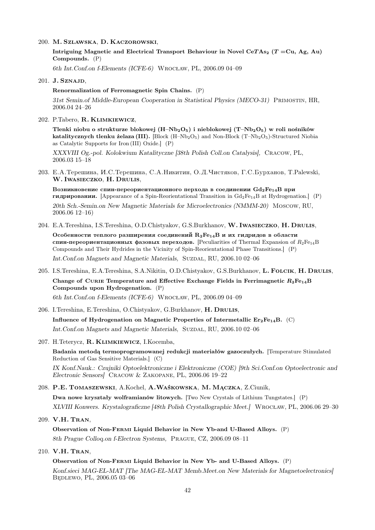200. M. Szlawska, D. Kaczorowski,

Intriguing Magnetic and Electrical Transport Behaviour in Novel CeTAs<sub>2</sub> (T = Cu, Ag, Au) Compounds. (P)

6th Int.Conf.on f-Elements (ICFE-6) Wrocław, PL, 2006.09 04–09

201. J. SZNAJD,

#### Renormalization of Ferromagnetic Spin Chains. (P)

31st Semin.of Middle-European Cooperation in Statistical Physics (MECO-31) Primostin, HR, 2006.04 24–26

202. P.Tabero, R. Klimkiewicz,

Tlenki niobu o strukturze blokowej  $(H-Nb<sub>2</sub>O<sub>5</sub>)$  i nieblokowej  $(T-Nb<sub>2</sub>O<sub>5</sub>)$  w roli nośników katalitycznych tlenku żelaza (III). [Block  $(H-Nb<sub>2</sub>O<sub>5</sub>)$  and Non-Block  $(T-Nb<sub>2</sub>O<sub>5</sub>)$ -Structured Niobia as Catalytic Supports for Iron (III) Oxide.] (P)

XXXVIII Og.-pol. Kolokwium Katalityczne [38th Polish Coll.on Catalysis], Cracow, PL, 2006.03 15–18

203. E.A. Терешина, И.С. Терешина, С.А. Никитин, О.Д. Чистяков, Г.С. Бурханов, Т. Palewski, W. Iwasieczko, H. Drulis,

Возникновение спин-переориентационного перхода в соединении  $Gd_2Fe_{14}B$  при **гидрировании.** [Appearance of a Spin-Reorientational Transition in  $Gd_2Fe_{14}B$  at Hydrogenation.] (P) 20th Sch.-Semin.on New Magnetic Materials for Microelectronics (NMMM-20) Moscow, RU, 2006.06 12–16)

- 204. E.A.Tereshina, I.S.Tereshina, O.D.Chistyakov, G.S.Burkhanov, W. Iwasieczko, H. Drulis, Особенности теплого разширения соединений  $R_2Fe_{14}B$  и их гидридов в области спин-переориентационных фазовых переходов. [Peculiarities of Thermal Expansion of  $R_2Fe_{14}B$ Compounds and Their Hydrides in the Vicinity of Spin-Reorientational Phase Transitions.] (P) Int.Conf.on Magnets and Magnetic Materials, SUZDAL, RU, 2006.10 02-06
- 205. I.S.Tereshina, E.A.Tereshina, S.A.Nikitin, O.D.Chistyakov, G.S.Burkhanov, L. FOLCIK, H. DRULIS, Change of CURIE Temperature and Effective Exchange Fields in Ferrimagnetic  $R_2Fe_{14}B$ Compounds upon Hydrogenation. (P) 6th Int.Conf.on f-Elements (ICFE-6) Wrocław, PL, 2006.09 04–09
- 206. I.Tereshina, E.Tereshina, O.Chistyakov, G.Burkhanov, H. DRULIS,

Influence of Hydrogenation on Magnetic Properties of Intermetallic  $Er_2Fe_{14}B.$  (C) Int.Conf.on Magnets and Magnetic Materials, SUZDAL, RU, 2006.10 02-06

207. H.Teterycz, R. Klimkiewicz, I.Kocemba,

Badania metodą termoprogramowanej redukcji materiałów gazoczułych. [Temperature Stimulated Reduction of Gas Sensitive Materials.] (C)

IX Konf.Nauk.: Czujniki Optoelektroniczne i Elektroniczne (COE) [9th Sci.Conf.on Optoelectronic and Electronic Sensors] Cracow & Zakopane, PL, 2006.06 19–22

- 208. P.E. Tomaszewski, A.Kochel, A.Waśkowska, M. Mączka, Z.Ciunik, Dwa nowe kryształy wolframianów litowych. [Two New Crystals of Lithium Tungstates.] (P) XLVIII Konwers. Krystalograficzne [48th Polish Crystallographic Meet.] Wrocław, PL, 2006.06 29–30
- 209. V.H. Tran,

Observation of Non-Fermi Liquid Behavior in New Yb-and U-Based Alloys. (P) 8th Prague Colloq.on f-Electron Systems, Prague, CZ, 2006.09 08–11

210. V.H. Tran,

Observation of Non-Fermi Liquid Behavior in New Yb- and U-Based Alloys. (P)

Konf.sieci MAG-EL-MAT [The MAG-EL-MAT Memb.Meet.on New Materials for Magnetoelectronics] Będlewo, PL, 2006.05 03–06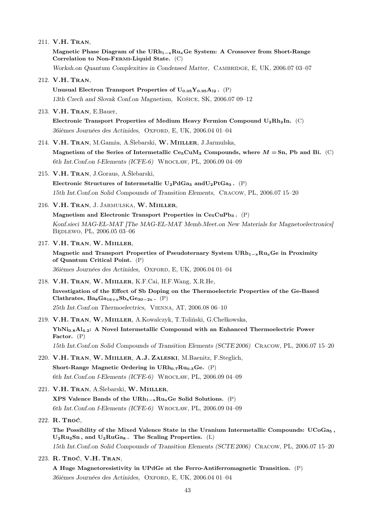211. V.H. Tran,

Magnetic Phase Diagram of the URh<sub>1 $-x$ </sub>Ru<sub>x</sub>Ge System: A Crossover from Short-Range Correlation to Non-Fermi-Liquid State. (C)

- Worksh.on Quantum Complexities in Condensed Matter, CAMBRIDGE, E, UK, 2006.07 03-07
- 212. V.H. Tran,

Unusual Electron Transport Properties of  $U_{0.05}Y_{0.95}A_{12}$ . (P) 13th Czech and Slovak Conf.on Magnetism, Košice, SK, 2006.07 09–12

213. V.H. Tran, E.Bauer,

Electronic Transport Properties of Medium Heavy Fermion Compound U2Rh2In. (C) 36ièmes Journées des Actinides, OXFORD, E, UK, 2006.04 01-04

214. V.H. Tran, M.Gamża, A.Ślebarski, W. Miiller, J.Jarmulska,

Magnetism of the Series of Intermetallic  $C_{65}CuM_3$  Compounds, where  $M = Sn$ , Pb and Bi. (C) 6th Int.Conf.on f-Elements (ICFE-6) Wrocław, PL, 2006.09 04–09

215. V.H. Tran, J.Goraus, A.Ślebarski,

Electronic Structures of Intermetallic  $U_2PdGa_3$  and  $U_2PtGa_3$ . (P) 15th Int.Conf.on Solid Compounds of Transition Elements, Cracow, PL, 2006.07 15–20

216. V.H. TRAN, J. JARMULSKA, W. MIILLER,

Magnetism and Electronic Transport Properties in  $Ce<sub>5</sub>CuPb<sub>3</sub>$ . (P) Konf.sieci MAG-EL-MAT [The MAG-EL-MAT Memb.Meet.on New Materials for Magnetoelectronics] BEDLEWO, PL, 2006.05 03-06

- 217. V.H. Tran, W. Miiller,
	- Magnetic and Transport Properties of Pseudoternary System  $\text{URh}_{1-x}\text{Ru}_{x}\text{Ge}$  in Proximity of Quantum Critical Point. (P)

36ièmes Journées des Actinides, OXFORD, E, UK, 2006.04 01-04

- 218. V.H. Tran, W. Miiller, K.F.Cai, H.F.Wang, X.R.He, Investigation of the Effect of Sb Doping on the Thermoelectric Properties of the Ge-Based Clathrates,  $Ba_8Ga_{16+x}Sb_xGe_{30-2x}$ . (P) 25th Int.Conf.on Thermoelectrics, Vienna, AT, 2006.08 06–10
- 219. V.H. Tran, W. Miiller, A.Kowalczyk, T.Toliński, G.Chełkowska, YbNi<sub>0.8</sub>Al<sub>4.2</sub>: A Novel Intermetallic Compound with an Enhanced Thermoelectric Power Factor. (P) 15th Int.Conf.on Solid Compounds of Transition Elements (SCTE 2006) Cracow, PL, 2006.07 15–20
- 220. V.H. Tran, W. Miiller, A.J. Zaleski, M.Baenitz, F.Steglich, Short-Range Magnetic Ordering in  $\mathrm{URh}_{0.7}\mathrm{Ru}_{0.3}\mathrm{Ge.}$  (P) 6th Int.Conf.on f-Elements (ICFE-6) Wrocław, PL, 2006.09 04–09
- 221. V.H. TRAN, A.Ślebarski, W. MIILLER, XPS Valence Bands of the URh<sub>1 $-x$ </sub>Ru<sub>x</sub>Ge Solid Solutions. (P) 6th Int.Conf.on f-Elements (ICFE-6) Wrocław, PL, 2006.09 04–09
- 222. R. Troć,

The Possibility of the Mixed Valence State in the Uranium Intermetallic Compounds:  $UCoGa<sub>5</sub>$ ,  $U_2Ru_2Sn$ , and  $U_2RuGa_8$ . The Scaling Properties. (L) 15th Int.Conf.on Solid Compounds of Transition Elements (SCTE 2006) Cracow, PL, 2006.07 15–20

223. R. Troć, V.H. Tran,

A Huge Magnetoresistivity in UPdGe at the Ferro-Antiferromagnetic Transition. (P) 36ièmes Journées des Actinides, OXFORD, E, UK, 2006.04 01-04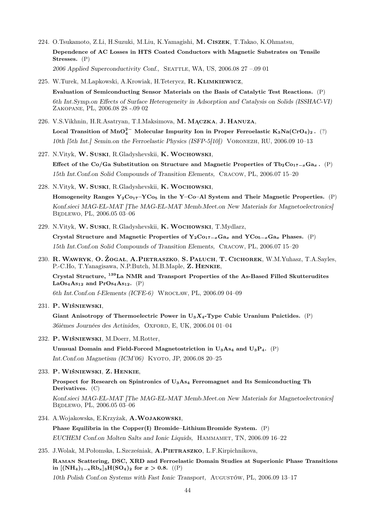- 224. O.Tsukamoto, Z.Li, H.Suzuki, M.Liu, K.Yamagishi, M. Ciszek, T.Takao, K.Ohmatsu, Dependence of AC Losses in HTS Coated Conductors with Magnetic Substrates on Tensile Stresses. (P) 2006 Applied Superconductivity Conf., Seattle, WA, US, 2006.08 27 –.09 01
- 225. W.Turek, M.Lapkowski, A.Krowiak, H.Teterycz, R. Klimkiewicz, Evaluation of Semiconducting Sensor Materials on the Basis of Catalytic Test Reactions. (P) 6th Int.Symp.on Effects of Surface Heterogeneity in Adsorption and Catalysis on Solids (ISSHAC-VI) Zakopane, PL, 2006.08 28 -.09 02
- 226. V.S.Vikhnin, H.R.Asatryan, T.I.Maksimova, M. Mączka, J. Hanuza, Local Transition of  $\rm MnO_4^{2-}$  Molecular Impurity Ion in Proper Ferroelastic  $\rm K_3Na(CrO_4)_2$  .  $(?)$ 10th [5th Int.] Semin.on the Ferroelastic Physics (ISFP-5[10]) Voronezh, RU, 2006.09 10–13
- 227. N.Vityk, W. Suski, R.Gladyshevskii, K. Wochowski, Effect of the Co/Ga Substitution on Structure and Magnetic Properties of Tb<sub>2</sub>Co<sub>17−x</sub>Ga<sub>x</sub>. (P) 15th Int.Conf.on Solid Compounds of Transition Elements, Cracow, PL, 2006.07 15–20
- 228. N.Vityk, W. Suski, R.Gladyshevskii, K. Wochowski, Homogeneity Ranges  $Y_2C_{017}-YC_{05}$  in the Y-Co-Al System and Their Magnetic Properties. (P)

Konf.sieci MAG-EL-MAT [The MAG-EL-MAT Memb.Meet.on New Materials for Magnetoelectronics] Będlewo, PL, 2006.05 03-06

229. N.Vityk, W. Suski, R.Gladyshevskii, K. Wochowski, T.Mydlarz, Crystal Structure and Magnetic Properties of Y<sub>2</sub>Co<sub>17−x</sub>Ga<sub>x</sub> and YCo<sub>5−x</sub>Ga<sub>x</sub> Phases. (P)

15th Int.Conf.on Solid Compounds of Transition Elements, Cracow, PL, 2006.07 15–20

230. R.Wawryk, O. Żogał, A.Pietraszko, S. Paluch, T. Cichorek, W.M.Yuhasz, T.A.Sayles, P.-C.Ho, T.Yanagisawa, N.P.Butch, M.B.Maple, Z. Henkie,

Crystal Structure, <sup>139</sup>La NMR and Transport Properties of the As-Based Filled Skutterudites  $LaOs<sub>4</sub>As<sub>12</sub>$  and  $Pros<sub>4</sub>As<sub>12</sub>$ . (P)

6th Int.Conf.on f-Elements (ICFE-6) Wrocław, PL, 2006.09 04–09

231. P. Wiśniewski,

Giant Anisotropy of Thermoelectric Power in  $U_3X_4$ -Type Cubic Uranium Pnictides. (P) 36ièmes Journées des Actinides, OXFORD, E, UK, 2006.04 01-04

232. P. Wiśniewski, M.Doerr, M.Rotter,

Unusual Domain and Field-Forced Magnetostriction in  $U_3A_{54}$  and  $U_3P_4$ . (P) Int.Conf.on Magnetism (ICM'06) KYOTO, JP, 2006.08 20-25

233. P. Wiśniewski, Z. Henkie,

Prospect for Research on Spintronics of U3As<sup>4</sup> Ferromagnet and Its Semiconducting Th Derivatives. (C)

Konf.sieci MAG-EL-MAT [The MAG-EL-MAT Memb.Meet.on New Materials for Magnetoelectronics] Będlewo, PL, 2006.05 03–06

234. A.Wojakowska, E.Krzyżak, A.Wojakowski,

Phase Equilibria in the Copper(I) Bromide–Lithium Bromide System. (P) EUCHEM Conf.on Molten Salts and Ionic Liquids, Hammamet, TN, 2006.09 16–22

235. J.Wolak, M.Połomska, L.Szcześniak, A.Pietraszko, L.F.Kirpichnikova,

Raman Scattering, DSC, XRD and Ferroelastic Domain Studies at Superionic Phase Transitions in  $[(NH_4)_{1-x}Rb_x]_3H(SO_4)_2$  for  $x > 0.8$ . ((P) 10th Polish Conf.on Systems with Fast Ionic Transport, Augustów, PL, 2006.09 13–17

44